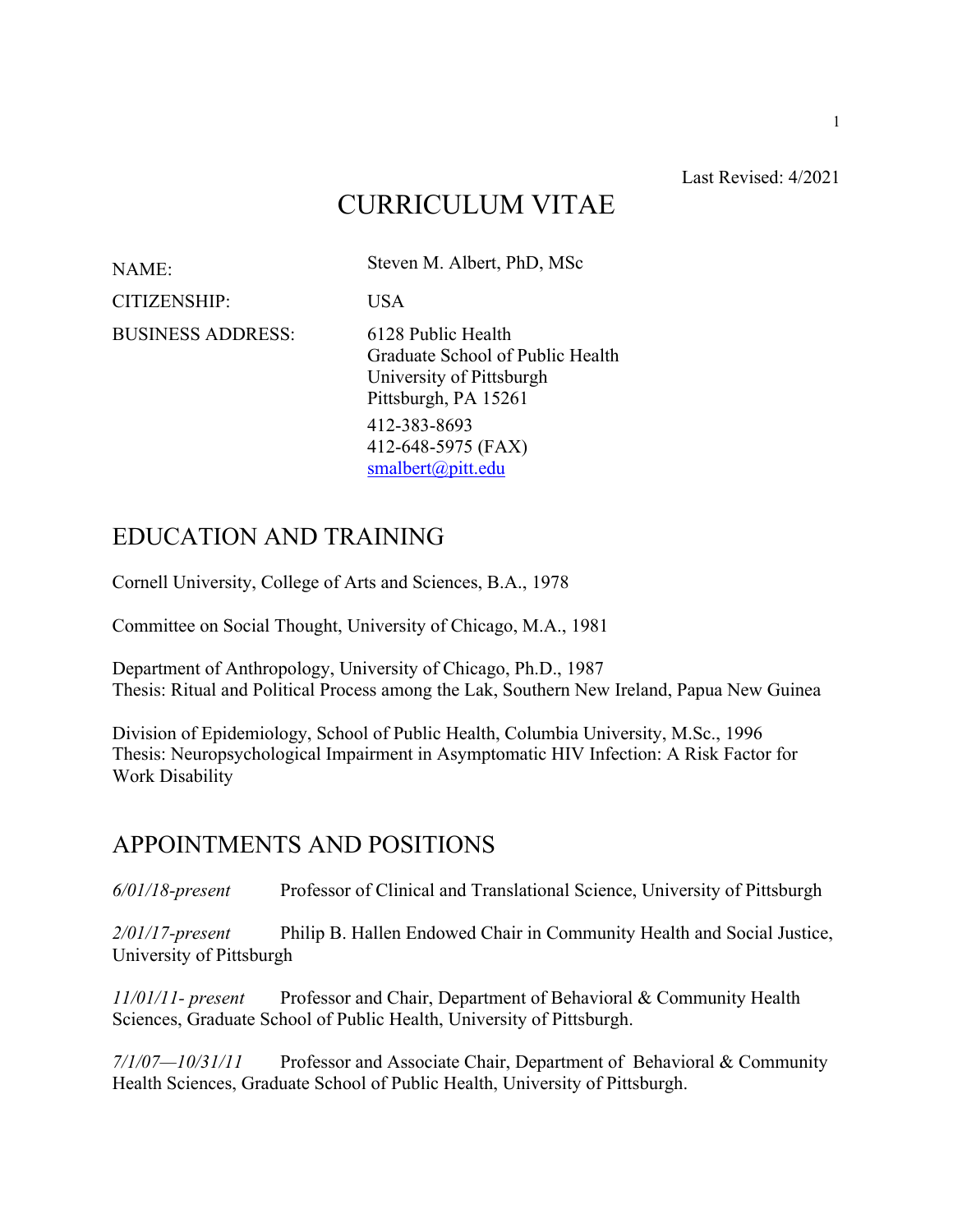#### Last Revised: 4/2021

# CURRICULUM VITAE

NAME: Steven M. Albert, PhD, MSc CITIZENSHIP: USA BUSINESS ADDRESS: 6128 Public Health Graduate School of Public Health University of Pittsburgh Pittsburgh, PA 15261 412-383-8693 412-648-5975 (FAX) smalbert@pitt.edu

## EDUCATION AND TRAINING

Cornell University, College of Arts and Sciences, B.A., 1978

Committee on Social Thought, University of Chicago, M.A., 1981

Department of Anthropology, University of Chicago, Ph.D., 1987 Thesis: Ritual and Political Process among the Lak, Southern New Ireland, Papua New Guinea

Division of Epidemiology, School of Public Health, Columbia University, M.Sc., 1996 Thesis: Neuropsychological Impairment in Asymptomatic HIV Infection: A Risk Factor for Work Disability

### APPOINTMENTS AND POSITIONS

*6/01/18-present* Professor of Clinical and Translational Science, University of Pittsburgh

*2/01/17-present* Philip B. Hallen Endowed Chair in Community Health and Social Justice, University of Pittsburgh

*11/01/11- present* Professor and Chair, Department of Behavioral & Community Health Sciences, Graduate School of Public Health, University of Pittsburgh.

*7/1/07—10/31/11* Professor and Associate Chair, Department of Behavioral & Community Health Sciences, Graduate School of Public Health, University of Pittsburgh.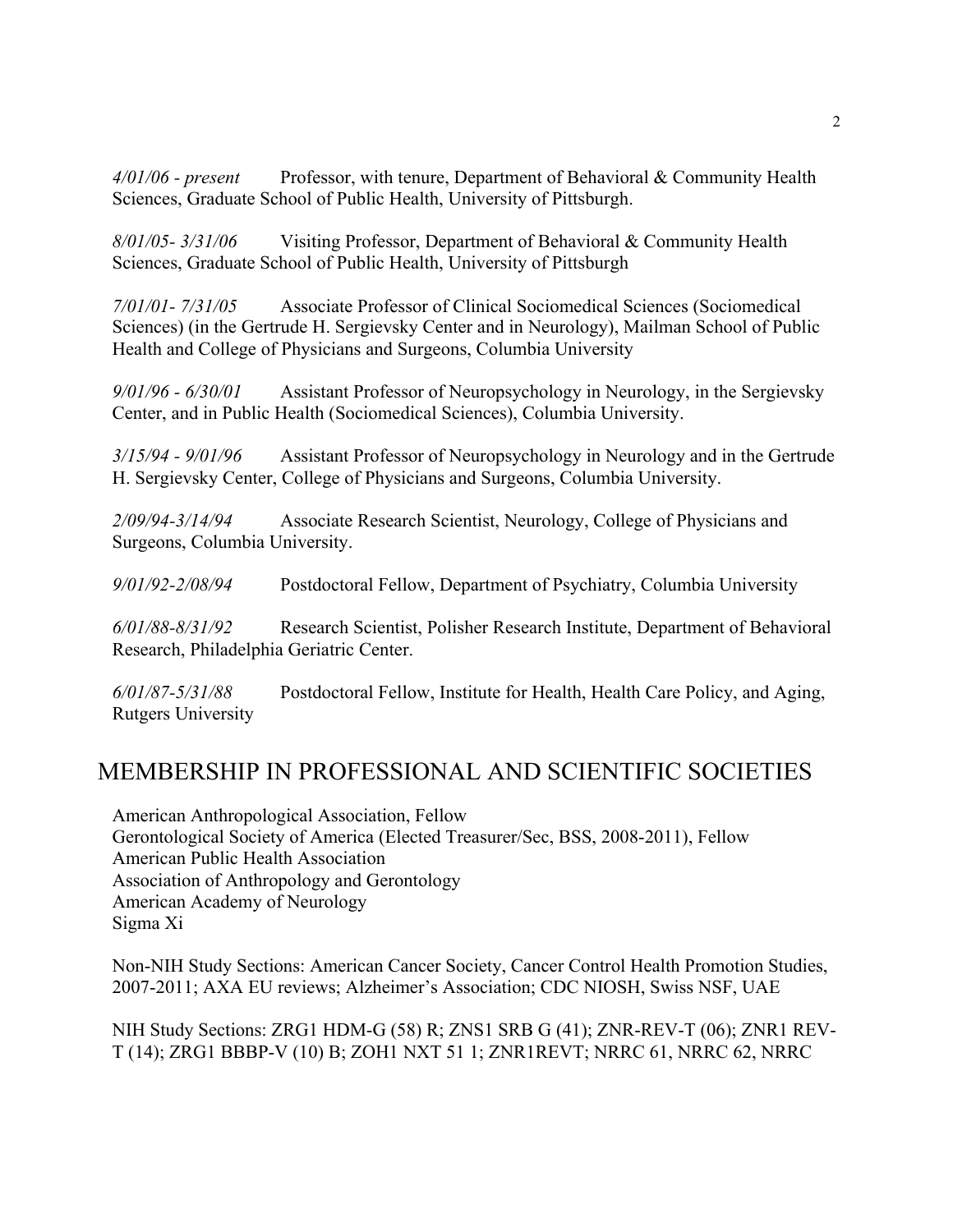*4/01/06 - present* Professor, with tenure, Department of Behavioral & Community Health Sciences, Graduate School of Public Health, University of Pittsburgh.

*8/01/05- 3/31/06* Visiting Professor, Department of Behavioral & Community Health Sciences, Graduate School of Public Health, University of Pittsburgh

*7/01/01- 7/31/05* Associate Professor of Clinical Sociomedical Sciences (Sociomedical Sciences) (in the Gertrude H. Sergievsky Center and in Neurology), Mailman School of Public Health and College of Physicians and Surgeons, Columbia University

*9/01/96 - 6/30/01* Assistant Professor of Neuropsychology in Neurology, in the Sergievsky Center, and in Public Health (Sociomedical Sciences), Columbia University.

*3/15/94 - 9/01/96* Assistant Professor of Neuropsychology in Neurology and in the Gertrude H. Sergievsky Center, College of Physicians and Surgeons, Columbia University.

*2/09/94-3/14/94* Associate Research Scientist, Neurology, College of Physicians and Surgeons, Columbia University.

*9/01/92-2/08/94* Postdoctoral Fellow, Department of Psychiatry, Columbia University

*6/01/88-8/31/92* Research Scientist, Polisher Research Institute, Department of Behavioral Research, Philadelphia Geriatric Center.

*6/01/87-5/31/88* Postdoctoral Fellow, Institute for Health, Health Care Policy, and Aging, Rutgers University

## MEMBERSHIP IN PROFESSIONAL AND SCIENTIFIC SOCIETIES

American Anthropological Association, Fellow Gerontological Society of America (Elected Treasurer/Sec, BSS, 2008-2011), Fellow American Public Health Association Association of Anthropology and Gerontology American Academy of Neurology Sigma Xi

Non-NIH Study Sections: American Cancer Society, Cancer Control Health Promotion Studies, 2007-2011; AXA EU reviews; Alzheimer's Association; CDC NIOSH, Swiss NSF, UAE

NIH Study Sections: ZRG1 HDM-G (58) R; ZNS1 SRB G (41); ZNR-REV-T (06); ZNR1 REV-T (14); ZRG1 BBBP-V (10) B; ZOH1 NXT 51 1; ZNR1REVT; NRRC 61, NRRC 62, NRRC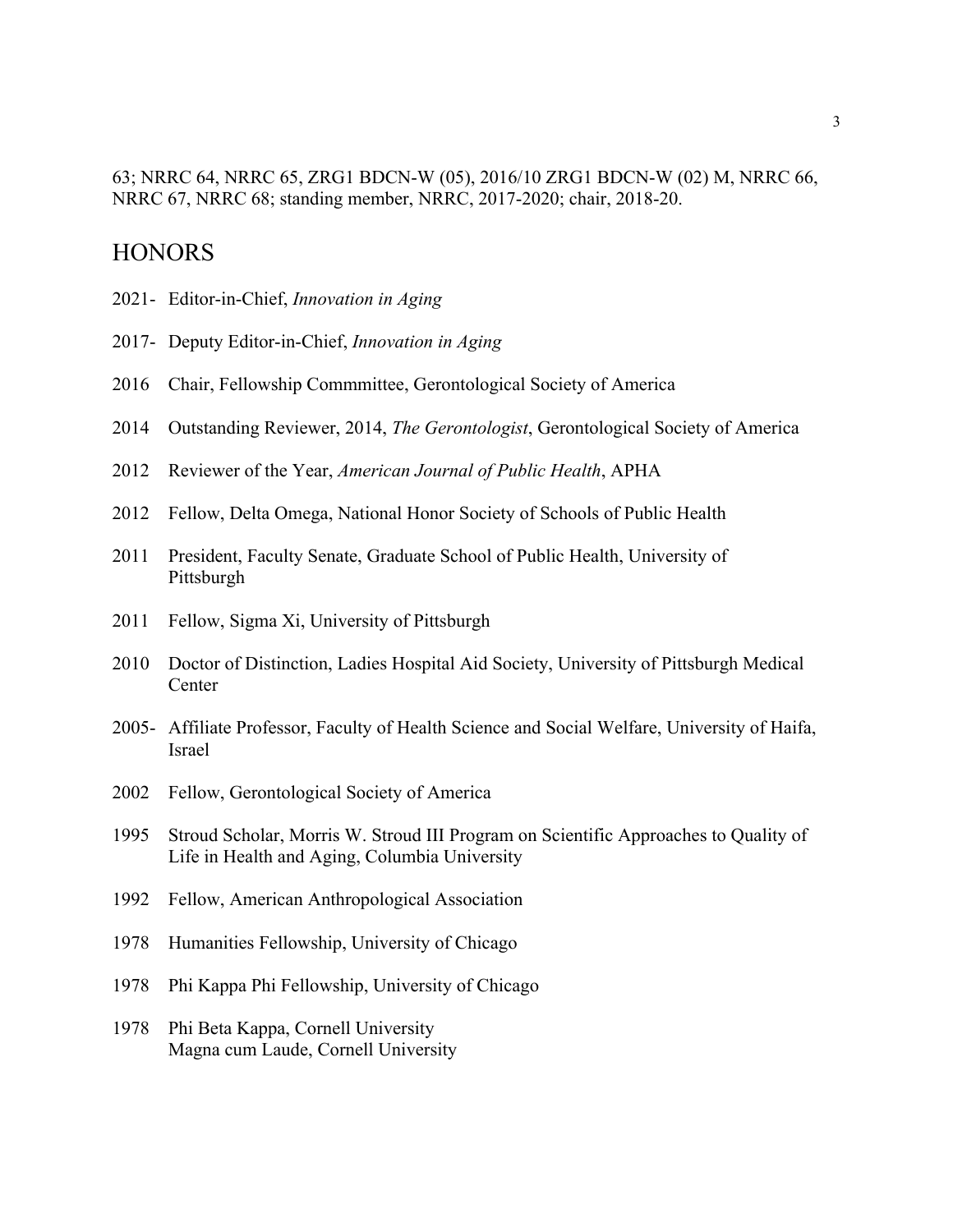#### 63; NRRC 64, NRRC 65, ZRG1 BDCN-W (05), 2016/10 ZRG1 BDCN-W (02) M, NRRC 66, NRRC 67, NRRC 68; standing member, NRRC, 2017-2020; chair, 2018-20.

### **HONORS**

- 2021- Editor-in-Chief, *Innovation in Aging*
- 2017- Deputy Editor-in-Chief, *Innovation in Aging*
- 2016 Chair, Fellowship Commmittee, Gerontological Society of America
- 2014 Outstanding Reviewer, 2014, *The Gerontologist*, Gerontological Society of America
- 2012 Reviewer of the Year, *American Journal of Public Health*, APHA
- 2012 Fellow, Delta Omega, National Honor Society of Schools of Public Health
- 2011 President, Faculty Senate, Graduate School of Public Health, University of Pittsburgh
- 2011 Fellow, Sigma Xi, University of Pittsburgh
- 2010 Doctor of Distinction, Ladies Hospital Aid Society, University of Pittsburgh Medical **Center**
- 2005- Affiliate Professor, Faculty of Health Science and Social Welfare, University of Haifa, Israel
- 2002 Fellow, Gerontological Society of America
- 1995 Stroud Scholar, Morris W. Stroud III Program on Scientific Approaches to Quality of Life in Health and Aging, Columbia University
- 1992 Fellow, American Anthropological Association
- 1978 Humanities Fellowship, University of Chicago
- 1978 Phi Kappa Phi Fellowship, University of Chicago
- 1978 Phi Beta Kappa, Cornell University Magna cum Laude, Cornell University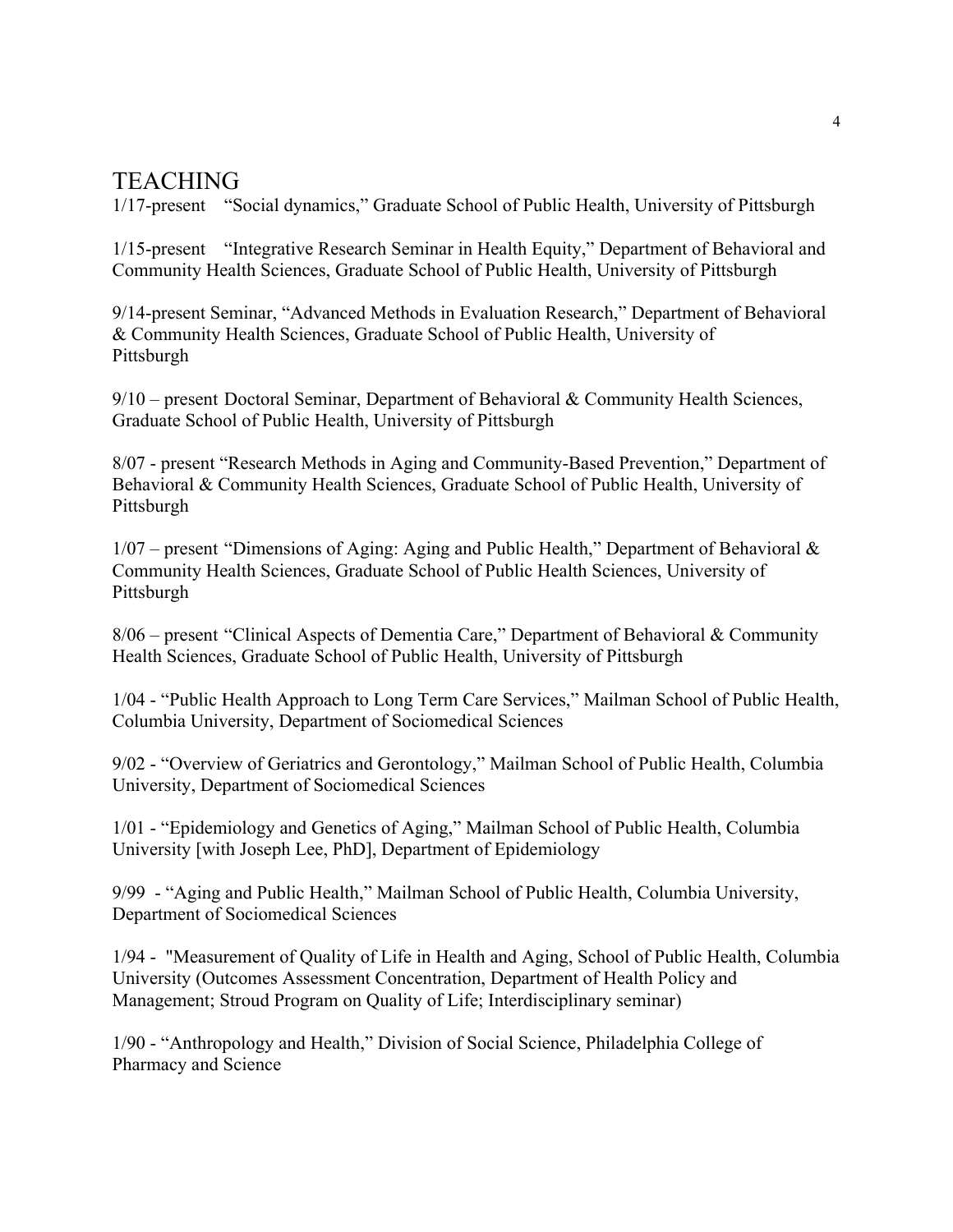### **TEACHING**

1/17-present "Social dynamics," Graduate School of Public Health, University of Pittsburgh

1/15-present "Integrative Research Seminar in Health Equity," Department of Behavioral and Community Health Sciences, Graduate School of Public Health, University of Pittsburgh

9/14-present Seminar, "Advanced Methods in Evaluation Research," Department of Behavioral & Community Health Sciences, Graduate School of Public Health, University of Pittsburgh

9/10 – present Doctoral Seminar, Department of Behavioral & Community Health Sciences, Graduate School of Public Health, University of Pittsburgh

8/07 - present "Research Methods in Aging and Community-Based Prevention," Department of Behavioral & Community Health Sciences, Graduate School of Public Health, University of Pittsburgh

 $1/07$  – present "Dimensions of Aging: Aging and Public Health," Department of Behavioral & Community Health Sciences, Graduate School of Public Health Sciences, University of Pittsburgh

8/06 – present "Clinical Aspects of Dementia Care," Department of Behavioral & Community Health Sciences, Graduate School of Public Health, University of Pittsburgh

1/04 - "Public Health Approach to Long Term Care Services," Mailman School of Public Health, Columbia University, Department of Sociomedical Sciences

9/02 - "Overview of Geriatrics and Gerontology," Mailman School of Public Health, Columbia University, Department of Sociomedical Sciences

1/01 - "Epidemiology and Genetics of Aging," Mailman School of Public Health, Columbia University [with Joseph Lee, PhD], Department of Epidemiology

9/99 - "Aging and Public Health," Mailman School of Public Health, Columbia University, Department of Sociomedical Sciences

1/94 - "Measurement of Quality of Life in Health and Aging, School of Public Health, Columbia University (Outcomes Assessment Concentration, Department of Health Policy and Management; Stroud Program on Quality of Life; Interdisciplinary seminar)

1/90 - "Anthropology and Health," Division of Social Science, Philadelphia College of Pharmacy and Science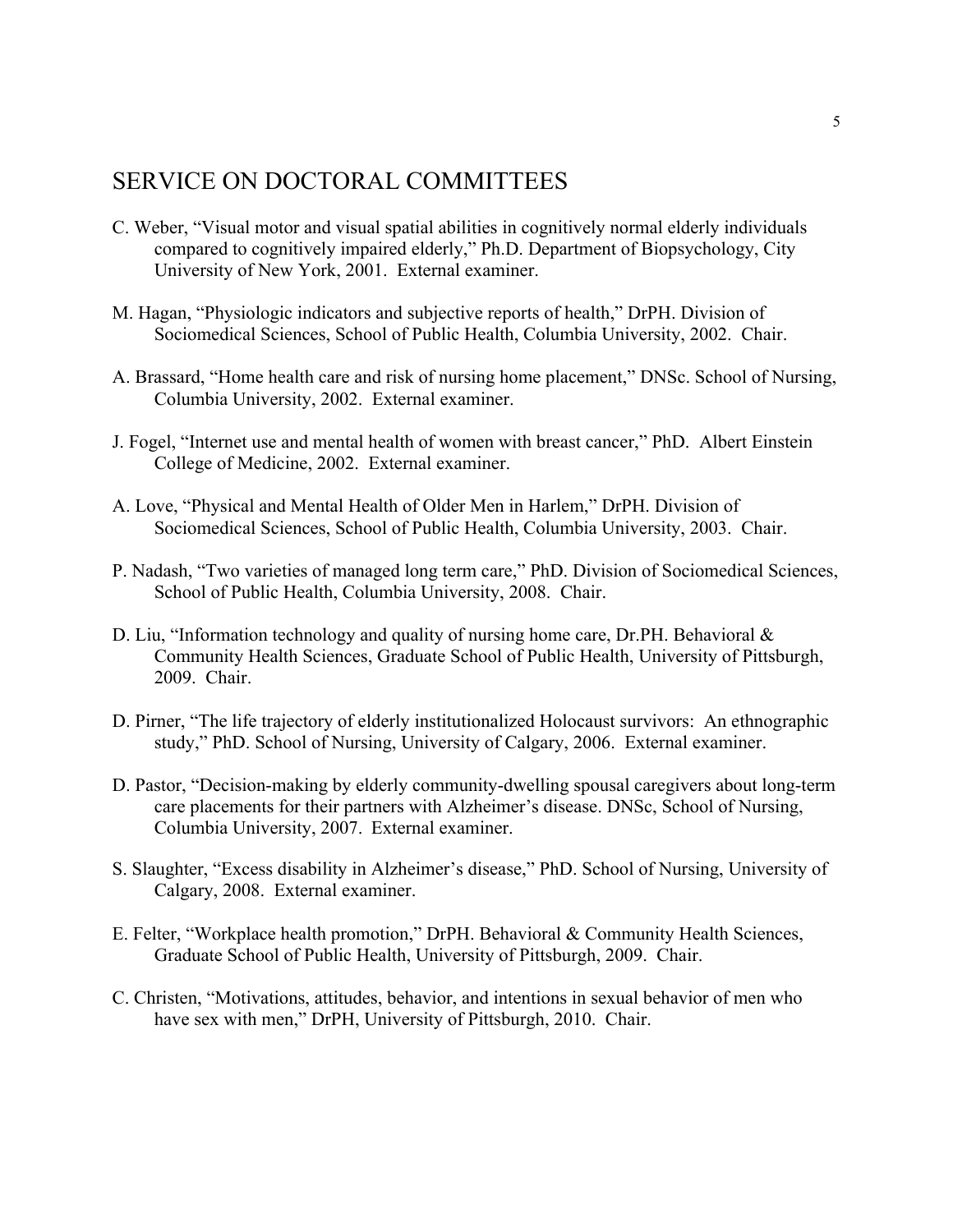## SERVICE ON DOCTORAL COMMITTEES

- C. Weber, "Visual motor and visual spatial abilities in cognitively normal elderly individuals compared to cognitively impaired elderly," Ph.D. Department of Biopsychology, City University of New York, 2001. External examiner.
- M. Hagan, "Physiologic indicators and subjective reports of health," DrPH. Division of Sociomedical Sciences, School of Public Health, Columbia University, 2002. Chair.
- A. Brassard, "Home health care and risk of nursing home placement," DNSc. School of Nursing, Columbia University, 2002. External examiner.
- J. Fogel, "Internet use and mental health of women with breast cancer," PhD. Albert Einstein College of Medicine, 2002. External examiner.
- A. Love, "Physical and Mental Health of Older Men in Harlem," DrPH. Division of Sociomedical Sciences, School of Public Health, Columbia University, 2003. Chair.
- P. Nadash, "Two varieties of managed long term care," PhD. Division of Sociomedical Sciences, School of Public Health, Columbia University, 2008. Chair.
- D. Liu, "Information technology and quality of nursing home care, Dr.PH. Behavioral & Community Health Sciences, Graduate School of Public Health, University of Pittsburgh, 2009. Chair.
- D. Pirner, "The life trajectory of elderly institutionalized Holocaust survivors: An ethnographic study," PhD. School of Nursing, University of Calgary, 2006. External examiner.
- D. Pastor, "Decision-making by elderly community-dwelling spousal caregivers about long-term care placements for their partners with Alzheimer's disease. DNSc, School of Nursing, Columbia University, 2007. External examiner.
- S. Slaughter, "Excess disability in Alzheimer's disease," PhD. School of Nursing, University of Calgary, 2008. External examiner.
- E. Felter, "Workplace health promotion," DrPH. Behavioral & Community Health Sciences, Graduate School of Public Health, University of Pittsburgh, 2009. Chair.
- C. Christen, "Motivations, attitudes, behavior, and intentions in sexual behavior of men who have sex with men," DrPH, University of Pittsburgh, 2010. Chair.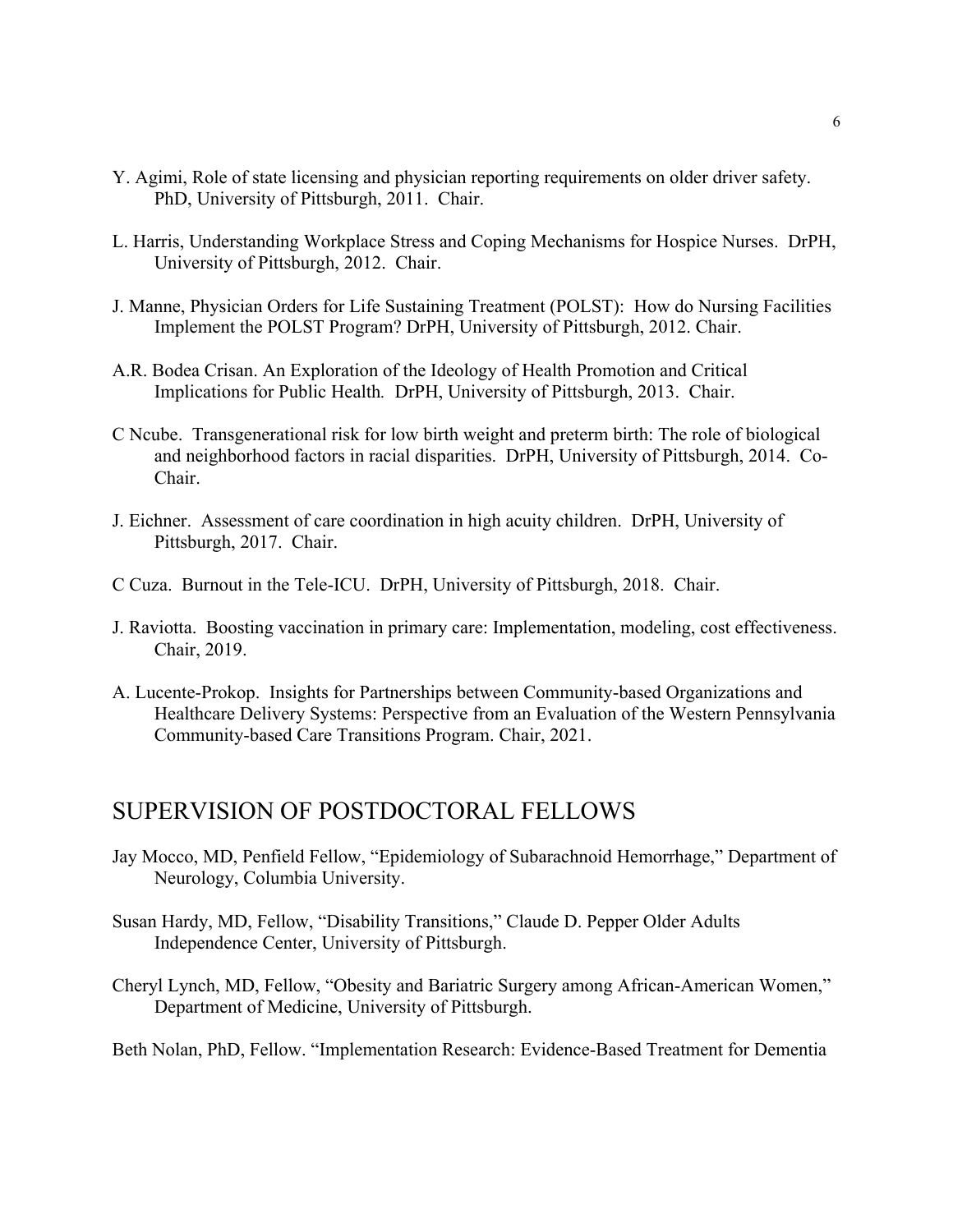- Y. Agimi, Role of state licensing and physician reporting requirements on older driver safety. PhD, University of Pittsburgh, 2011. Chair.
- L. Harris, Understanding Workplace Stress and Coping Mechanisms for Hospice Nurses. DrPH, University of Pittsburgh, 2012. Chair.
- J. Manne, Physician Orders for Life Sustaining Treatment (POLST): How do Nursing Facilities Implement the POLST Program? DrPH, University of Pittsburgh, 2012. Chair.
- A.R. Bodea Crisan. An Exploration of the Ideology of Health Promotion and Critical Implications for Public Health*.* DrPH, University of Pittsburgh, 2013. Chair.
- C Ncube. Transgenerational risk for low birth weight and preterm birth: The role of biological and neighborhood factors in racial disparities. DrPH, University of Pittsburgh, 2014. Co-Chair.
- J. Eichner. Assessment of care coordination in high acuity children. DrPH, University of Pittsburgh, 2017. Chair.
- C Cuza. Burnout in the Tele-ICU. DrPH, University of Pittsburgh, 2018. Chair.
- J. Raviotta. Boosting vaccination in primary care: Implementation, modeling, cost effectiveness. Chair, 2019.
- A. Lucente-Prokop. Insights for Partnerships between Community-based Organizations and Healthcare Delivery Systems: Perspective from an Evaluation of the Western Pennsylvania Community-based Care Transitions Program. Chair, 2021.

### SUPERVISION OF POSTDOCTORAL FELLOWS

- Jay Mocco, MD, Penfield Fellow, "Epidemiology of Subarachnoid Hemorrhage," Department of Neurology, Columbia University.
- Susan Hardy, MD, Fellow, "Disability Transitions," Claude D. Pepper Older Adults Independence Center, University of Pittsburgh.
- Cheryl Lynch, MD, Fellow, "Obesity and Bariatric Surgery among African-American Women," Department of Medicine, University of Pittsburgh.

Beth Nolan, PhD, Fellow. "Implementation Research: Evidence-Based Treatment for Dementia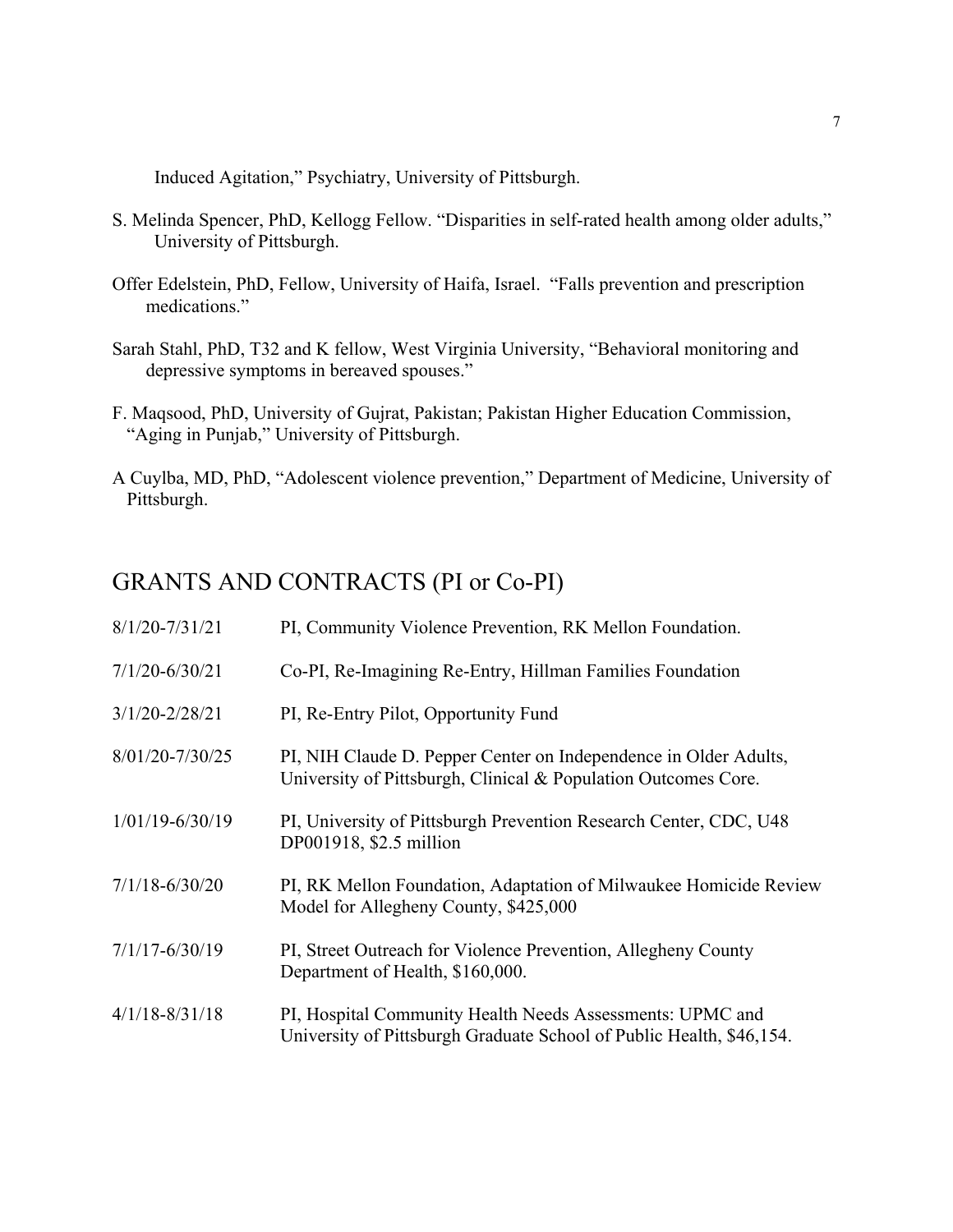Induced Agitation," Psychiatry, University of Pittsburgh.

- S. Melinda Spencer, PhD, Kellogg Fellow. "Disparities in self-rated health among older adults," University of Pittsburgh.
- Offer Edelstein, PhD, Fellow, University of Haifa, Israel. "Falls prevention and prescription medications."
- Sarah Stahl, PhD, T32 and K fellow, West Virginia University, "Behavioral monitoring and depressive symptoms in bereaved spouses."
- F. Maqsood, PhD, University of Gujrat, Pakistan; Pakistan Higher Education Commission, "Aging in Punjab," University of Pittsburgh.
- A Cuylba, MD, PhD, "Adolescent violence prevention," Department of Medicine, University of Pittsburgh.

### GRANTS AND CONTRACTS (PI or Co-PI)

| $8/1/20 - 7/31/21$  | PI, Community Violence Prevention, RK Mellon Foundation.                                                                           |
|---------------------|------------------------------------------------------------------------------------------------------------------------------------|
| $7/1/20 - 6/30/21$  | Co-PI, Re-Imagining Re-Entry, Hillman Families Foundation                                                                          |
| $3/1/20 - 2/28/21$  | PI, Re-Entry Pilot, Opportunity Fund                                                                                               |
| 8/01/20-7/30/25     | PI, NIH Claude D. Pepper Center on Independence in Older Adults,<br>University of Pittsburgh, Clinical & Population Outcomes Core. |
| $1/01/19 - 6/30/19$ | PI, University of Pittsburgh Prevention Research Center, CDC, U48<br>DP001918, \$2.5 million                                       |
| $7/1/18 - 6/30/20$  | PI, RK Mellon Foundation, Adaptation of Milwaukee Homicide Review<br>Model for Allegheny County, \$425,000                         |
| $7/1/17 - 6/30/19$  | PI, Street Outreach for Violence Prevention, Allegheny County<br>Department of Health, \$160,000.                                  |
| $4/1/18 - 8/31/18$  | PI, Hospital Community Health Needs Assessments: UPMC and<br>University of Pittsburgh Graduate School of Public Health, \$46,154.  |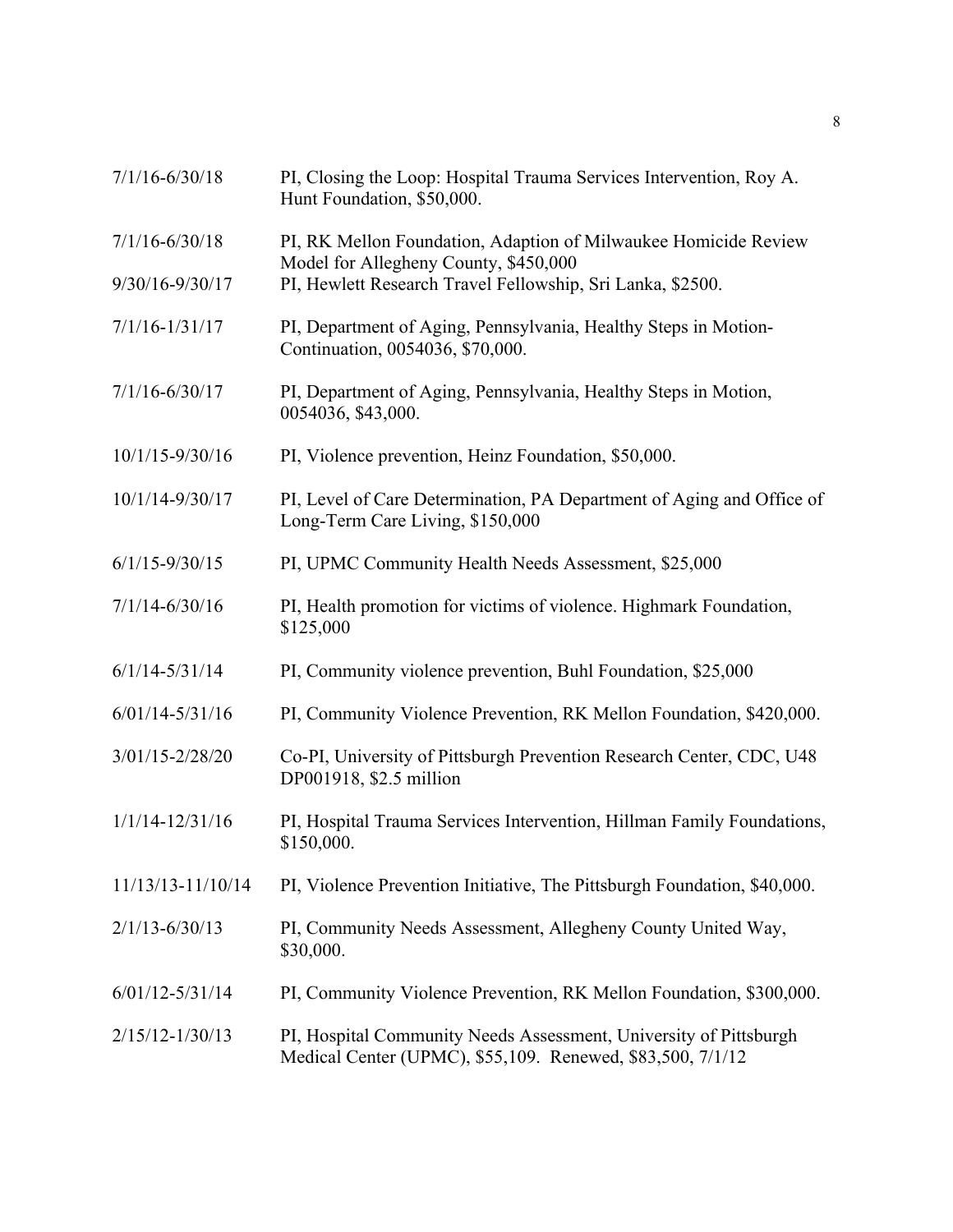| $7/1/16 - 6/30/18$  | PI, Closing the Loop: Hospital Trauma Services Intervention, Roy A.<br>Hunt Foundation, \$50,000.                               |
|---------------------|---------------------------------------------------------------------------------------------------------------------------------|
| $7/1/16 - 6/30/18$  | PI, RK Mellon Foundation, Adaption of Milwaukee Homicide Review<br>Model for Allegheny County, \$450,000                        |
| 9/30/16-9/30/17     | PI, Hewlett Research Travel Fellowship, Sri Lanka, \$2500.                                                                      |
| $7/1/16 - 1/31/17$  | PI, Department of Aging, Pennsylvania, Healthy Steps in Motion-<br>Continuation, 0054036, \$70,000.                             |
| $7/1/16 - 6/30/17$  | PI, Department of Aging, Pennsylvania, Healthy Steps in Motion,<br>0054036, \$43,000.                                           |
| 10/1/15-9/30/16     | PI, Violence prevention, Heinz Foundation, \$50,000.                                                                            |
| 10/1/14-9/30/17     | PI, Level of Care Determination, PA Department of Aging and Office of<br>Long-Term Care Living, \$150,000                       |
| $6/1/15 - 9/30/15$  | PI, UPMC Community Health Needs Assessment, \$25,000                                                                            |
| $7/1/14 - 6/30/16$  | PI, Health promotion for victims of violence. Highmark Foundation,<br>\$125,000                                                 |
| $6/1/14 - 5/31/14$  | PI, Community violence prevention, Buhl Foundation, \$25,000                                                                    |
| $6/01/14 - 5/31/16$ | PI, Community Violence Prevention, RK Mellon Foundation, \$420,000.                                                             |
| $3/01/15 - 2/28/20$ | Co-PI, University of Pittsburgh Prevention Research Center, CDC, U48<br>DP001918, \$2.5 million                                 |
| $1/1/14 - 12/31/16$ | PI, Hospital Trauma Services Intervention, Hillman Family Foundations,<br>\$150,000.                                            |
| 11/13/13-11/10/14   | PI, Violence Prevention Initiative, The Pittsburgh Foundation, \$40,000.                                                        |
| $2/1/13 - 6/30/13$  | PI, Community Needs Assessment, Allegheny County United Way,<br>\$30,000.                                                       |
| $6/01/12 - 5/31/14$ | PI, Community Violence Prevention, RK Mellon Foundation, \$300,000.                                                             |
| $2/15/12 - 1/30/13$ | PI, Hospital Community Needs Assessment, University of Pittsburgh<br>Medical Center (UPMC), \$55,109. Renewed, \$83,500, 7/1/12 |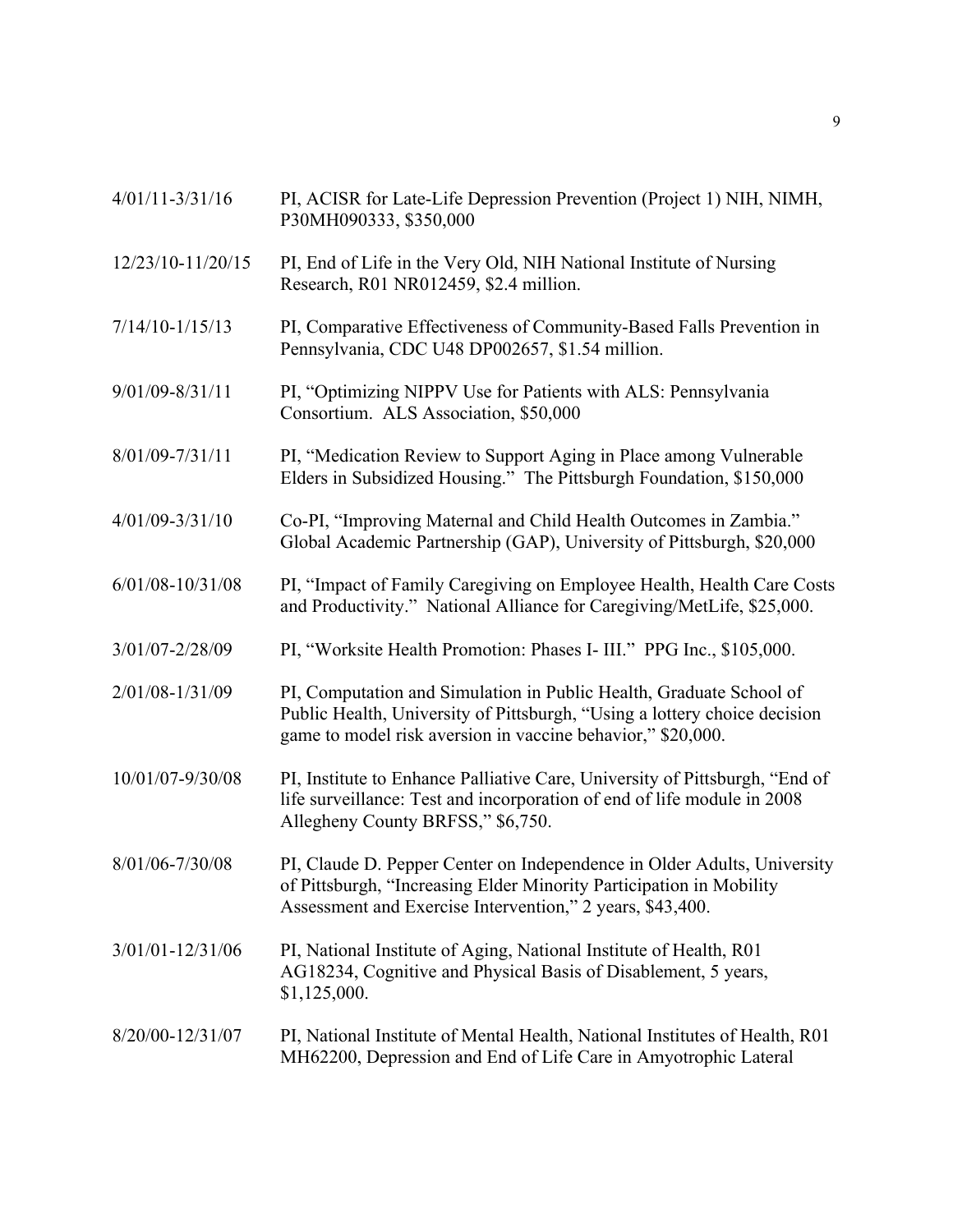- 12/23/10-11/20/15 PI, End of Life in the Very Old, NIH National Institute of Nursing Research, R01 NR012459, \$2.4 million.
- 7/14/10-1/15/13 PI, Comparative Effectiveness of Community-Based Falls Prevention in Pennsylvania, CDC U48 DP002657, \$1.54 million.
- 9/01/09-8/31/11 PI, "Optimizing NIPPV Use for Patients with ALS: Pennsylvania Consortium. ALS Association, \$50,000
- 8/01/09-7/31/11 PI, "Medication Review to Support Aging in Place among Vulnerable Elders in Subsidized Housing." The Pittsburgh Foundation, \$150,000
- 4/01/09-3/31/10 Co-PI, "Improving Maternal and Child Health Outcomes in Zambia." Global Academic Partnership (GAP), University of Pittsburgh, \$20,000
- 6/01/08-10/31/08 PI, "Impact of Family Caregiving on Employee Health, Health Care Costs and Productivity." National Alliance for Caregiving/MetLife, \$25,000.
- 3/01/07-2/28/09 PI, "Worksite Health Promotion: Phases I- III." PPG Inc., \$105,000.
- 2/01/08-1/31/09 PI, Computation and Simulation in Public Health, Graduate School of Public Health, University of Pittsburgh, "Using a lottery choice decision game to model risk aversion in vaccine behavior," \$20,000.
- 10/01/07-9/30/08 PI, Institute to Enhance Palliative Care, University of Pittsburgh, "End of life surveillance: Test and incorporation of end of life module in 2008 Allegheny County BRFSS," \$6,750.
- 8/01/06-7/30/08 PI, Claude D. Pepper Center on Independence in Older Adults, University of Pittsburgh, "Increasing Elder Minority Participation in Mobility Assessment and Exercise Intervention," 2 years, \$43,400.
- 3/01/01-12/31/06 PI, National Institute of Aging, National Institute of Health, R01 AG18234, Cognitive and Physical Basis of Disablement, 5 years, \$1,125,000.
- 8/20/00-12/31/07 PI, National Institute of Mental Health, National Institutes of Health, R01 MH62200, Depression and End of Life Care in Amyotrophic Lateral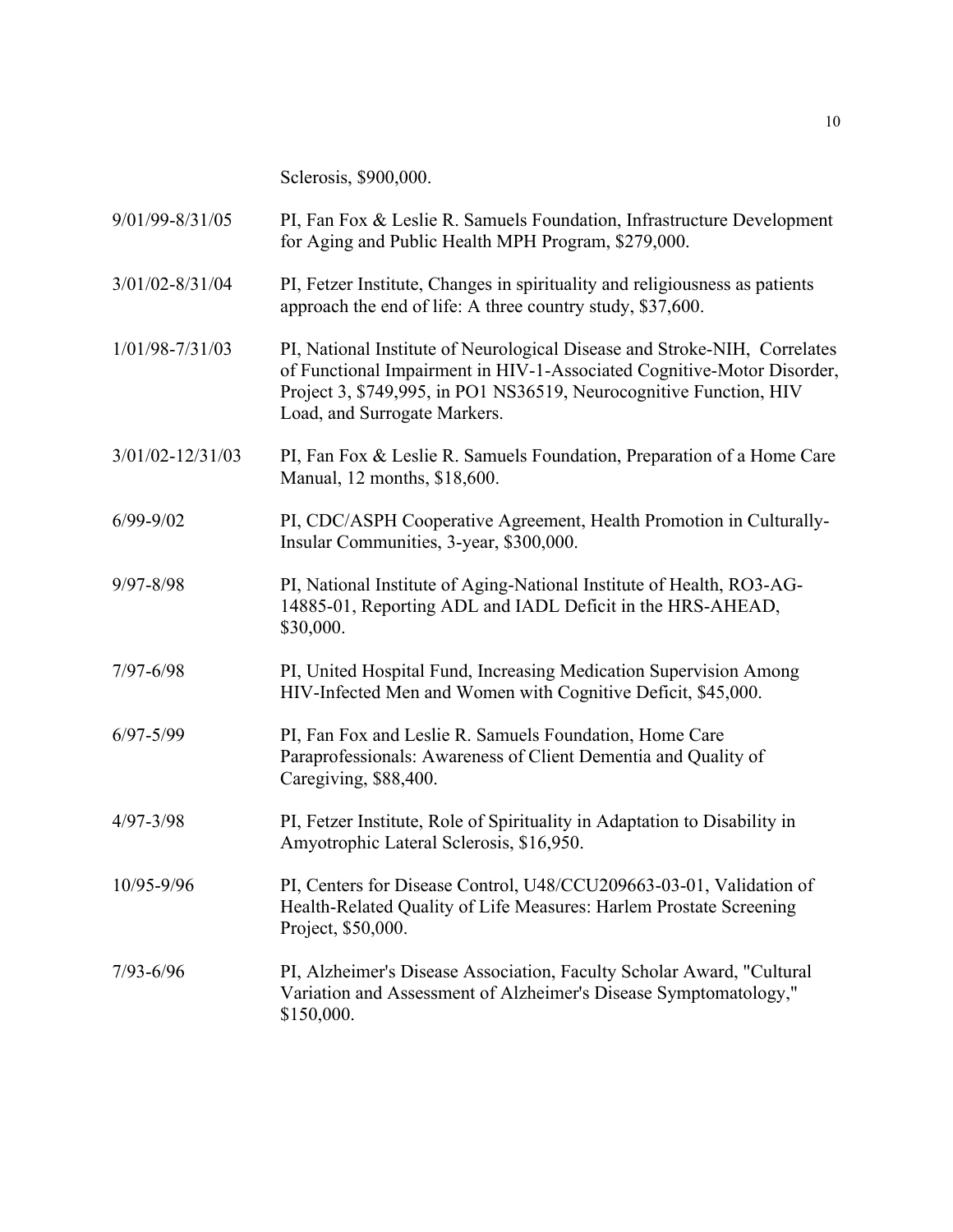Sclerosis, \$900,000.

| 9/01/99-8/31/05      | PI, Fan Fox & Leslie R. Samuels Foundation, Infrastructure Development<br>for Aging and Public Health MPH Program, \$279,000.                                                                                                                             |
|----------------------|-----------------------------------------------------------------------------------------------------------------------------------------------------------------------------------------------------------------------------------------------------------|
| $3/01/02 - 8/31/04$  | PI, Fetzer Institute, Changes in spirituality and religiousness as patients<br>approach the end of life: A three country study, \$37,600.                                                                                                                 |
| 1/01/98-7/31/03      | PI, National Institute of Neurological Disease and Stroke-NIH, Correlates<br>of Functional Impairment in HIV-1-Associated Cognitive-Motor Disorder,<br>Project 3, \$749,995, in PO1 NS36519, Neurocognitive Function, HIV<br>Load, and Surrogate Markers. |
| $3/01/02 - 12/31/03$ | PI, Fan Fox & Leslie R. Samuels Foundation, Preparation of a Home Care<br>Manual, 12 months, \$18,600.                                                                                                                                                    |
| $6/99 - 9/02$        | PI, CDC/ASPH Cooperative Agreement, Health Promotion in Culturally-<br>Insular Communities, 3-year, \$300,000.                                                                                                                                            |
| 9/97-8/98            | PI, National Institute of Aging-National Institute of Health, RO3-AG-<br>14885-01, Reporting ADL and IADL Deficit in the HRS-AHEAD,<br>\$30,000.                                                                                                          |
| $7/97 - 6/98$        | PI, United Hospital Fund, Increasing Medication Supervision Among<br>HIV-Infected Men and Women with Cognitive Deficit, \$45,000.                                                                                                                         |
| $6/97 - 5/99$        | PI, Fan Fox and Leslie R. Samuels Foundation, Home Care<br>Paraprofessionals: Awareness of Client Dementia and Quality of<br>Caregiving, \$88,400.                                                                                                        |
| $4/97 - 3/98$        | PI, Fetzer Institute, Role of Spirituality in Adaptation to Disability in<br>Amyotrophic Lateral Sclerosis, \$16,950.                                                                                                                                     |
| 10/95-9/96           | PI, Centers for Disease Control, U48/CCU209663-03-01, Validation of<br>Health-Related Quality of Life Measures: Harlem Prostate Screening<br>Project, \$50,000.                                                                                           |
| $7/93 - 6/96$        | PI, Alzheimer's Disease Association, Faculty Scholar Award, "Cultural<br>Variation and Assessment of Alzheimer's Disease Symptomatology,"<br>\$150,000.                                                                                                   |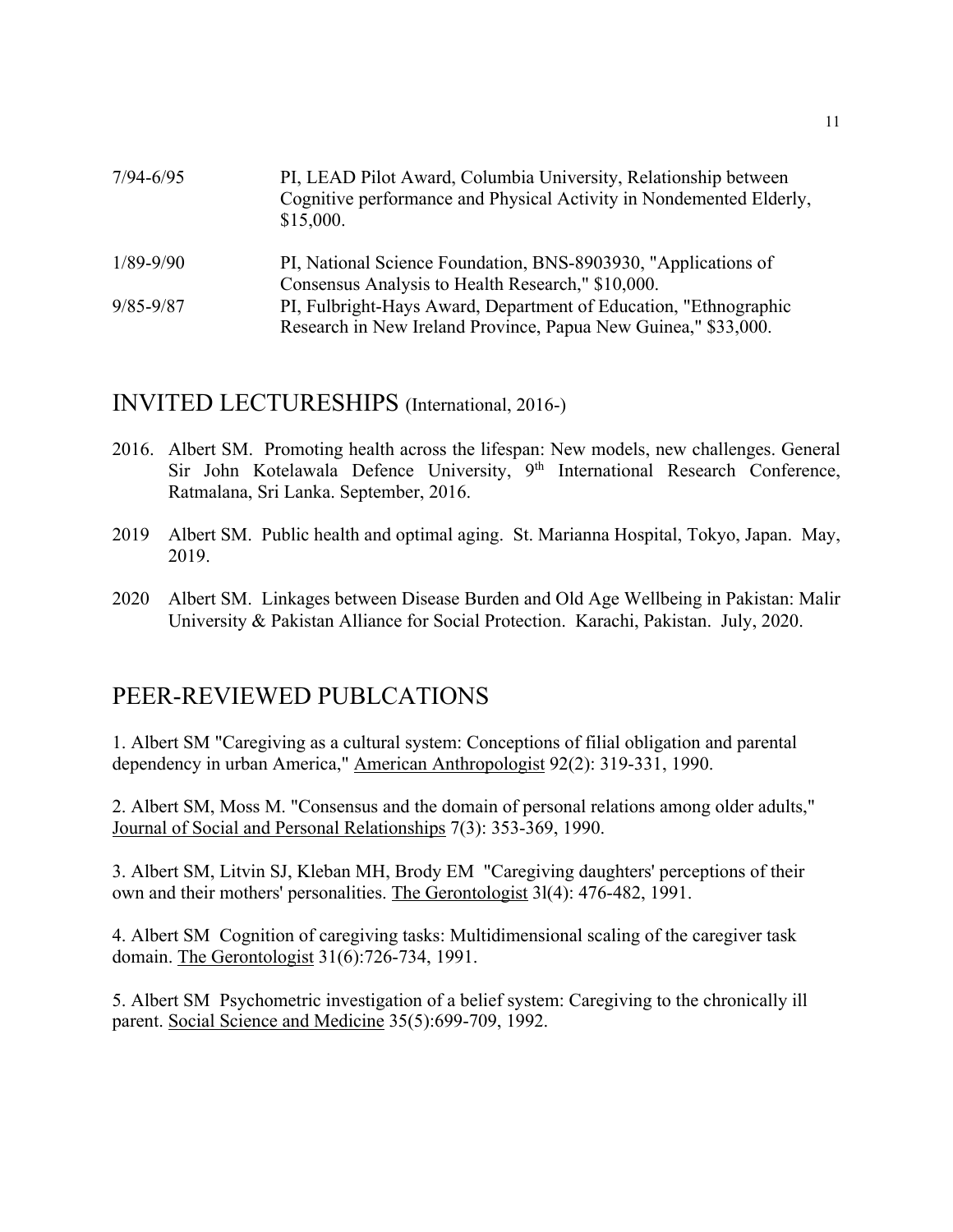| $7/94 - 6/95$ | PI, LEAD Pilot Award, Columbia University, Relationship between<br>Cognitive performance and Physical Activity in Nondemented Elderly,<br>\$15,000. |
|---------------|-----------------------------------------------------------------------------------------------------------------------------------------------------|
| $1/89 - 9/90$ | PI, National Science Foundation, BNS-8903930, "Applications of                                                                                      |
|               | Consensus Analysis to Health Research," \$10,000.                                                                                                   |
| $9/85 - 9/87$ | PI, Fulbright-Hays Award, Department of Education, "Ethnographic                                                                                    |
|               | Research in New Ireland Province, Papua New Guinea," \$33,000.                                                                                      |

### INVITED LECTURESHIPS (International, 2016-)

- 2016. Albert SM. Promoting health across the lifespan: New models, new challenges. General Sir John Kotelawala Defence University, 9<sup>th</sup> International Research Conference, Ratmalana, Sri Lanka. September, 2016.
- 2019 Albert SM. Public health and optimal aging. St. Marianna Hospital, Tokyo, Japan. May, 2019.
- 2020 Albert SM. Linkages between Disease Burden and Old Age Wellbeing in Pakistan: Malir University & Pakistan Alliance for Social Protection. Karachi, Pakistan. July, 2020.

## PEER-REVIEWED PUBLCATIONS

1. Albert SM "Caregiving as a cultural system: Conceptions of filial obligation and parental dependency in urban America," American Anthropologist 92(2): 319-331, 1990.

2. Albert SM, Moss M. "Consensus and the domain of personal relations among older adults," Journal of Social and Personal Relationships 7(3): 353-369, 1990.

3. Albert SM, Litvin SJ, Kleban MH, Brody EM "Caregiving daughters' perceptions of their own and their mothers' personalities. The Gerontologist 3l(4): 476-482, 1991.

4. Albert SM Cognition of caregiving tasks: Multidimensional scaling of the caregiver task domain. The Gerontologist 31(6):726-734, 1991.

5. Albert SM Psychometric investigation of a belief system: Caregiving to the chronically ill parent. Social Science and Medicine 35(5):699-709, 1992.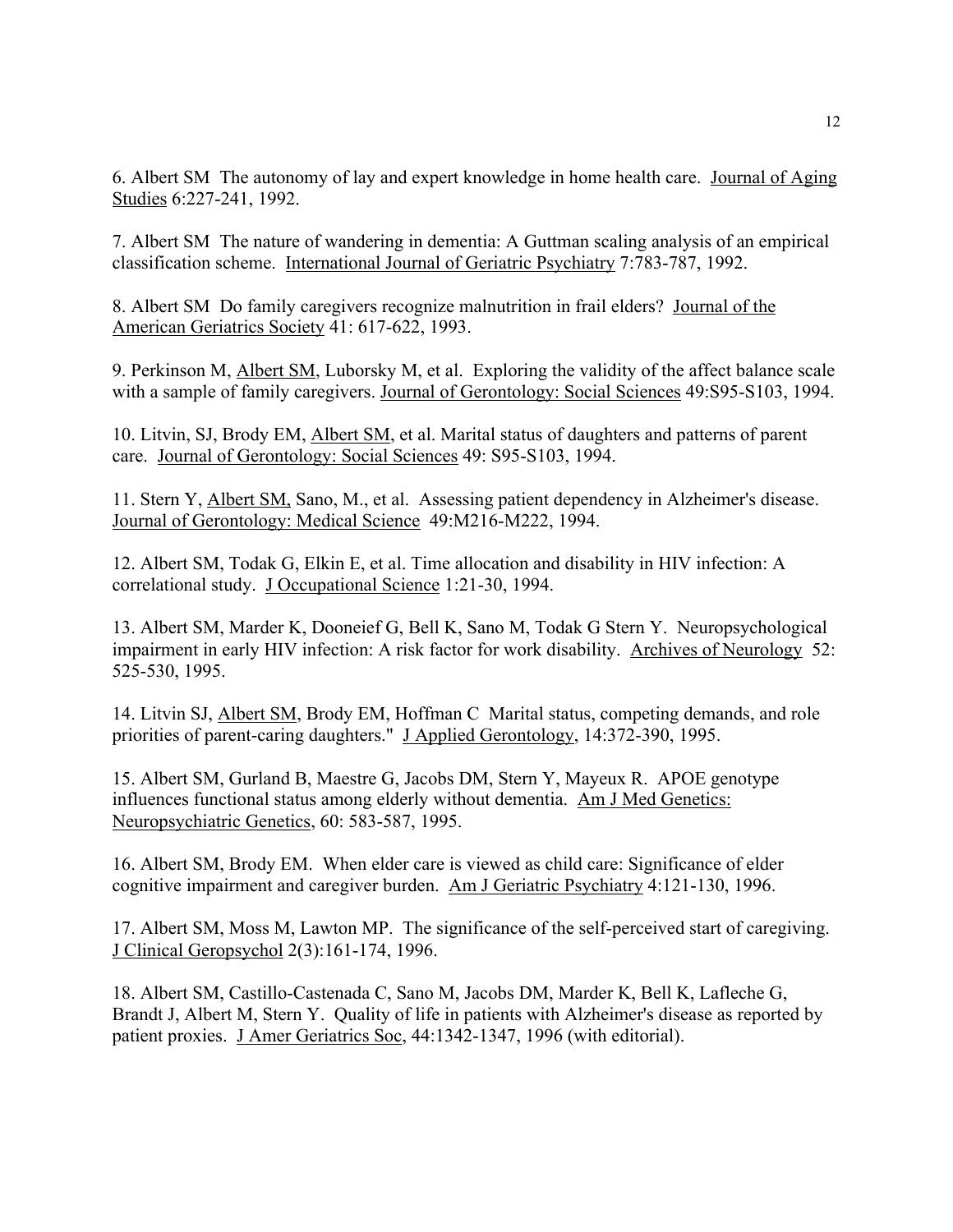6. Albert SM The autonomy of lay and expert knowledge in home health care. Journal of Aging Studies 6:227-241, 1992.

7. Albert SM The nature of wandering in dementia: A Guttman scaling analysis of an empirical classification scheme. International Journal of Geriatric Psychiatry 7:783-787, 1992.

8. Albert SM Do family caregivers recognize malnutrition in frail elders? Journal of the American Geriatrics Society 41: 617-622, 1993.

9. Perkinson M, Albert SM, Luborsky M, et al. Exploring the validity of the affect balance scale with a sample of family caregivers. Journal of Gerontology: Social Sciences 49:S95-S103, 1994.

10. Litvin, SJ, Brody EM, Albert SM, et al. Marital status of daughters and patterns of parent care. Journal of Gerontology: Social Sciences 49: S95-S103, 1994.

11. Stern Y, Albert SM, Sano, M., et al. Assessing patient dependency in Alzheimer's disease. Journal of Gerontology: Medical Science 49:M216-M222, 1994.

12. Albert SM, Todak G, Elkin E, et al. Time allocation and disability in HIV infection: A correlational study. J Occupational Science 1:21-30, 1994.

13. Albert SM, Marder K, Dooneief G, Bell K, Sano M, Todak G Stern Y. Neuropsychological impairment in early HIV infection: A risk factor for work disability. Archives of Neurology 52: 525-530, 1995.

14. Litvin SJ, Albert SM, Brody EM, Hoffman C Marital status, competing demands, and role priorities of parent-caring daughters." J Applied Gerontology, 14:372-390, 1995.

15. Albert SM, Gurland B, Maestre G, Jacobs DM, Stern Y, Mayeux R. APOE genotype influences functional status among elderly without dementia. Am J Med Genetics: Neuropsychiatric Genetics, 60: 583-587, 1995.

16. Albert SM, Brody EM. When elder care is viewed as child care: Significance of elder cognitive impairment and caregiver burden. Am J Geriatric Psychiatry 4:121-130, 1996.

17. Albert SM, Moss M, Lawton MP. The significance of the self-perceived start of caregiving. J Clinical Geropsychol 2(3):161-174, 1996.

18. Albert SM, Castillo-Castenada C, Sano M, Jacobs DM, Marder K, Bell K, Lafleche G, Brandt J, Albert M, Stern Y. Quality of life in patients with Alzheimer's disease as reported by patient proxies. J Amer Geriatrics Soc, 44:1342-1347, 1996 (with editorial).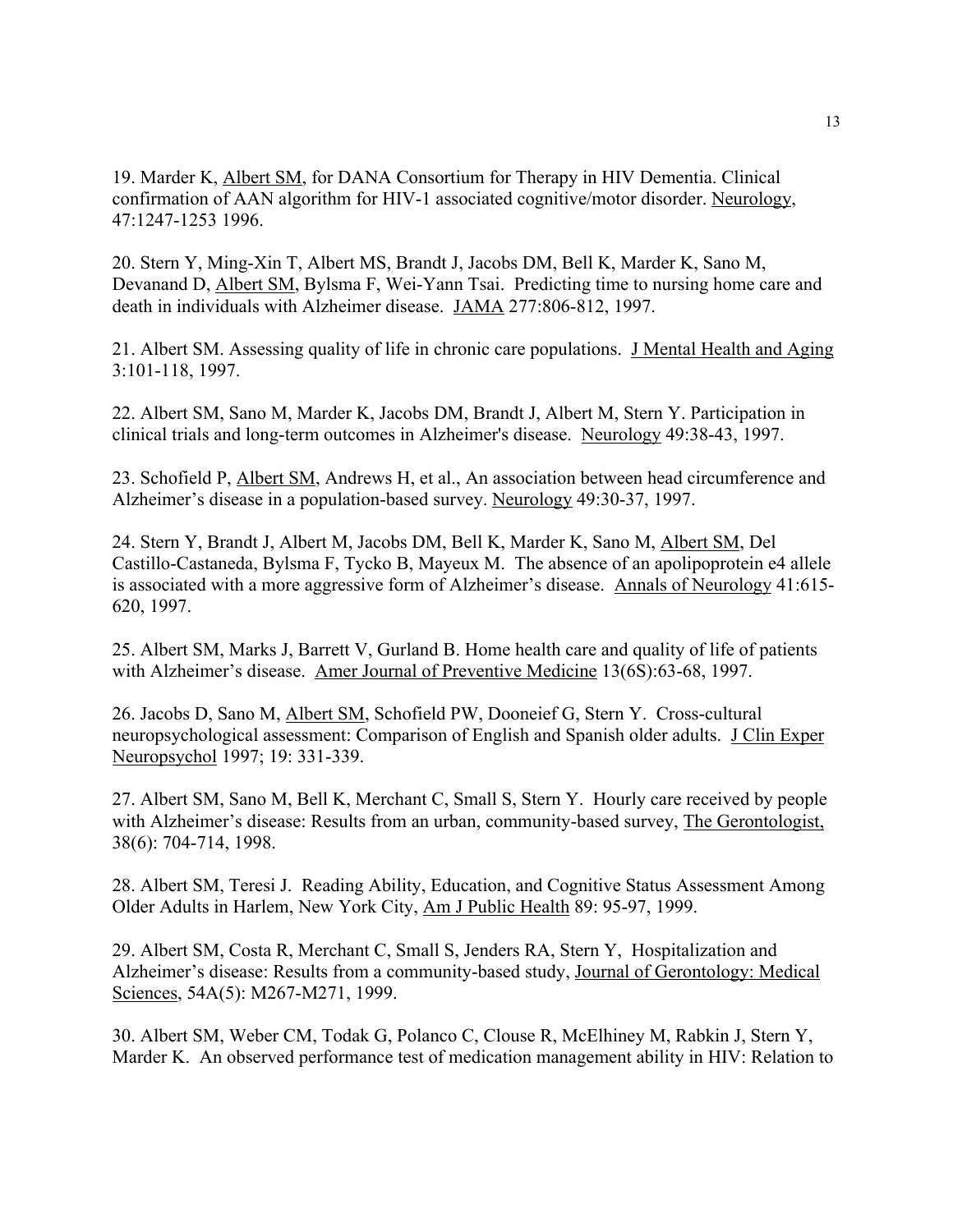19. Marder K, Albert SM, for DANA Consortium for Therapy in HIV Dementia. Clinical confirmation of AAN algorithm for HIV-1 associated cognitive/motor disorder. Neurology, 47:1247-1253 1996.

20. Stern Y, Ming-Xin T, Albert MS, Brandt J, Jacobs DM, Bell K, Marder K, Sano M, Devanand D, Albert SM, Bylsma F, Wei-Yann Tsai. Predicting time to nursing home care and death in individuals with Alzheimer disease. JAMA 277:806-812, 1997.

21. Albert SM. Assessing quality of life in chronic care populations. J Mental Health and Aging 3:101-118, 1997.

22. Albert SM, Sano M, Marder K, Jacobs DM, Brandt J, Albert M, Stern Y. Participation in clinical trials and long-term outcomes in Alzheimer's disease. Neurology 49:38-43, 1997.

23. Schofield P, Albert SM, Andrews H, et al., An association between head circumference and Alzheimer's disease in a population-based survey. Neurology 49:30-37, 1997.

24. Stern Y, Brandt J, Albert M, Jacobs DM, Bell K, Marder K, Sano M, Albert SM, Del Castillo-Castaneda, Bylsma F, Tycko B, Mayeux M. The absence of an apolipoprotein e4 allele is associated with a more aggressive form of Alzheimer's disease. Annals of Neurology 41:615- 620, 1997.

25. Albert SM, Marks J, Barrett V, Gurland B. Home health care and quality of life of patients with Alzheimer's disease. Amer Journal of Preventive Medicine 13(6S):63-68, 1997.

26. Jacobs D, Sano M, Albert SM, Schofield PW, Dooneief G, Stern Y. Cross-cultural neuropsychological assessment: Comparison of English and Spanish older adults. J Clin Exper Neuropsychol 1997; 19: 331-339.

27. Albert SM, Sano M, Bell K, Merchant C, Small S, Stern Y. Hourly care received by people with Alzheimer's disease: Results from an urban, community-based survey, The Gerontologist, 38(6): 704-714, 1998.

28. Albert SM, Teresi J. Reading Ability, Education, and Cognitive Status Assessment Among Older Adults in Harlem, New York City, Am J Public Health 89: 95-97, 1999.

29. Albert SM, Costa R, Merchant C, Small S, Jenders RA, Stern Y, Hospitalization and Alzheimer's disease: Results from a community-based study, Journal of Gerontology: Medical Sciences, 54A(5): M267-M271, 1999.

30. Albert SM, Weber CM, Todak G, Polanco C, Clouse R, McElhiney M, Rabkin J, Stern Y, Marder K. An observed performance test of medication management ability in HIV: Relation to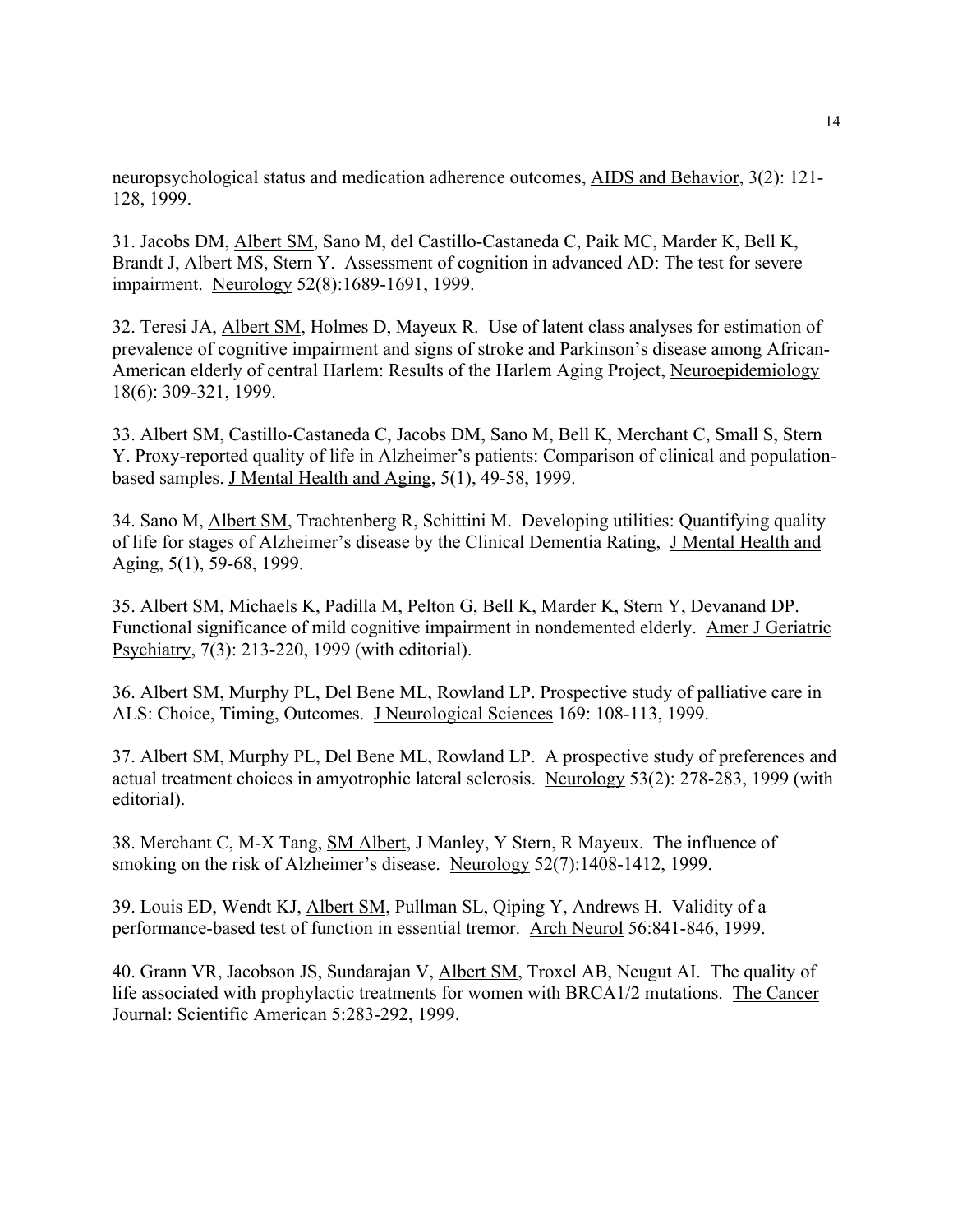neuropsychological status and medication adherence outcomes, AIDS and Behavior, 3(2): 121- 128, 1999.

31. Jacobs DM, Albert SM, Sano M, del Castillo-Castaneda C, Paik MC, Marder K, Bell K, Brandt J, Albert MS, Stern Y. Assessment of cognition in advanced AD: The test for severe impairment. Neurology 52(8):1689-1691, 1999.

32. Teresi JA, Albert SM, Holmes D, Mayeux R. Use of latent class analyses for estimation of prevalence of cognitive impairment and signs of stroke and Parkinson's disease among African-American elderly of central Harlem: Results of the Harlem Aging Project, Neuroepidemiology 18(6): 309-321, 1999.

33. Albert SM, Castillo-Castaneda C, Jacobs DM, Sano M, Bell K, Merchant C, Small S, Stern Y. Proxy-reported quality of life in Alzheimer's patients: Comparison of clinical and populationbased samples. J Mental Health and Aging, 5(1), 49-58, 1999.

34. Sano M, Albert SM, Trachtenberg R, Schittini M. Developing utilities: Quantifying quality of life for stages of Alzheimer's disease by the Clinical Dementia Rating, J Mental Health and Aging, 5(1), 59-68, 1999.

35. Albert SM, Michaels K, Padilla M, Pelton G, Bell K, Marder K, Stern Y, Devanand DP. Functional significance of mild cognitive impairment in nondemented elderly. Amer J Geriatric Psychiatry, 7(3): 213-220, 1999 (with editorial).

36. Albert SM, Murphy PL, Del Bene ML, Rowland LP. Prospective study of palliative care in ALS: Choice, Timing, Outcomes. J Neurological Sciences 169: 108-113, 1999.

37. Albert SM, Murphy PL, Del Bene ML, Rowland LP. A prospective study of preferences and actual treatment choices in amyotrophic lateral sclerosis. Neurology 53(2): 278-283, 1999 (with editorial).

38. Merchant C, M-X Tang, SM Albert, J Manley, Y Stern, R Mayeux. The influence of smoking on the risk of Alzheimer's disease. Neurology 52(7):1408-1412, 1999.

39. Louis ED, Wendt KJ, Albert SM, Pullman SL, Qiping Y, Andrews H. Validity of a performance-based test of function in essential tremor. Arch Neurol 56:841-846, 1999.

40. Grann VR, Jacobson JS, Sundarajan V, Albert SM, Troxel AB, Neugut AI. The quality of life associated with prophylactic treatments for women with BRCA1/2 mutations. The Cancer Journal: Scientific American 5:283-292, 1999.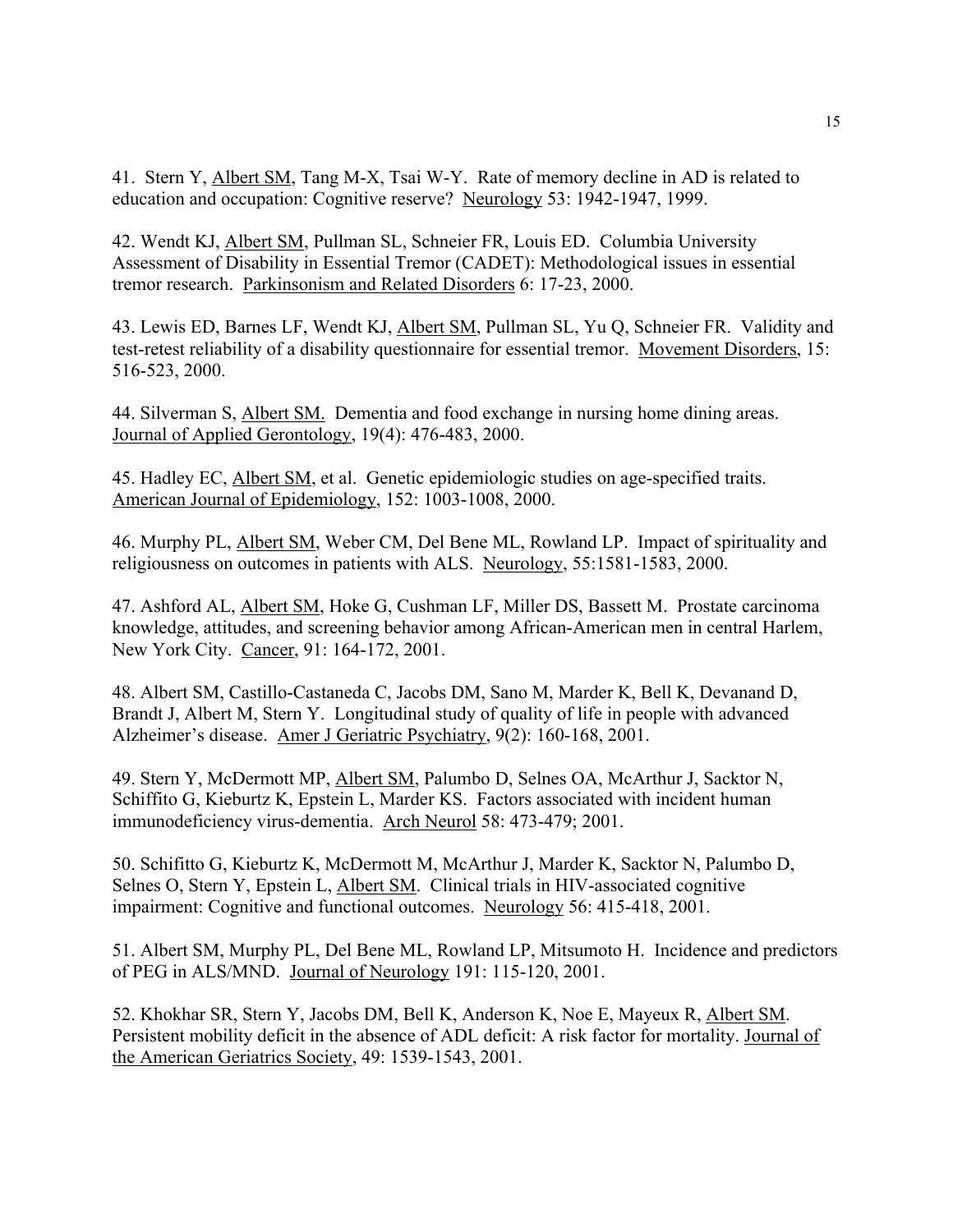41. Stern Y, Albert SM, Tang M-X, Tsai W-Y. Rate of memory decline in AD is related to education and occupation: Cognitive reserve? Neurology 53: 1942-1947, 1999.

42. Wendt KJ, Albert SM, Pullman SL, Schneier FR, Louis ED. Columbia University Assessment of Disability in Essential Tremor (CADET): Methodological issues in essential tremor research. Parkinsonism and Related Disorders 6: 17-23, 2000.

43. Lewis ED, Barnes LF, Wendt KJ, Albert SM, Pullman SL, Yu Q, Schneier FR. Validity and test-retest reliability of a disability questionnaire for essential tremor. Movement Disorders, 15: 516-523, 2000.

44. Silverman S, Albert SM. Dementia and food exchange in nursing home dining areas. Journal of Applied Gerontology, 19(4): 476-483, 2000.

45. Hadley EC, Albert SM, et al. Genetic epidemiologic studies on age-specified traits. American Journal of Epidemiology, 152: 1003-1008, 2000.

46. Murphy PL, Albert SM, Weber CM, Del Bene ML, Rowland LP. Impact of spirituality and religiousness on outcomes in patients with ALS. Neurology, 55:1581-1583, 2000.

47. Ashford AL, Albert SM, Hoke G, Cushman LF, Miller DS, Bassett M. Prostate carcinoma knowledge, attitudes, and screening behavior among African-American men in central Harlem, New York City. Cancer, 91: 164-172, 2001.

48. Albert SM, Castillo-Castaneda C, Jacobs DM, Sano M, Marder K, Bell K, Devanand D, Brandt J, Albert M, Stern Y. Longitudinal study of quality of life in people with advanced Alzheimer's disease. Amer J Geriatric Psychiatry, 9(2): 160-168, 2001.

49. Stern Y, McDermott MP, Albert SM, Palumbo D, Selnes OA, McArthur J, Sacktor N, Schiffito G, Kieburtz K, Epstein L, Marder KS. Factors associated with incident human immunodeficiency virus-dementia. Arch Neurol 58: 473-479; 2001.

50. Schifitto G, Kieburtz K, McDermott M, McArthur J, Marder K, Sacktor N, Palumbo D, Selnes O, Stern Y, Epstein L, Albert SM. Clinical trials in HIV-associated cognitive impairment: Cognitive and functional outcomes. Neurology 56: 415-418, 2001.

51. Albert SM, Murphy PL, Del Bene ML, Rowland LP, Mitsumoto H. Incidence and predictors of PEG in ALS/MND. Journal of Neurology 191: 115-120, 2001.

52. Khokhar SR, Stern Y, Jacobs DM, Bell K, Anderson K, Noe E, Mayeux R, Albert SM. Persistent mobility deficit in the absence of ADL deficit: A risk factor for mortality. Journal of the American Geriatrics Society, 49: 1539-1543, 2001.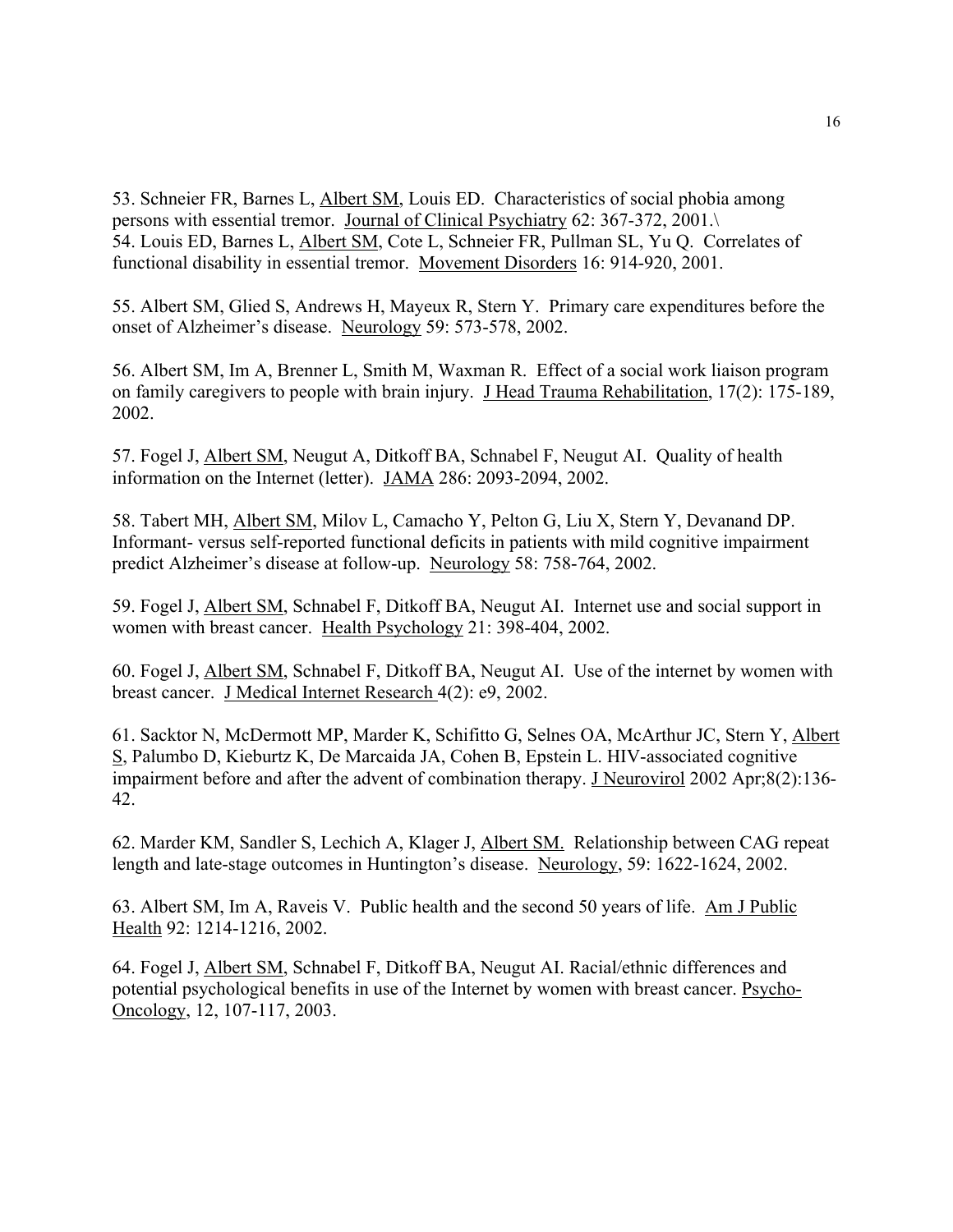53. Schneier FR, Barnes L, Albert SM, Louis ED. Characteristics of social phobia among persons with essential tremor. Journal of Clinical Psychiatry 62: 367-372, 2001.\ 54. Louis ED, Barnes L, Albert SM, Cote L, Schneier FR, Pullman SL, Yu Q. Correlates of functional disability in essential tremor. Movement Disorders 16: 914-920, 2001.

55. Albert SM, Glied S, Andrews H, Mayeux R, Stern Y. Primary care expenditures before the onset of Alzheimer's disease. Neurology 59: 573-578, 2002.

56. Albert SM, Im A, Brenner L, Smith M, Waxman R. Effect of a social work liaison program on family caregivers to people with brain injury. J Head Trauma Rehabilitation, 17(2): 175-189, 2002.

57. Fogel J, Albert SM, Neugut A, Ditkoff BA, Schnabel F, Neugut AI. Quality of health information on the Internet (letter). JAMA 286: 2093-2094, 2002.

58. Tabert MH, Albert SM, Milov L, Camacho Y, Pelton G, Liu X, Stern Y, Devanand DP. Informant- versus self-reported functional deficits in patients with mild cognitive impairment predict Alzheimer's disease at follow-up. Neurology 58: 758-764, 2002.

59. Fogel J, Albert SM, Schnabel F, Ditkoff BA, Neugut AI. Internet use and social support in women with breast cancer. Health Psychology 21: 398-404, 2002.

60. Fogel J, Albert SM, Schnabel F, Ditkoff BA, Neugut AI. Use of the internet by women with breast cancer. J Medical Internet Research 4(2): e9, 2002.

61. Sacktor N, McDermott MP, Marder K, Schifitto G, Selnes OA, McArthur JC, Stern Y, Albert S, Palumbo D, Kieburtz K, De Marcaida JA, Cohen B, Epstein L. HIV-associated cognitive impairment before and after the advent of combination therapy. J Neurovirol 2002 Apr;8(2):136- 42.

62. Marder KM, Sandler S, Lechich A, Klager J, Albert SM. Relationship between CAG repeat length and late-stage outcomes in Huntington's disease. Neurology, 59: 1622-1624, 2002.

63. Albert SM, Im A, Raveis V. Public health and the second 50 years of life. Am J Public Health 92: 1214-1216, 2002.

64. Fogel J, Albert SM, Schnabel F, Ditkoff BA, Neugut AI. Racial/ethnic differences and potential psychological benefits in use of the Internet by women with breast cancer. Psycho-Oncology, 12, 107-117, 2003.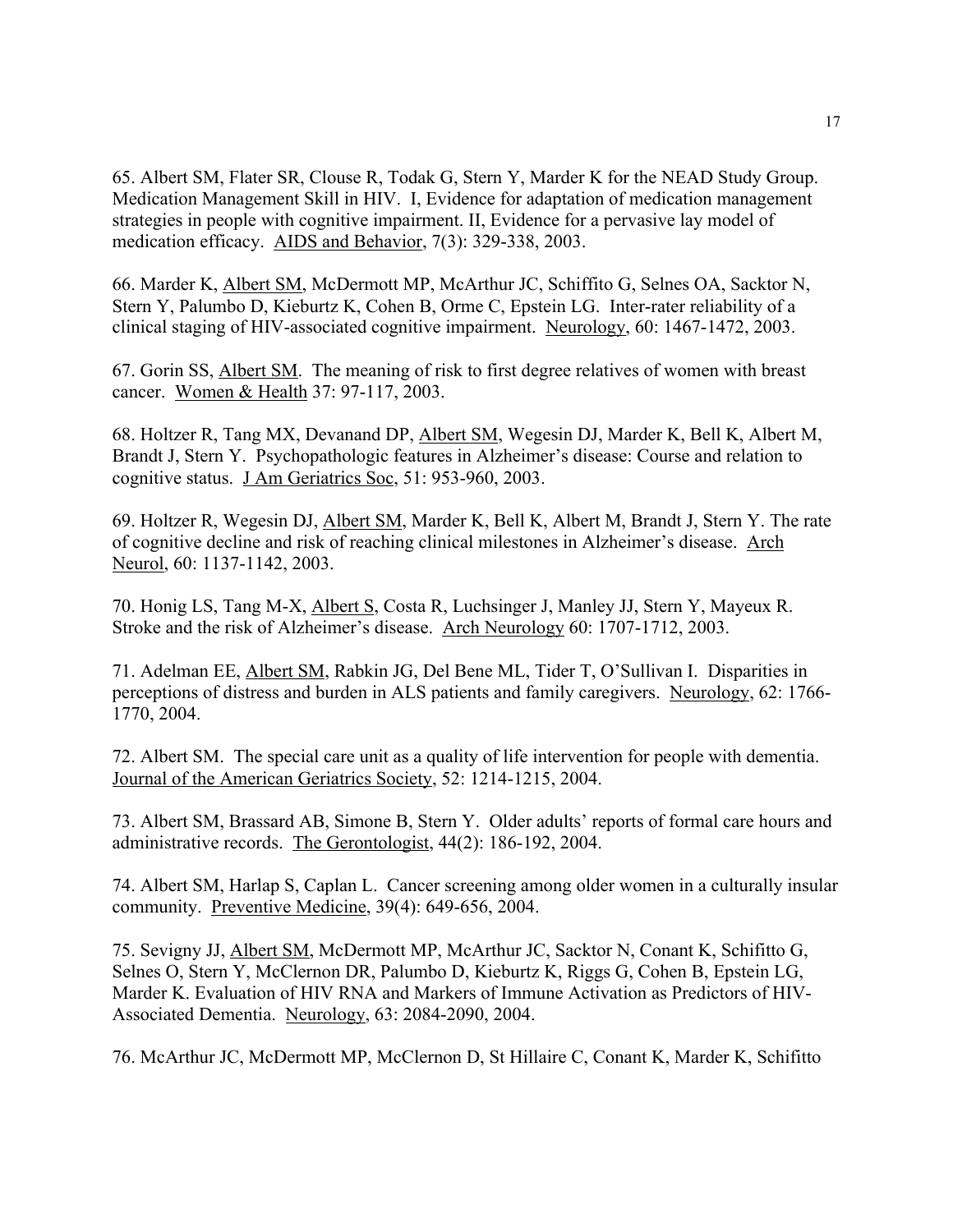65. Albert SM, Flater SR, Clouse R, Todak G, Stern Y, Marder K for the NEAD Study Group. Medication Management Skill in HIV. I, Evidence for adaptation of medication management strategies in people with cognitive impairment. II, Evidence for a pervasive lay model of medication efficacy. AIDS and Behavior, 7(3): 329-338, 2003.

66. Marder K, Albert SM, McDermott MP, McArthur JC, Schiffito G, Selnes OA, Sacktor N, Stern Y, Palumbo D, Kieburtz K, Cohen B, Orme C, Epstein LG. Inter-rater reliability of a clinical staging of HIV-associated cognitive impairment. Neurology, 60: 1467-1472, 2003.

67. Gorin SS, Albert SM. The meaning of risk to first degree relatives of women with breast cancer. Women & Health 37: 97-117, 2003.

68. Holtzer R, Tang MX, Devanand DP, Albert SM, Wegesin DJ, Marder K, Bell K, Albert M, Brandt J, Stern Y. Psychopathologic features in Alzheimer's disease: Course and relation to cognitive status. J Am Geriatrics Soc, 51: 953-960, 2003.

69. Holtzer R, Wegesin DJ, Albert SM, Marder K, Bell K, Albert M, Brandt J, Stern Y. The rate of cognitive decline and risk of reaching clinical milestones in Alzheimer's disease. Arch Neurol, 60: 1137-1142, 2003.

70. Honig LS, Tang M-X, Albert S, Costa R, Luchsinger J, Manley JJ, Stern Y, Mayeux R. Stroke and the risk of Alzheimer's disease. Arch Neurology 60: 1707-1712, 2003.

71. Adelman EE, Albert SM, Rabkin JG, Del Bene ML, Tider T, O'Sullivan I. Disparities in perceptions of distress and burden in ALS patients and family caregivers. Neurology, 62: 1766- 1770, 2004.

72. Albert SM. The special care unit as a quality of life intervention for people with dementia. Journal of the American Geriatrics Society, 52: 1214-1215, 2004.

73. Albert SM, Brassard AB, Simone B, Stern Y. Older adults' reports of formal care hours and administrative records. The Gerontologist, 44(2): 186-192, 2004.

74. Albert SM, Harlap S, Caplan L. Cancer screening among older women in a culturally insular community. Preventive Medicine, 39(4): 649-656, 2004.

75. Sevigny JJ, Albert SM, McDermott MP, McArthur JC, Sacktor N, Conant K, Schifitto G, Selnes O, Stern Y, McClernon DR, Palumbo D, Kieburtz K, Riggs G, Cohen B, Epstein LG, Marder K. Evaluation of HIV RNA and Markers of Immune Activation as Predictors of HIV-Associated Dementia. Neurology, 63: 2084-2090, 2004.

76. McArthur JC, McDermott MP, McClernon D, St Hillaire C, Conant K, Marder K, Schifitto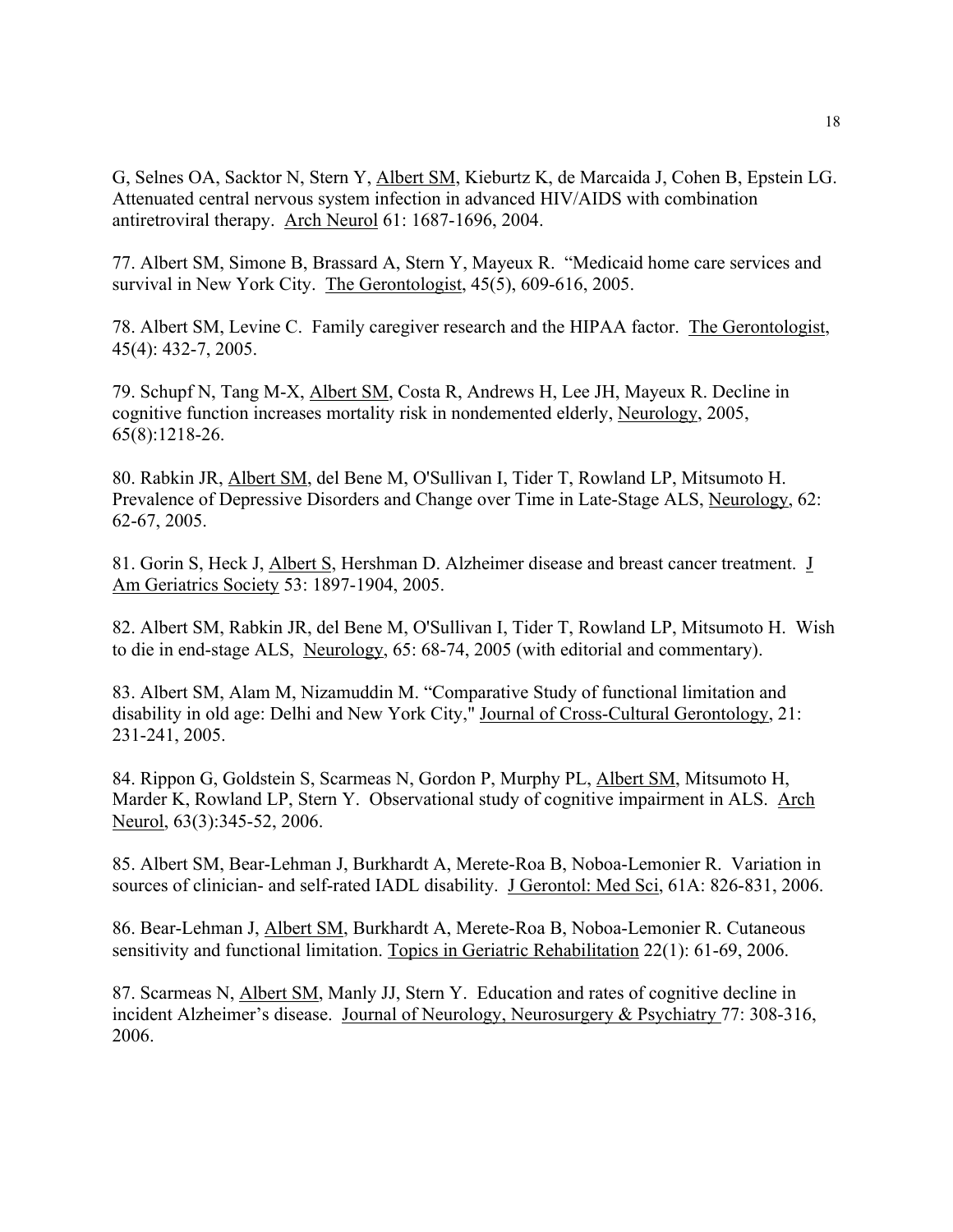G, Selnes OA, Sacktor N, Stern Y, Albert SM, Kieburtz K, de Marcaida J, Cohen B, Epstein LG. Attenuated central nervous system infection in advanced HIV/AIDS with combination antiretroviral therapy. Arch Neurol 61: 1687-1696, 2004.

77. Albert SM, Simone B, Brassard A, Stern Y, Mayeux R. "Medicaid home care services and survival in New York City. The Gerontologist, 45(5), 609-616, 2005.

78. Albert SM, Levine C. Family caregiver research and the HIPAA factor. The Gerontologist, 45(4): 432-7, 2005.

79. Schupf N, Tang M-X, Albert SM, Costa R, Andrews H, Lee JH, Mayeux R. Decline in cognitive function increases mortality risk in nondemented elderly, Neurology, 2005, 65(8):1218-26.

80. Rabkin JR, Albert SM, del Bene M, O'Sullivan I, Tider T, Rowland LP, Mitsumoto H. Prevalence of Depressive Disorders and Change over Time in Late-Stage ALS, Neurology, 62: 62-67, 2005.

81. Gorin S, Heck J, Albert S, Hershman D. Alzheimer disease and breast cancer treatment. J Am Geriatrics Society 53: 1897-1904, 2005.

82. Albert SM, Rabkin JR, del Bene M, O'Sullivan I, Tider T, Rowland LP, Mitsumoto H. Wish to die in end-stage ALS, Neurology, 65: 68-74, 2005 (with editorial and commentary).

83. Albert SM, Alam M, Nizamuddin M. "Comparative Study of functional limitation and disability in old age: Delhi and New York City," Journal of Cross-Cultural Gerontology, 21: 231-241, 2005.

84. Rippon G, Goldstein S, Scarmeas N, Gordon P, Murphy PL, Albert SM, Mitsumoto H, Marder K, Rowland LP, Stern Y. Observational study of cognitive impairment in ALS. Arch Neurol, 63(3):345-52, 2006.

85. Albert SM, Bear-Lehman J, Burkhardt A, Merete-Roa B, Noboa-Lemonier R. Variation in sources of clinician- and self-rated IADL disability. J Gerontol: Med Sci, 61A: 826-831, 2006.

86. Bear-Lehman J, Albert SM, Burkhardt A, Merete-Roa B, Noboa-Lemonier R. Cutaneous sensitivity and functional limitation. Topics in Geriatric Rehabilitation 22(1): 61-69, 2006.

87. Scarmeas N, Albert SM, Manly JJ, Stern Y. Education and rates of cognitive decline in incident Alzheimer's disease. Journal of Neurology, Neurosurgery & Psychiatry 77: 308-316, 2006.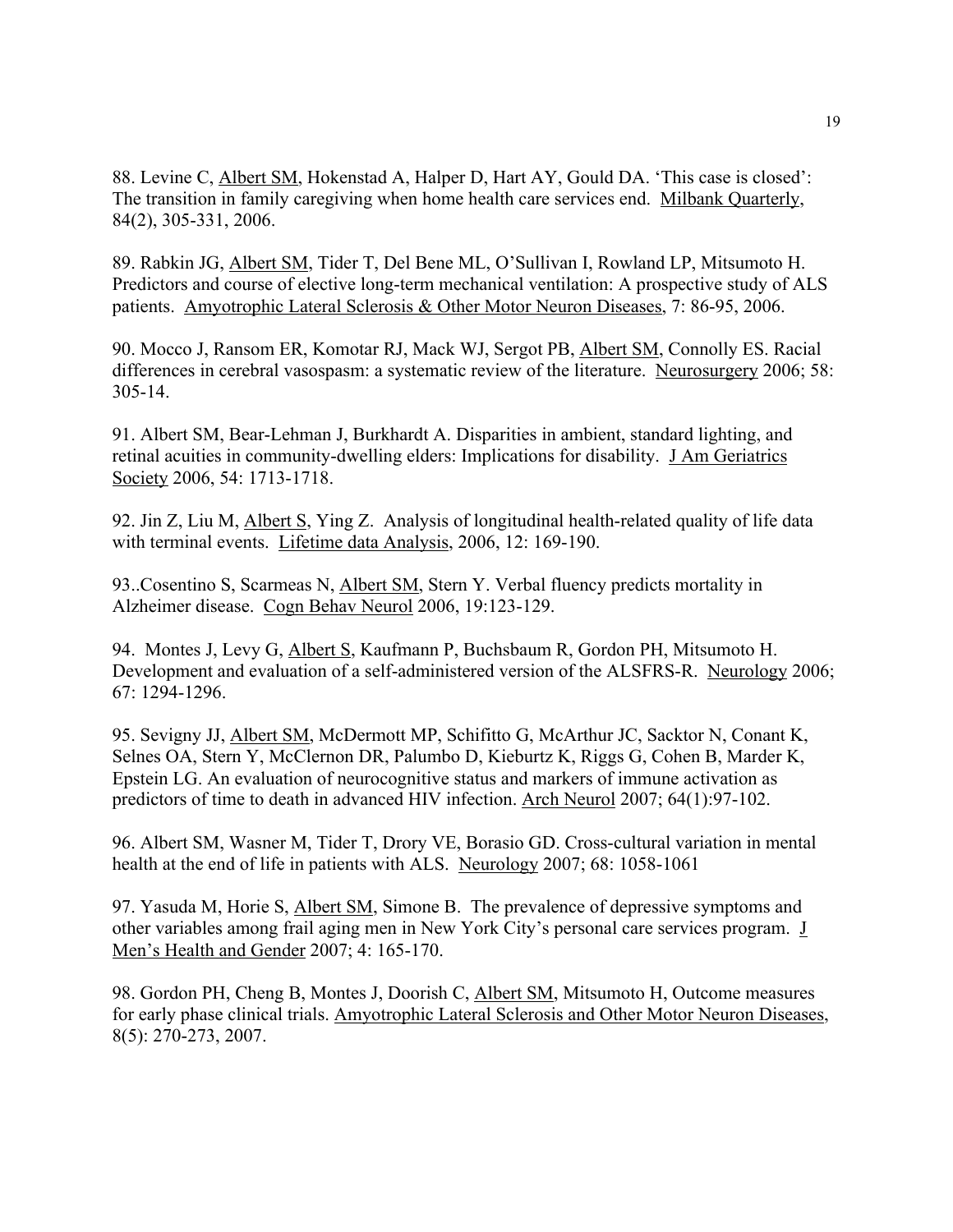88. Levine C, Albert SM, Hokenstad A, Halper D, Hart AY, Gould DA. 'This case is closed': The transition in family caregiving when home health care services end. Milbank Quarterly, 84(2), 305-331, 2006.

89. Rabkin JG, Albert SM, Tider T, Del Bene ML, O'Sullivan I, Rowland LP, Mitsumoto H. Predictors and course of elective long-term mechanical ventilation: A prospective study of ALS patients. Amyotrophic Lateral Sclerosis & Other Motor Neuron Diseases, 7: 86-95, 2006.

90. Mocco J, Ransom ER, Komotar RJ, Mack WJ, Sergot PB, Albert SM, Connolly ES. Racial differences in cerebral vasospasm: a systematic review of the literature. Neurosurgery 2006; 58: 305-14.

91. Albert SM, Bear-Lehman J, Burkhardt A. Disparities in ambient, standard lighting, and retinal acuities in community-dwelling elders: Implications for disability. J Am Geriatrics Society 2006, 54: 1713-1718.

92. Jin Z, Liu M, Albert S, Ying Z. Analysis of longitudinal health-related quality of life data with terminal events. Lifetime data Analysis, 2006, 12: 169-190.

93..Cosentino S, Scarmeas N, Albert SM, Stern Y. Verbal fluency predicts mortality in Alzheimer disease. Cogn Behav Neurol 2006, 19:123-129.

94. Montes J, Levy G, *Albert S*, Kaufmann P, Buchsbaum R, Gordon PH, Mitsumoto H. Development and evaluation of a self-administered version of the ALSFRS-R. Neurology 2006; 67: 1294-1296.

95. Sevigny JJ, Albert SM, McDermott MP, Schifitto G, McArthur JC, Sacktor N, Conant K, Selnes OA, Stern Y, McClernon DR, Palumbo D, Kieburtz K, Riggs G, Cohen B, Marder K, Epstein LG. An evaluation of neurocognitive status and markers of immune activation as predictors of time to death in advanced HIV infection. Arch Neurol 2007; 64(1):97-102.

96. Albert SM, Wasner M, Tider T, Drory VE, Borasio GD. Cross-cultural variation in mental health at the end of life in patients with ALS. Neurology 2007; 68: 1058-1061

97. Yasuda M, Horie S, Albert SM, Simone B. The prevalence of depressive symptoms and other variables among frail aging men in New York City's personal care services program. J Men's Health and Gender 2007; 4: 165-170.

98. Gordon PH, Cheng B, Montes J, Doorish C, Albert SM, Mitsumoto H, Outcome measures for early phase clinical trials. Amyotrophic Lateral Sclerosis and Other Motor Neuron Diseases, 8(5): 270-273, 2007.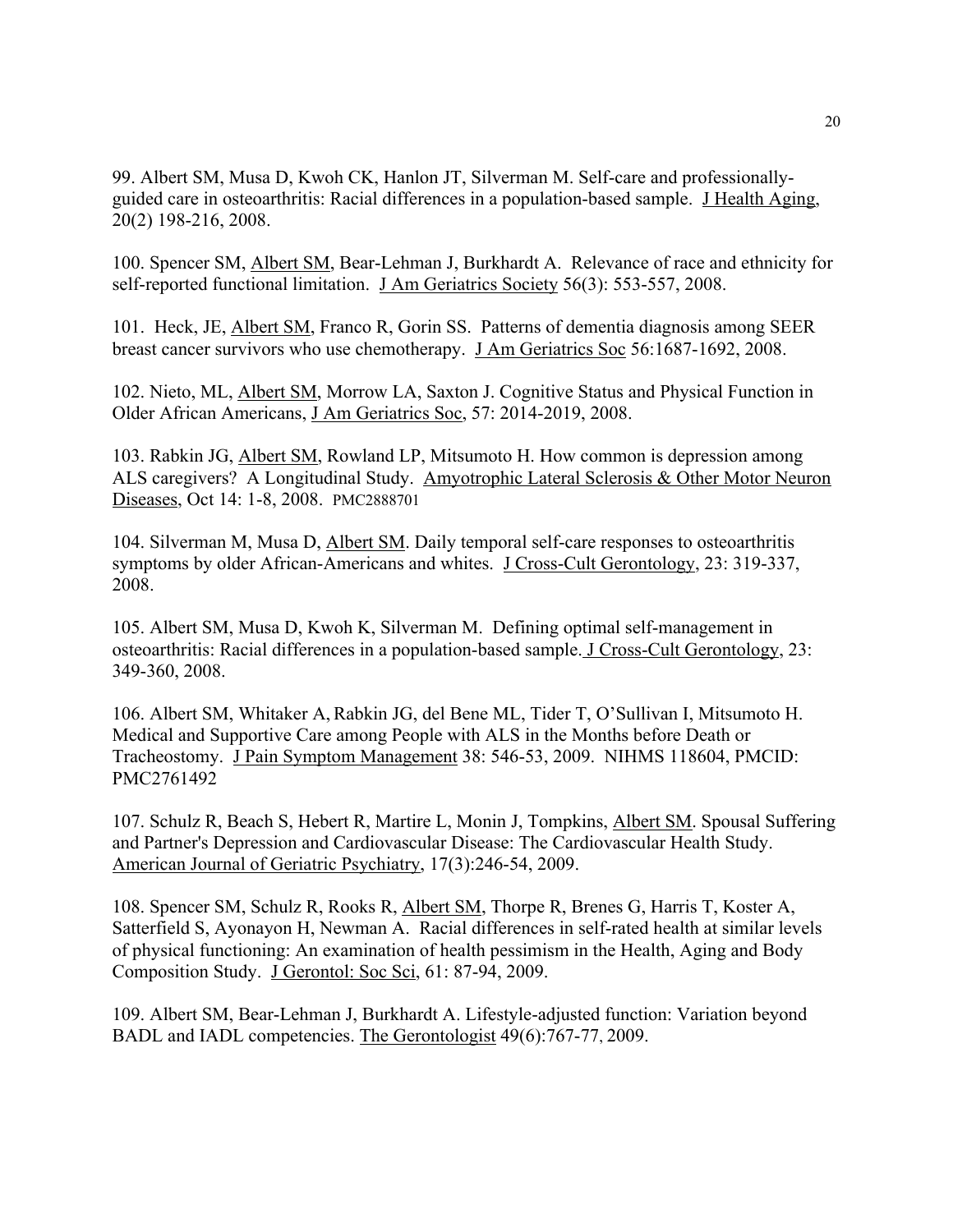99. Albert SM, Musa D, Kwoh CK, Hanlon JT, Silverman M. Self-care and professionallyguided care in osteoarthritis: Racial differences in a population-based sample. J Health Aging, 20(2) 198-216, 2008.

100. Spencer SM, Albert SM, Bear-Lehman J, Burkhardt A. Relevance of race and ethnicity for self-reported functional limitation. J Am Geriatrics Society 56(3): 553-557, 2008.

101. Heck, JE, Albert SM, Franco R, Gorin SS. Patterns of dementia diagnosis among SEER breast cancer survivors who use chemotherapy. J Am Geriatrics Soc 56:1687-1692, 2008.

102. Nieto, ML, Albert SM, Morrow LA, Saxton J. Cognitive Status and Physical Function in Older African Americans, J Am Geriatrics Soc, 57: 2014-2019, 2008.

103. Rabkin JG, Albert SM, Rowland LP, Mitsumoto H. How common is depression among ALS caregivers? A Longitudinal Study. Amyotrophic Lateral Sclerosis & Other Motor Neuron Diseases, Oct 14: 1-8, 2008. PMC2888701

104. Silverman M, Musa D, Albert SM. Daily temporal self-care responses to osteoarthritis symptoms by older African-Americans and whites. J Cross-Cult Gerontology, 23: 319-337, 2008.

105. Albert SM, Musa D, Kwoh K, Silverman M. Defining optimal self-management in osteoarthritis: Racial differences in a population-based sample. J Cross-Cult Gerontology, 23: 349-360, 2008.

106. Albert SM, Whitaker A,Rabkin JG, del Bene ML, Tider T, O'Sullivan I, Mitsumoto H. Medical and Supportive Care among People with ALS in the Months before Death or Tracheostomy. J Pain Symptom Management 38: 546-53, 2009. NIHMS 118604, PMCID: PMC2761492

107. Schulz R, Beach S, Hebert R, Martire L, Monin J, Tompkins, Albert SM. Spousal Suffering and Partner's Depression and Cardiovascular Disease: The Cardiovascular Health Study. American Journal of Geriatric Psychiatry, 17(3):246-54, 2009.

108. Spencer SM, Schulz R, Rooks R, Albert SM, Thorpe R, Brenes G, Harris T, Koster A, Satterfield S, Ayonayon H, Newman A. Racial differences in self-rated health at similar levels of physical functioning: An examination of health pessimism in the Health, Aging and Body Composition Study. J Gerontol: Soc Sci, 61: 87-94, 2009.

109. Albert SM, Bear-Lehman J, Burkhardt A. Lifestyle-adjusted function: Variation beyond BADL and IADL competencies. The Gerontologist 49(6):767-77, 2009.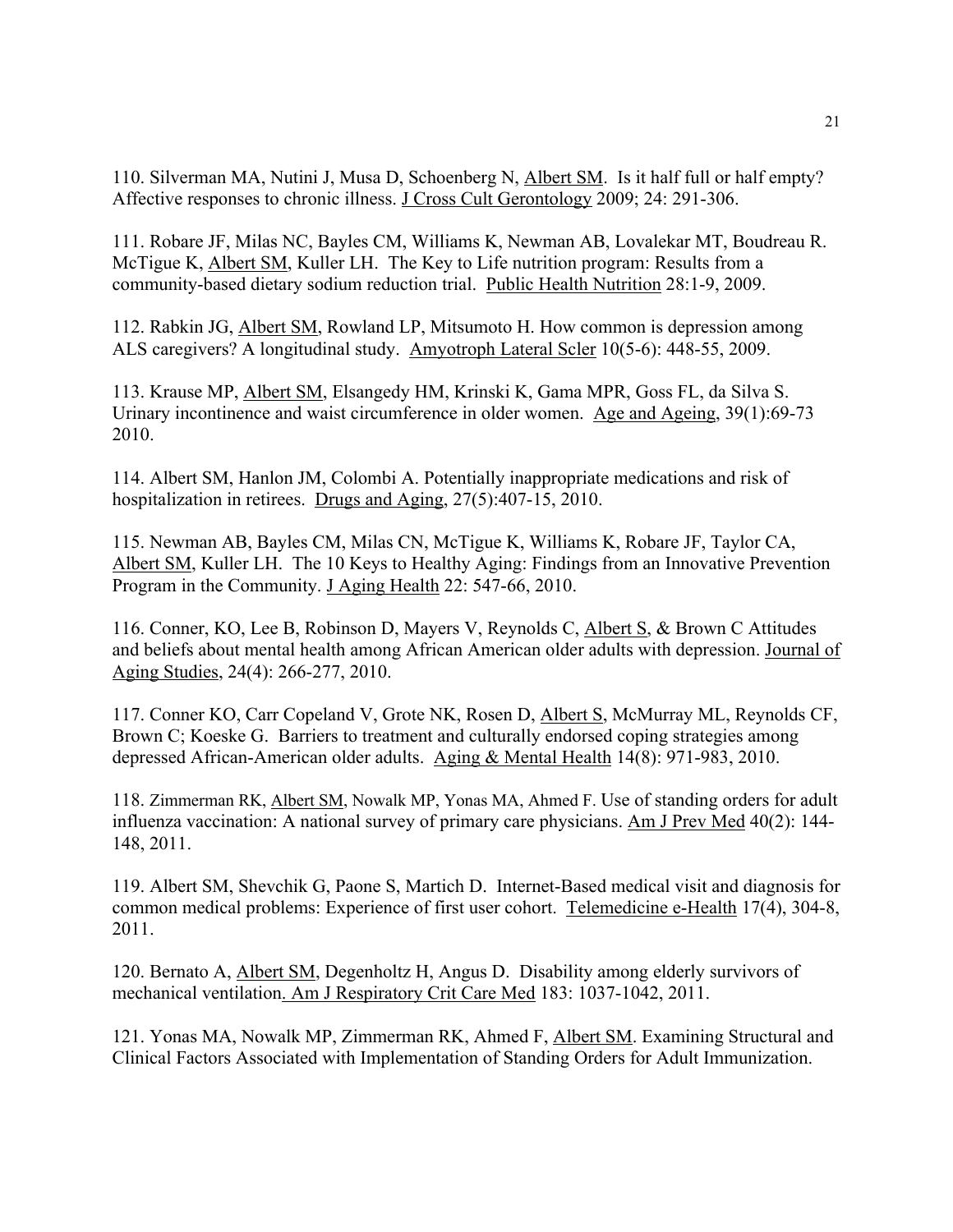110. Silverman MA, Nutini J, Musa D, Schoenberg N, Albert SM. Is it half full or half empty? Affective responses to chronic illness. J Cross Cult Gerontology 2009; 24: 291-306.

111. Robare JF, Milas NC, Bayles CM, Williams K, Newman AB, Lovalekar MT, Boudreau R. McTigue K, Albert SM, Kuller LH. The Key to Life nutrition program: Results from a community-based dietary sodium reduction trial. Public Health Nutrition 28:1-9, 2009.

112. Rabkin JG, Albert SM, Rowland LP, Mitsumoto H. How common is depression among ALS caregivers? A longitudinal study. Amyotroph Lateral Scler 10(5-6): 448-55, 2009.

113. Krause MP, Albert SM, Elsangedy HM, Krinski K, Gama MPR, Goss FL, da Silva S. Urinary incontinence and waist circumference in older women. Age and Ageing, 39(1):69-73 2010.

114. Albert SM, Hanlon JM, Colombi A. Potentially inappropriate medications and risk of hospitalization in retirees. Drugs and Aging, 27(5):407-15, 2010.

115. Newman AB, Bayles CM, Milas CN, McTigue K, Williams K, Robare JF, Taylor CA, Albert SM, Kuller LH. The 10 Keys to Healthy Aging: Findings from an Innovative Prevention Program in the Community. J Aging Health 22: 547-66, 2010.

116. Conner, KO, Lee B, Robinson D, Mayers V, Reynolds C, Albert S, & Brown C Attitudes and beliefs about mental health among African American older adults with depression. Journal of Aging Studies, 24(4): 266-277, 2010.

117. Conner KO, Carr Copeland V, Grote NK, Rosen D, Albert S, McMurray ML, Reynolds CF, Brown C; Koeske G. Barriers to treatment and culturally endorsed coping strategies among depressed African-American older adults. Aging & Mental Health 14(8): 971-983, 2010.

118. Zimmerman RK, Albert SM, Nowalk MP, Yonas MA, Ahmed F. Use of standing orders for adult influenza vaccination: A national survey of primary care physicians. Am J Prev Med 40(2): 144- 148, 2011.

119. Albert SM, Shevchik G, Paone S, Martich D. Internet-Based medical visit and diagnosis for common medical problems: Experience of first user cohort. Telemedicine e-Health 17(4), 304-8, 2011.

120. Bernato A, Albert SM, Degenholtz H, Angus D. Disability among elderly survivors of mechanical ventilation. Am J Respiratory Crit Care Med 183: 1037-1042, 2011.

121. Yonas MA, Nowalk MP, Zimmerman RK, Ahmed F, Albert SM. Examining Structural and Clinical Factors Associated with Implementation of Standing Orders for Adult Immunization.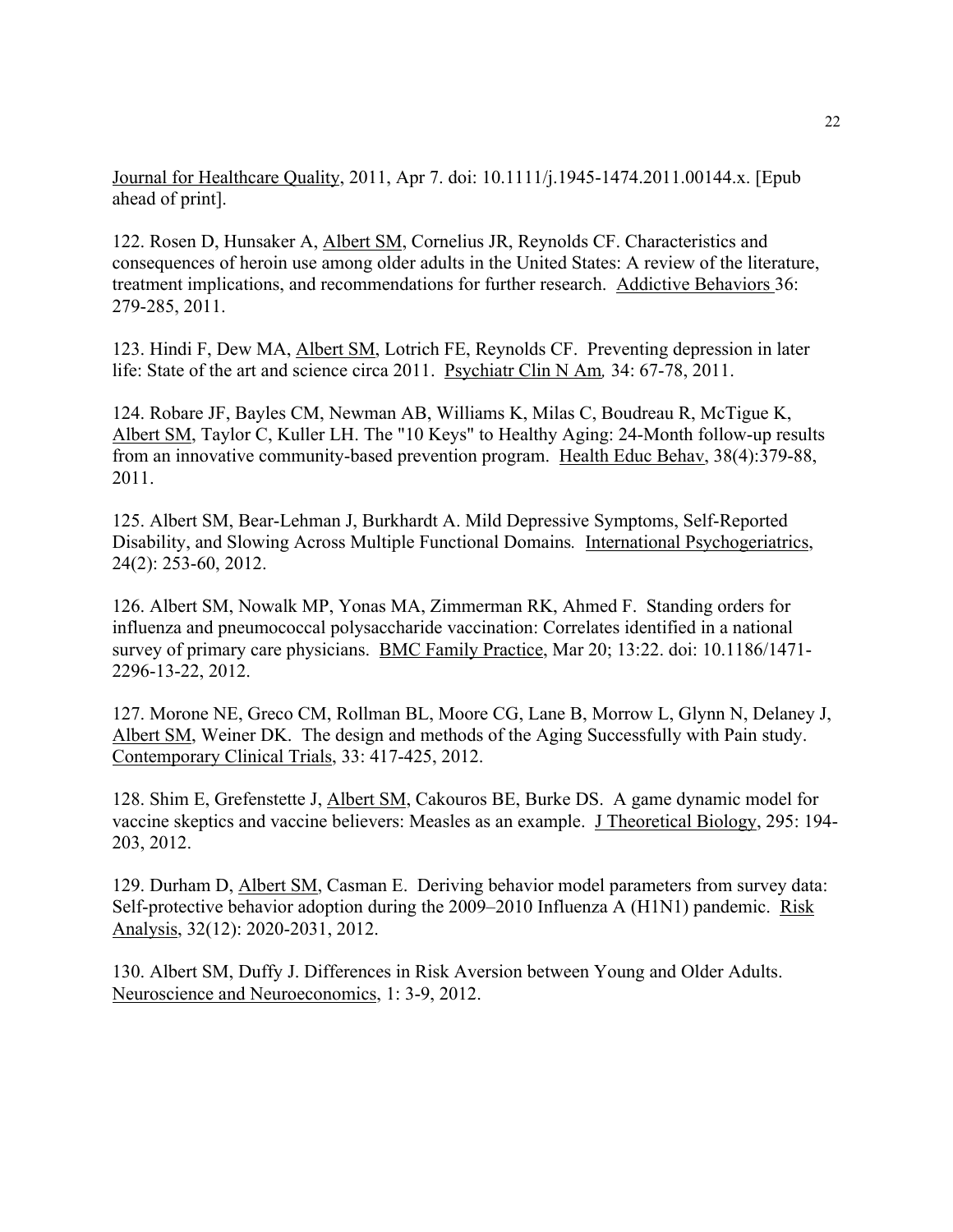Journal for Healthcare Quality, 2011, Apr 7. doi: 10.1111/j.1945-1474.2011.00144.x. [Epub ahead of print].

122. Rosen D, Hunsaker A, Albert SM, Cornelius JR, Reynolds CF. Characteristics and consequences of heroin use among older adults in the United States: A review of the literature, treatment implications, and recommendations for further research. Addictive Behaviors 36: 279-285, 2011.

123. Hindi F, Dew MA, Albert SM, Lotrich FE, Reynolds CF. Preventing depression in later life: State of the art and science circa 2011. Psychiatr Clin N Am*,* 34: 67-78, 2011.

124. Robare JF, Bayles CM, Newman AB, Williams K, Milas C, Boudreau R, McTigue K, Albert SM, Taylor C, Kuller LH. The "10 Keys" to Healthy Aging: 24-Month follow-up results from an innovative community-based prevention program. Health Educ Behav, 38(4):379-88, 2011.

125. Albert SM, Bear-Lehman J, Burkhardt A. Mild Depressive Symptoms, Self-Reported Disability, and Slowing Across Multiple Functional Domains*.* International Psychogeriatrics, 24(2): 253-60, 2012.

126. Albert SM, Nowalk MP, Yonas MA, Zimmerman RK, Ahmed F. Standing orders for influenza and pneumococcal polysaccharide vaccination: Correlates identified in a national survey of primary care physicians. BMC Family Practice, Mar 20; 13:22. doi: 10.1186/1471- 2296-13-22, 2012.

127. Morone NE, Greco CM, Rollman BL, Moore CG, Lane B, Morrow L, Glynn N, Delaney J, Albert SM, Weiner DK. The design and methods of the Aging Successfully with Pain study. Contemporary Clinical Trials, 33: 417-425, 2012.

128. Shim E, Grefenstette J, Albert SM, Cakouros BE, Burke DS. A game dynamic model for vaccine skeptics and vaccine believers: Measles as an example. J Theoretical Biology, 295: 194- 203, 2012.

129. Durham D, Albert SM, Casman E. Deriving behavior model parameters from survey data: Self-protective behavior adoption during the 2009–2010 Influenza A (H1N1) pandemic. Risk Analysis, 32(12): 2020-2031, 2012.

130. Albert SM, Duffy J. Differences in Risk Aversion between Young and Older Adults. Neuroscience and Neuroeconomics, 1: 3-9, 2012.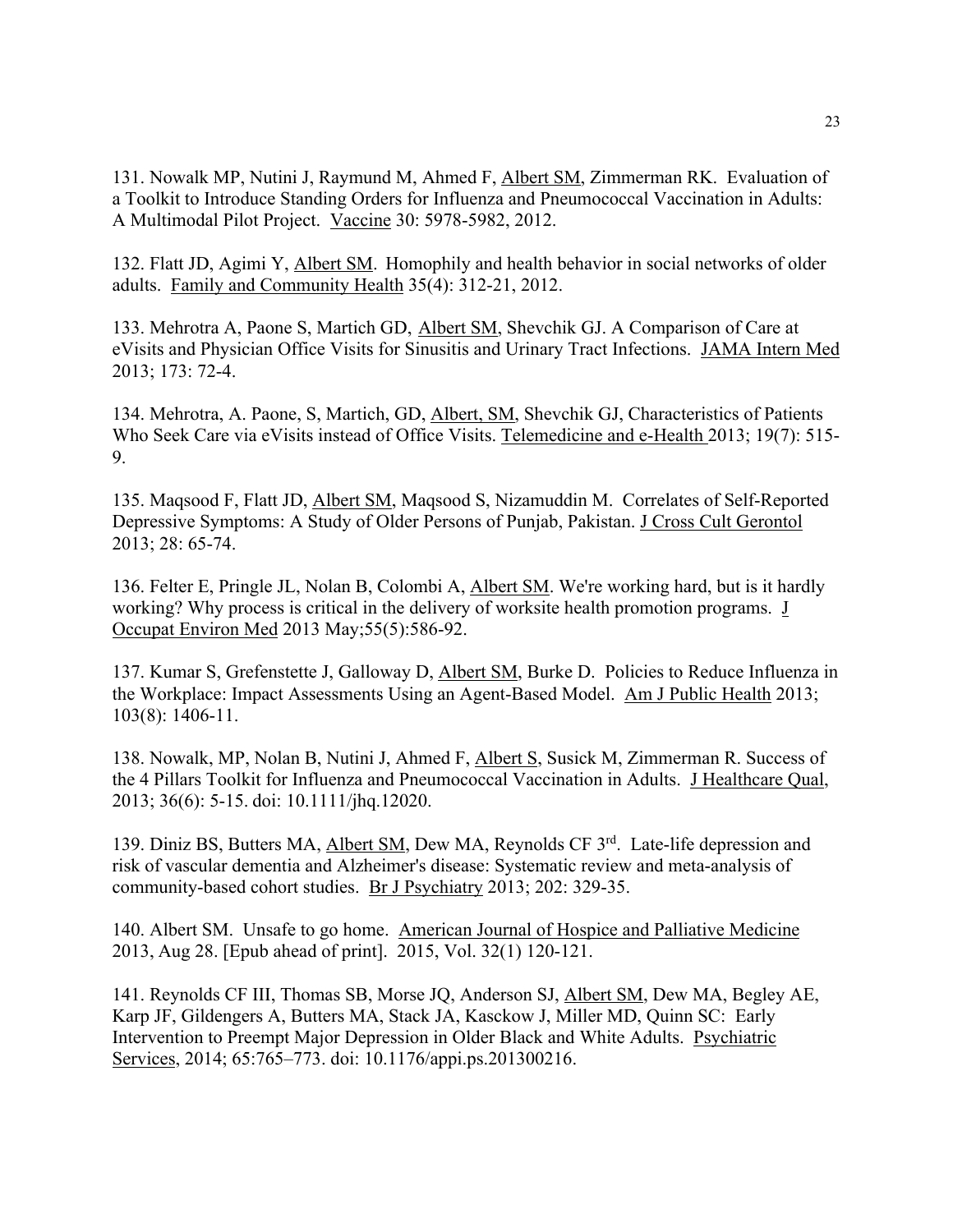131. Nowalk MP, Nutini J, Raymund M, Ahmed F, Albert SM, Zimmerman RK. Evaluation of a Toolkit to Introduce Standing Orders for Influenza and Pneumococcal Vaccination in Adults: A Multimodal Pilot Project. Vaccine 30: 5978-5982, 2012.

132. Flatt JD, Agimi Y, Albert SM. Homophily and health behavior in social networks of older adults. Family and Community Health 35(4): 312-21, 2012.

133. Mehrotra A, Paone S, Martich GD, Albert SM, Shevchik GJ. A Comparison of Care at eVisits and Physician Office Visits for Sinusitis and Urinary Tract Infections. JAMA Intern Med 2013; 173: 72-4.

134. Mehrotra, A. Paone, S, Martich, GD, Albert, SM, Shevchik GJ, Characteristics of Patients Who Seek Care via eVisits instead of Office Visits. Telemedicine and e-Health 2013; 19(7): 515- 9.

135. Maqsood F, Flatt JD, Albert SM, Maqsood S, Nizamuddin M. Correlates of Self-Reported Depressive Symptoms: A Study of Older Persons of Punjab, Pakistan. J Cross Cult Gerontol 2013; 28: 65-74.

136. Felter E, Pringle JL, Nolan B, Colombi A, Albert SM. We're working hard, but is it hardly working? Why process is critical in the delivery of worksite health promotion programs. J Occupat Environ Med 2013 May;55(5):586-92.

137. Kumar S, Grefenstette J, Galloway D, Albert SM, Burke D. Policies to Reduce Influenza in the Workplace: Impact Assessments Using an Agent-Based Model. Am J Public Health 2013; 103(8): 1406-11.

138. Nowalk, MP, Nolan B, Nutini J, Ahmed F, Albert S, Susick M, Zimmerman R. Success of the 4 Pillars Toolkit for Influenza and Pneumococcal Vaccination in Adults. J Healthcare Qual, 2013; 36(6): 5-15. doi: 10.1111/jhq.12020.

139. Diniz BS, Butters MA, Albert SM, Dew MA, Reynolds CF 3rd. Late-life depression and risk of vascular dementia and Alzheimer's disease: Systematic review and meta-analysis of community-based cohort studies. Br J Psychiatry 2013; 202: 329-35.

140. Albert SM. Unsafe to go home. American Journal of Hospice and Palliative Medicine 2013, Aug 28. [Epub ahead of print]. 2015, Vol. 32(1) 120-121.

141. Reynolds CF III, Thomas SB, Morse JQ, Anderson SJ, Albert SM, Dew MA, Begley AE, Karp JF, Gildengers A, Butters MA, Stack JA, Kasckow J, Miller MD, Quinn SC: Early Intervention to Preempt Major Depression in Older Black and White Adults. Psychiatric Services, 2014; 65:765–773. doi: 10.1176/appi.ps.201300216.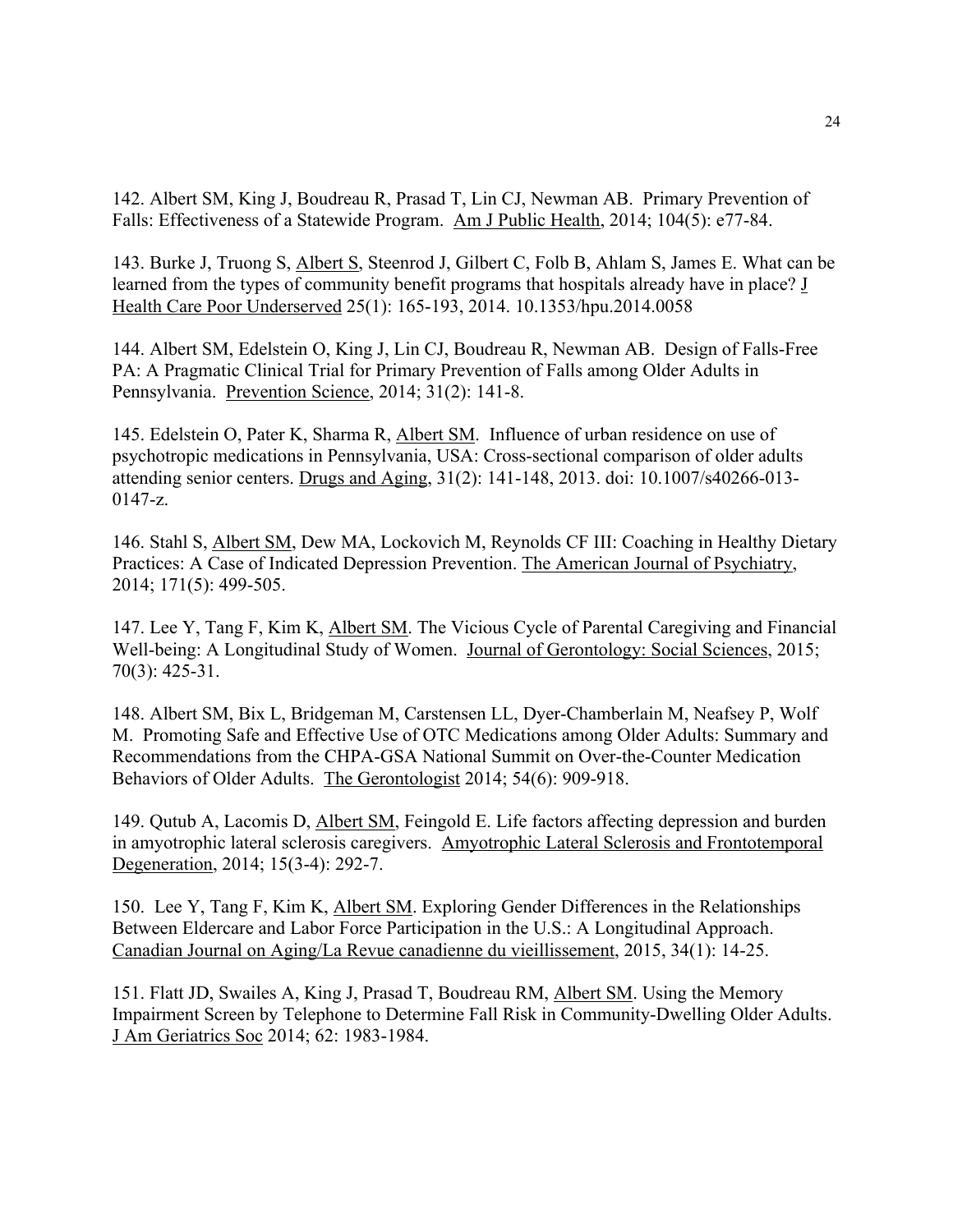142. Albert SM, King J, Boudreau R, Prasad T, Lin CJ, Newman AB. Primary Prevention of Falls: Effectiveness of a Statewide Program. Am J Public Health, 2014; 104(5): e77-84.

143. Burke J, Truong S, Albert S, Steenrod J, Gilbert C, Folb B, Ahlam S, James E. What can be learned from the types of community benefit programs that hospitals already have in place? **J** Health Care Poor Underserved 25(1): 165-193, 2014. 10.1353/hpu.2014.0058

144. Albert SM, Edelstein O, King J, Lin CJ, Boudreau R, Newman AB. Design of Falls-Free PA: A Pragmatic Clinical Trial for Primary Prevention of Falls among Older Adults in Pennsylvania. Prevention Science, 2014; 31(2): 141-8.

145. Edelstein O, Pater K, Sharma R, Albert SM. Influence of urban residence on use of psychotropic medications in Pennsylvania, USA: Cross-sectional comparison of older adults attending senior centers. Drugs and Aging, 31(2): 141-148, 2013. doi: 10.1007/s40266-013- 0147-z.

146. Stahl S, Albert SM, Dew MA, Lockovich M, Reynolds CF III: Coaching in Healthy Dietary Practices: A Case of Indicated Depression Prevention. The American Journal of Psychiatry, 2014; 171(5): 499-505.

147. Lee Y, Tang F, Kim K, Albert SM. The Vicious Cycle of Parental Caregiving and Financial Well-being: A Longitudinal Study of Women. Journal of Gerontology: Social Sciences, 2015; 70(3): 425-31.

148. Albert SM, Bix L, Bridgeman M, Carstensen LL, Dyer-Chamberlain M, Neafsey P, Wolf M. Promoting Safe and Effective Use of OTC Medications among Older Adults: Summary and Recommendations from the CHPA-GSA National Summit on Over-the-Counter Medication Behaviors of Older Adults. The Gerontologist 2014; 54(6): 909-918.

149. Qutub A, Lacomis D, Albert SM, Feingold E. Life factors affecting depression and burden in amyotrophic lateral sclerosis caregivers. Amyotrophic Lateral Sclerosis and Frontotemporal Degeneration, 2014; 15(3-4): 292-7.

150. Lee Y, Tang F, Kim K, Albert SM. Exploring Gender Differences in the Relationships Between Eldercare and Labor Force Participation in the U.S.: A Longitudinal Approach. Canadian Journal on Aging/La Revue canadienne du vieillissement, 2015, 34(1): 14-25.

151. Flatt JD, Swailes A, King J, Prasad T, Boudreau RM, Albert SM. Using the Memory Impairment Screen by Telephone to Determine Fall Risk in Community-Dwelling Older Adults. J Am Geriatrics Soc 2014; 62: 1983-1984.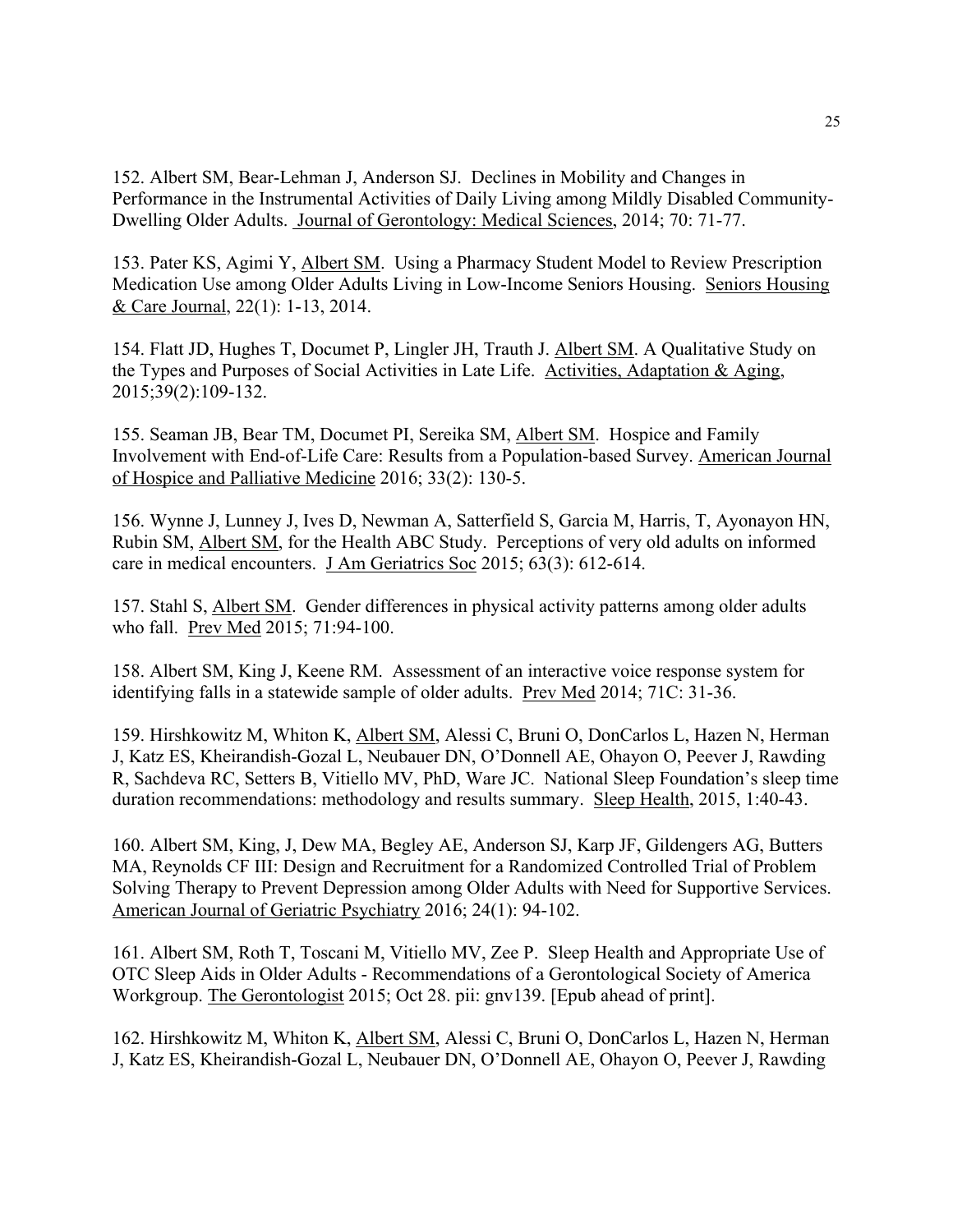152. Albert SM, Bear-Lehman J, Anderson SJ. Declines in Mobility and Changes in Performance in the Instrumental Activities of Daily Living among Mildly Disabled Community-Dwelling Older Adults. Journal of Gerontology: Medical Sciences, 2014; 70: 71-77.

153. Pater KS, Agimi Y, Albert SM. Using a Pharmacy Student Model to Review Prescription Medication Use among Older Adults Living in Low-Income Seniors Housing. Seniors Housing & Care Journal, 22(1): 1-13, 2014.

154. Flatt JD, Hughes T, Documet P, Lingler JH, Trauth J. Albert SM. A Qualitative Study on the Types and Purposes of Social Activities in Late Life. Activities, Adaptation & Aging, 2015;39(2):109-132.

155. Seaman JB, Bear TM, Documet PI, Sereika SM, Albert SM. Hospice and Family Involvement with End-of-Life Care: Results from a Population-based Survey. American Journal of Hospice and Palliative Medicine 2016; 33(2): 130-5.

156. Wynne J, Lunney J, Ives D, Newman A, Satterfield S, Garcia M, Harris, T, Ayonayon HN, Rubin SM, Albert SM, for the Health ABC Study. Perceptions of very old adults on informed care in medical encounters. J Am Geriatrics Soc 2015; 63(3): 612-614.

157. Stahl S, Albert SM. Gender differences in physical activity patterns among older adults who fall. Prev Med 2015; 71:94-100.

158. Albert SM, King J, Keene RM. Assessment of an interactive voice response system for identifying falls in a statewide sample of older adults. Prev Med 2014; 71C: 31-36.

159. Hirshkowitz M, Whiton K, Albert SM, Alessi C, Bruni O, DonCarlos L, Hazen N, Herman J, Katz ES, Kheirandish-Gozal L, Neubauer DN, O'Donnell AE, Ohayon O, Peever J, Rawding R, Sachdeva RC, Setters B, Vitiello MV, PhD, Ware JC. National Sleep Foundation's sleep time duration recommendations: methodology and results summary. Sleep Health, 2015, 1:40-43.

160. Albert SM, King, J, Dew MA, Begley AE, Anderson SJ, Karp JF, Gildengers AG, Butters MA, Reynolds CF III: Design and Recruitment for a Randomized Controlled Trial of Problem Solving Therapy to Prevent Depression among Older Adults with Need for Supportive Services. American Journal of Geriatric Psychiatry 2016; 24(1): 94-102.

161. Albert SM, Roth T, Toscani M, Vitiello MV, Zee P. Sleep Health and Appropriate Use of OTC Sleep Aids in Older Adults - Recommendations of a Gerontological Society of America Workgroup. The Gerontologist 2015; Oct 28. pii: gnv139. [Epub ahead of print].

162. Hirshkowitz M, Whiton K, Albert SM, Alessi C, Bruni O, DonCarlos L, Hazen N, Herman J, Katz ES, Kheirandish-Gozal L, Neubauer DN, O'Donnell AE, Ohayon O, Peever J, Rawding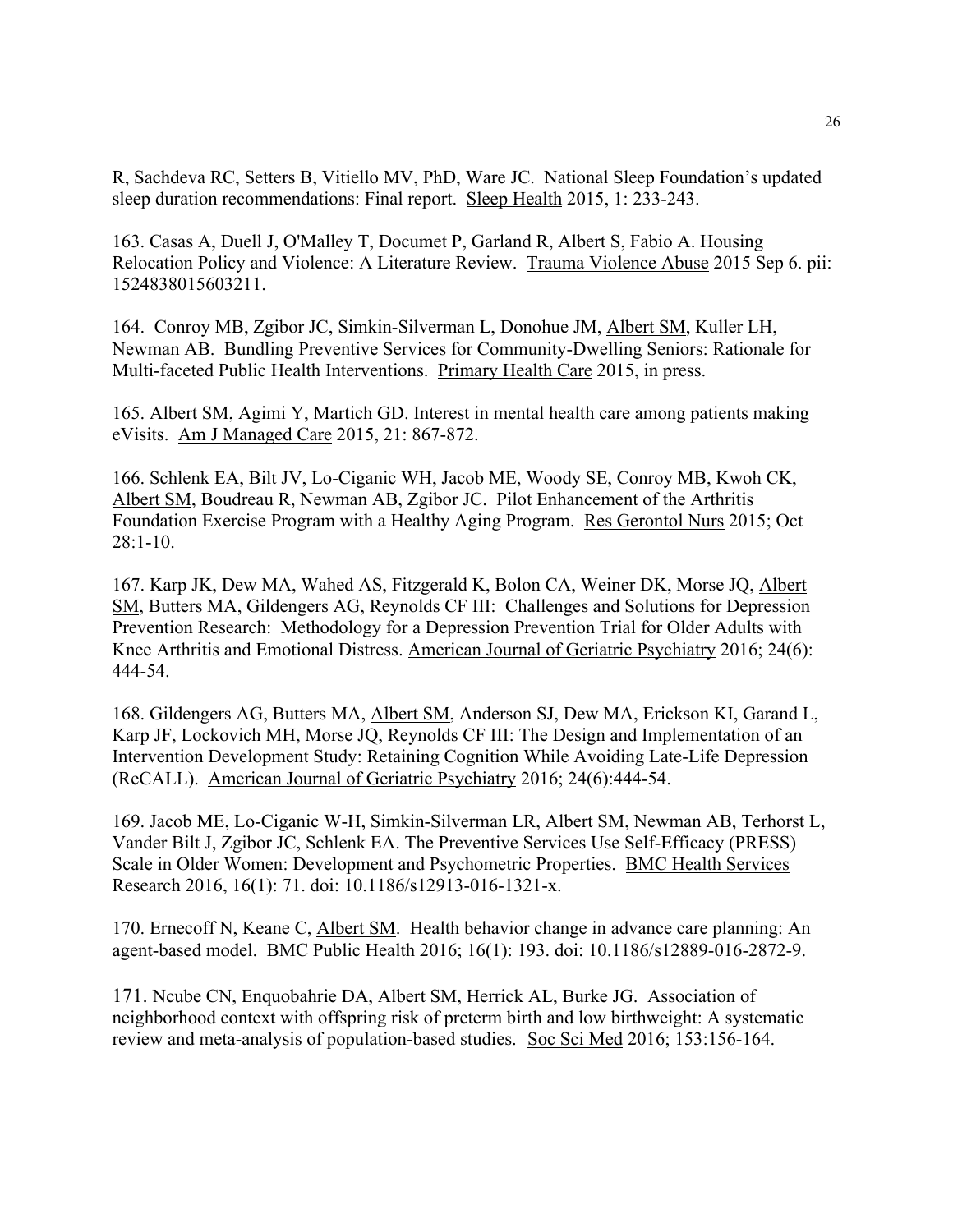R, Sachdeva RC, Setters B, Vitiello MV, PhD, Ware JC. National Sleep Foundation's updated sleep duration recommendations: Final report. Sleep Health 2015, 1: 233-243.

163. Casas A, Duell J, O'Malley T, Documet P, Garland R, Albert S, Fabio A. Housing Relocation Policy and Violence: A Literature Review. Trauma Violence Abuse 2015 Sep 6. pii: 1524838015603211.

164. Conroy MB, Zgibor JC, Simkin-Silverman L, Donohue JM, Albert SM, Kuller LH, Newman AB. Bundling Preventive Services for Community-Dwelling Seniors: Rationale for Multi-faceted Public Health Interventions. Primary Health Care 2015, in press.

165. Albert SM, Agimi Y, Martich GD. Interest in mental health care among patients making eVisits. Am J Managed Care 2015, 21: 867-872.

166. Schlenk EA, Bilt JV, Lo-Ciganic WH, Jacob ME, Woody SE, Conroy MB, Kwoh CK, Albert SM, Boudreau R, Newman AB, Zgibor JC. Pilot Enhancement of the Arthritis Foundation Exercise Program with a Healthy Aging Program. Res Gerontol Nurs 2015; Oct 28:1-10.

167. Karp JK, Dew MA, Wahed AS, Fitzgerald K, Bolon CA, Weiner DK, Morse JQ, Albert SM, Butters MA, Gildengers AG, Reynolds CF III: Challenges and Solutions for Depression Prevention Research: Methodology for a Depression Prevention Trial for Older Adults with Knee Arthritis and Emotional Distress. American Journal of Geriatric Psychiatry 2016; 24(6): 444-54.

168. Gildengers AG, Butters MA, Albert SM, Anderson SJ, Dew MA, Erickson KI, Garand L, Karp JF, Lockovich MH, Morse JQ, Reynolds CF III: The Design and Implementation of an Intervention Development Study: Retaining Cognition While Avoiding Late-Life Depression (ReCALL). American Journal of Geriatric Psychiatry 2016; 24(6):444-54.

169. Jacob ME, Lo-Ciganic W-H, Simkin-Silverman LR, Albert SM, Newman AB, Terhorst L, Vander Bilt J, Zgibor JC, Schlenk EA. The Preventive Services Use Self-Efficacy (PRESS) Scale in Older Women: Development and Psychometric Properties. BMC Health Services Research 2016, 16(1): 71. doi: 10.1186/s12913-016-1321-x.

170. Ernecoff N, Keane C, Albert SM. Health behavior change in advance care planning: An agent-based model. BMC Public Health 2016; 16(1): 193. doi: 10.1186/s12889-016-2872-9.

171. Ncube CN, Enquobahrie DA, Albert SM, Herrick AL, Burke JG. Association of neighborhood context with offspring risk of preterm birth and low birthweight: A systematic review and meta-analysis of population-based studies. Soc Sci Med 2016; 153:156-164.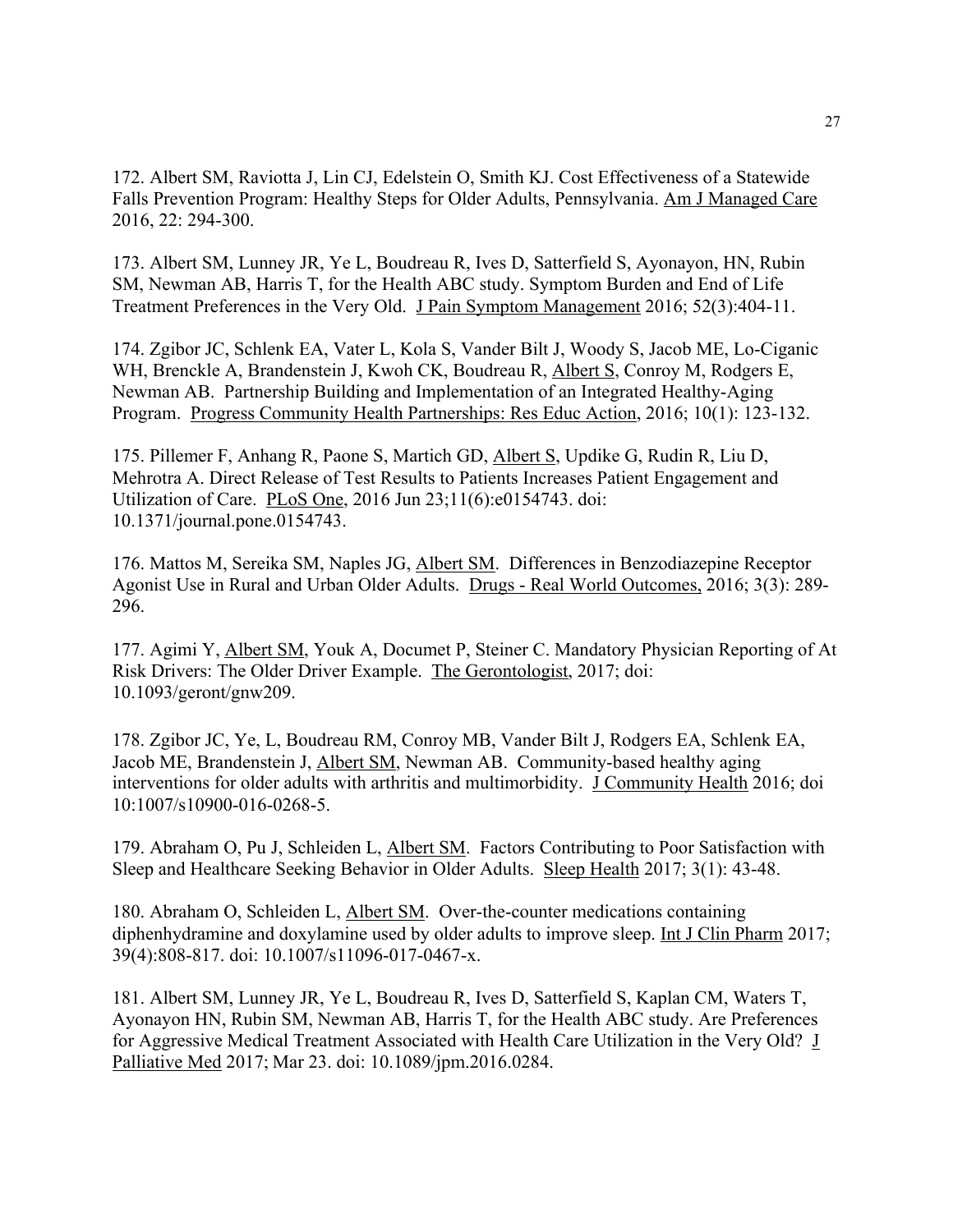172. Albert SM, Raviotta J, Lin CJ, Edelstein O, Smith KJ. Cost Effectiveness of a Statewide Falls Prevention Program: Healthy Steps for Older Adults, Pennsylvania. Am J Managed Care 2016, 22: 294-300.

173. Albert SM, Lunney JR, Ye L, Boudreau R, Ives D, Satterfield S, Ayonayon, HN, Rubin SM, Newman AB, Harris T, for the Health ABC study. Symptom Burden and End of Life Treatment Preferences in the Very Old. J Pain Symptom Management 2016; 52(3):404-11.

174. Zgibor JC, Schlenk EA, Vater L, Kola S, Vander Bilt J, Woody S, Jacob ME, Lo-Ciganic WH, Brenckle A, Brandenstein J, Kwoh CK, Boudreau R, Albert S, Conroy M, Rodgers E, Newman AB. Partnership Building and Implementation of an Integrated Healthy-Aging Program. Progress Community Health Partnerships: Res Educ Action, 2016; 10(1): 123-132.

175. Pillemer F, Anhang R, Paone S, Martich GD, Albert S, Updike G, Rudin R, Liu D, Mehrotra A. Direct Release of Test Results to Patients Increases Patient Engagement and Utilization of Care. PLoS One, 2016 Jun 23;11(6):e0154743. doi: 10.1371/journal.pone.0154743.

176. Mattos M, Sereika SM, Naples JG, Albert SM. Differences in Benzodiazepine Receptor Agonist Use in Rural and Urban Older Adults. Drugs - Real World Outcomes, 2016; 3(3): 289- 296.

177. Agimi Y, Albert SM, Youk A, Documet P, Steiner C. Mandatory Physician Reporting of At Risk Drivers: The Older Driver Example. The Gerontologist, 2017; doi: 10.1093/geront/gnw209.

178. Zgibor JC, Ye, L, Boudreau RM, Conroy MB, Vander Bilt J, Rodgers EA, Schlenk EA, Jacob ME, Brandenstein J, Albert SM, Newman AB. Community-based healthy aging interventions for older adults with arthritis and multimorbidity. J Community Health 2016; doi 10:1007/s10900-016-0268-5.

179. Abraham O, Pu J, Schleiden L, Albert SM. Factors Contributing to Poor Satisfaction with Sleep and Healthcare Seeking Behavior in Older Adults. Sleep Health 2017; 3(1): 43-48.

180. Abraham O, Schleiden L, Albert SM. Over-the-counter medications containing diphenhydramine and doxylamine used by older adults to improve sleep. Int J Clin Pharm 2017; 39(4):808-817. doi: 10.1007/s11096-017-0467-x.

181. Albert SM, Lunney JR, Ye L, Boudreau R, Ives D, Satterfield S, Kaplan CM, Waters T, Ayonayon HN, Rubin SM, Newman AB, Harris T, for the Health ABC study. Are Preferences for Aggressive Medical Treatment Associated with Health Care Utilization in the Very Old? J Palliative Med 2017; Mar 23. doi: 10.1089/jpm.2016.0284.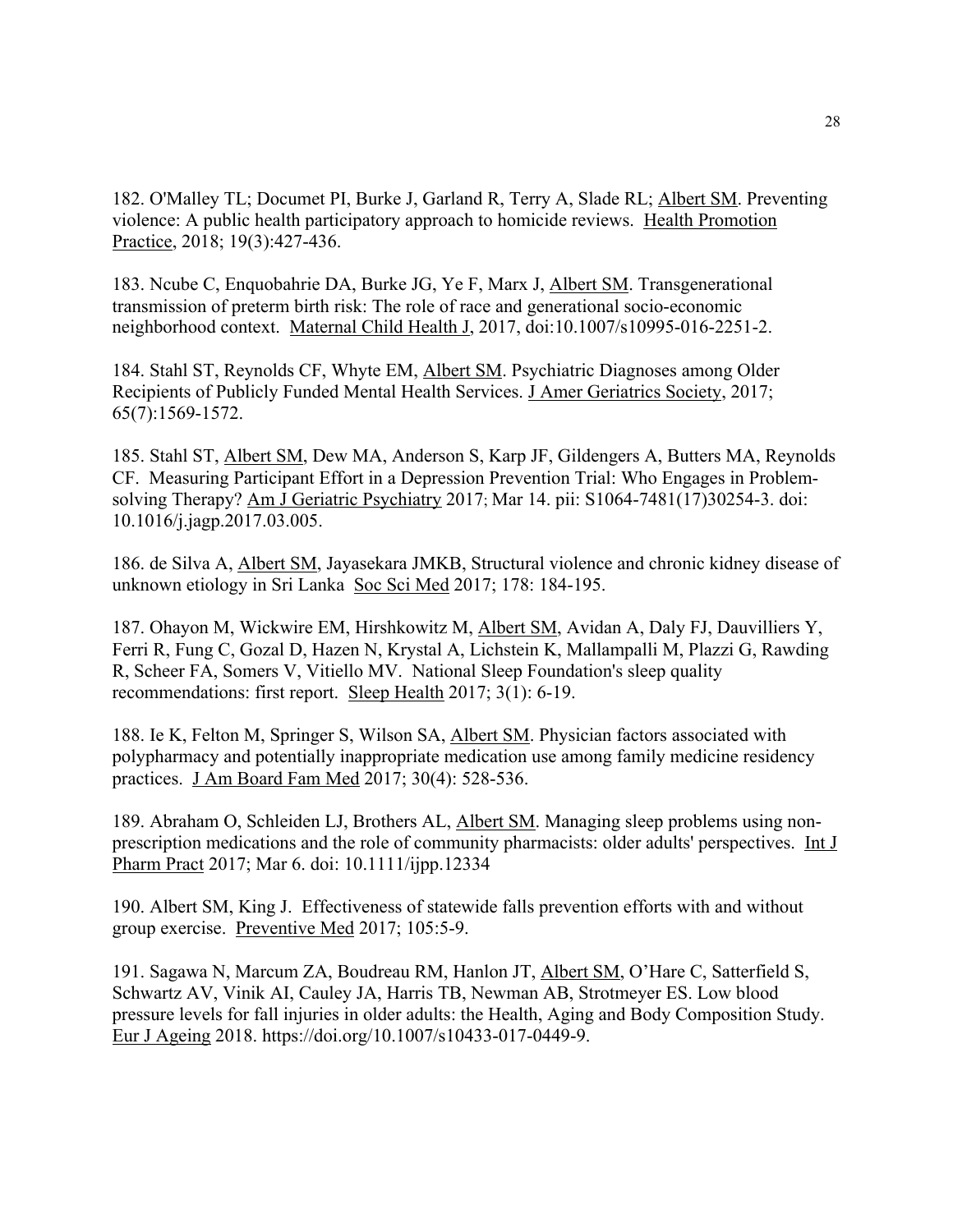182. O'Malley TL; Documet PI, Burke J, Garland R, Terry A, Slade RL; Albert SM. Preventing violence: A public health participatory approach to homicide reviews. Health Promotion Practice, 2018; 19(3):427-436.

183. Ncube C, Enquobahrie DA, Burke JG, Ye F, Marx J, Albert SM. Transgenerational transmission of preterm birth risk: The role of race and generational socio-economic neighborhood context. Maternal Child Health J, 2017, doi:10.1007/s10995-016-2251-2.

184. Stahl ST, Reynolds CF, Whyte EM, Albert SM. Psychiatric Diagnoses among Older Recipients of Publicly Funded Mental Health Services. J Amer Geriatrics Society, 2017; 65(7):1569-1572.

185. Stahl ST, Albert SM, Dew MA, Anderson S, Karp JF, Gildengers A, Butters MA, Reynolds CF. Measuring Participant Effort in a Depression Prevention Trial: Who Engages in Problemsolving Therapy? Am J Geriatric Psychiatry 2017; Mar 14. pii: S1064-7481(17)30254-3. doi: 10.1016/j.jagp.2017.03.005.

186. de Silva A, Albert SM, Jayasekara JMKB, Structural violence and chronic kidney disease of unknown etiology in Sri Lanka Soc Sci Med 2017; 178: 184-195.

187. Ohayon M, Wickwire EM, Hirshkowitz M, Albert SM, Avidan A, Daly FJ, Dauvilliers Y, Ferri R, Fung C, Gozal D, Hazen N, Krystal A, Lichstein K, Mallampalli M, Plazzi G, Rawding R, Scheer FA, Somers V, Vitiello MV. National Sleep Foundation's sleep quality recommendations: first report. Sleep Health 2017; 3(1): 6-19.

188. Ie K, Felton M, Springer S, Wilson SA, Albert SM. Physician factors associated with polypharmacy and potentially inappropriate medication use among family medicine residency practices. J Am Board Fam Med 2017; 30(4): 528-536.

189. Abraham O, Schleiden LJ, Brothers AL, Albert SM. Managing sleep problems using nonprescription medications and the role of community pharmacists: older adults' perspectives. Int J Pharm Pract 2017; Mar 6. doi: 10.1111/ijpp.12334

190. Albert SM, King J. Effectiveness of statewide falls prevention efforts with and without group exercise. Preventive Med 2017; 105:5-9.

191. Sagawa N, Marcum ZA, Boudreau RM, Hanlon JT, Albert SM, O'Hare C, Satterfield S, Schwartz AV, Vinik AI, Cauley JA, Harris TB, Newman AB, Strotmeyer ES. Low blood pressure levels for fall injuries in older adults: the Health, Aging and Body Composition Study. Eur J Ageing 2018. https://doi.org/10.1007/s10433-017-0449-9.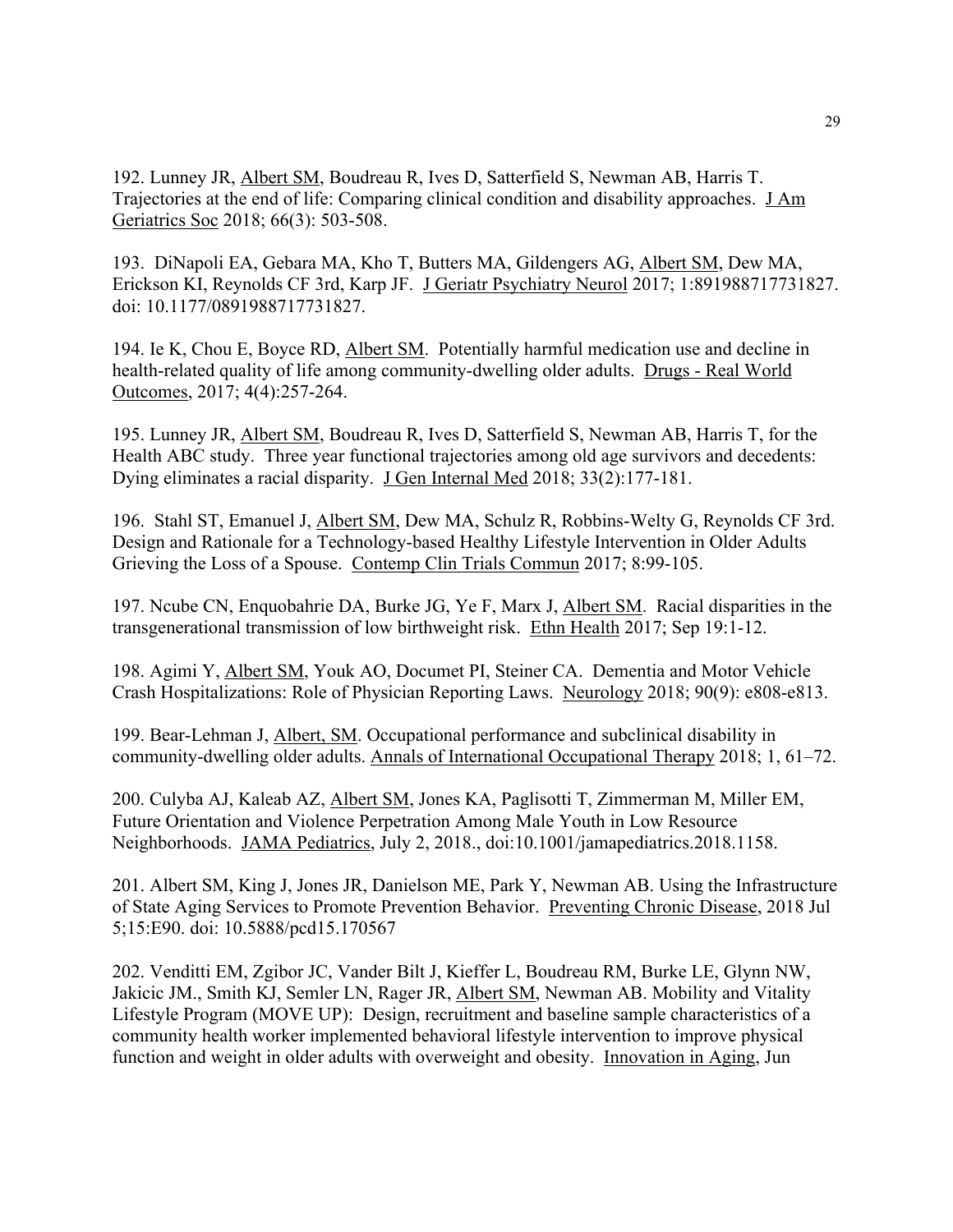192. Lunney JR, Albert SM, Boudreau R, Ives D, Satterfield S, Newman AB, Harris T. Trajectories at the end of life: Comparing clinical condition and disability approaches. J Am Geriatrics Soc 2018; 66(3): 503-508.

193. DiNapoli EA, Gebara MA, Kho T, Butters MA, Gildengers AG, Albert SM, Dew MA, Erickson KI, Reynolds CF 3rd, Karp JF. J Geriatr Psychiatry Neurol 2017; 1:891988717731827. doi: 10.1177/0891988717731827.

194. Ie K, Chou E, Boyce RD, Albert SM. Potentially harmful medication use and decline in health-related quality of life among community-dwelling older adults. Drugs - Real World Outcomes, 2017; 4(4):257-264.

195. Lunney JR, Albert SM, Boudreau R, Ives D, Satterfield S, Newman AB, Harris T, for the Health ABC study. Three year functional trajectories among old age survivors and decedents: Dying eliminates a racial disparity. J Gen Internal Med 2018; 33(2):177-181.

196. Stahl ST, Emanuel J, Albert SM, Dew MA, Schulz R, Robbins-Welty G, Reynolds CF 3rd. Design and Rationale for a Technology-based Healthy Lifestyle Intervention in Older Adults Grieving the Loss of a Spouse. Contemp Clin Trials Commun 2017; 8:99-105.

197. Ncube CN, Enquobahrie DA, Burke JG, Ye F, Marx J, Albert SM. Racial disparities in the transgenerational transmission of low birthweight risk. Ethn Health 2017; Sep 19:1-12.

198. Agimi Y, Albert SM, Youk AO, Documet PI, Steiner CA. Dementia and Motor Vehicle Crash Hospitalizations: Role of Physician Reporting Laws. Neurology 2018; 90(9): e808-e813.

199. Bear-Lehman J, Albert, SM. Occupational performance and subclinical disability in community-dwelling older adults. Annals of International Occupational Therapy 2018; 1, 61–72.

200. Culyba AJ, Kaleab AZ, Albert SM, Jones KA, Paglisotti T, Zimmerman M, Miller EM, Future Orientation and Violence Perpetration Among Male Youth in Low Resource Neighborhoods. JAMA Pediatrics, July 2, 2018., doi:10.1001/jamapediatrics.2018.1158.

201. Albert SM, King J, Jones JR, Danielson ME, Park Y, Newman AB. Using the Infrastructure of State Aging Services to Promote Prevention Behavior. Preventing Chronic Disease, 2018 Jul 5;15:E90. doi: 10.5888/pcd15.170567

202. Venditti EM, Zgibor JC, Vander Bilt J, Kieffer L, Boudreau RM, Burke LE, Glynn NW, Jakicic JM., Smith KJ, Semler LN, Rager JR, Albert SM, Newman AB. Mobility and Vitality Lifestyle Program (MOVE UP): Design, recruitment and baseline sample characteristics of a community health worker implemented behavioral lifestyle intervention to improve physical function and weight in older adults with overweight and obesity. Innovation in Aging, Jun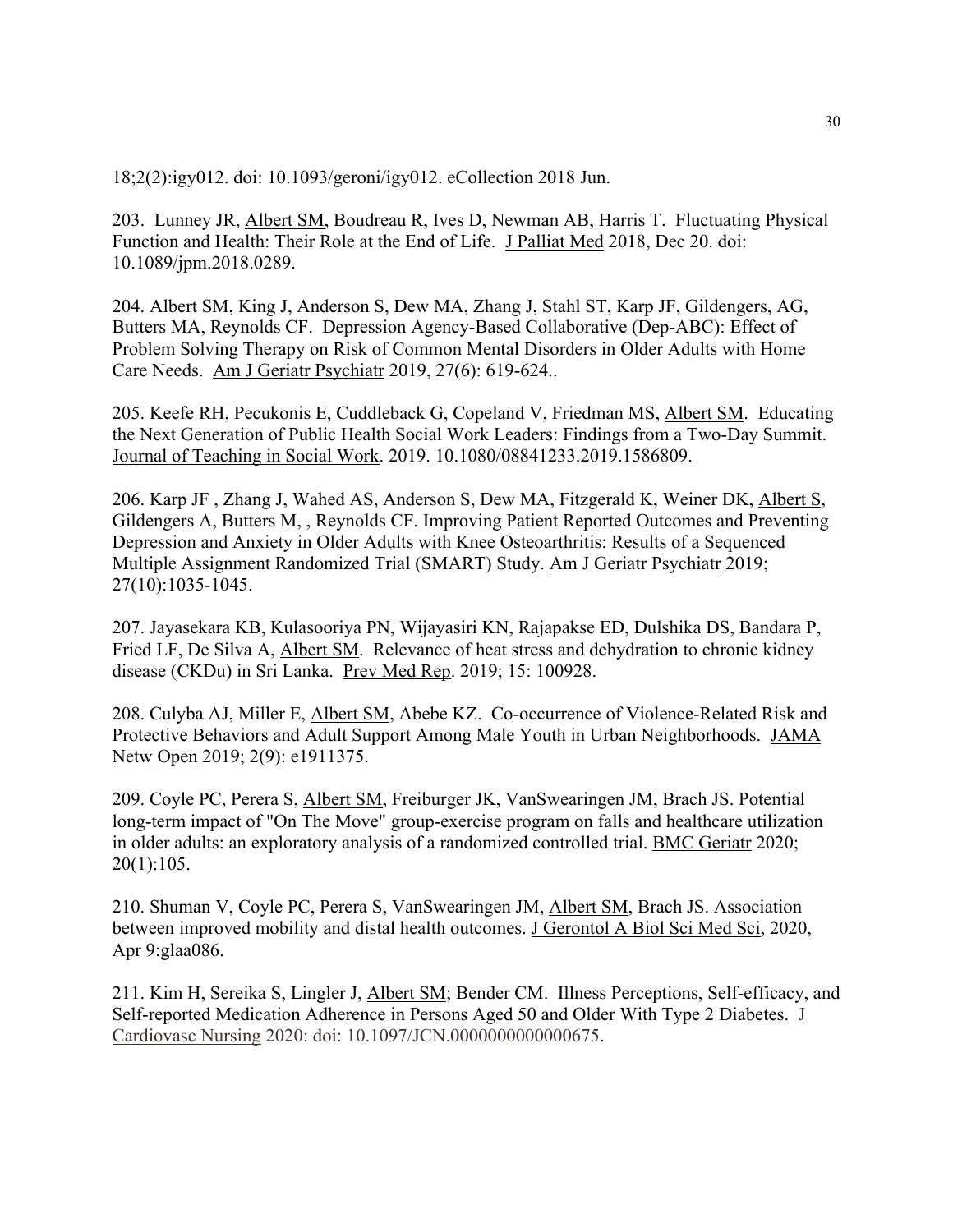18;2(2):igy012. doi: 10.1093/geroni/igy012. eCollection 2018 Jun.

203. Lunney JR, Albert SM, Boudreau R, Ives D, Newman AB, Harris T. Fluctuating Physical Function and Health: Their Role at the End of Life. J Palliat Med 2018, Dec 20. doi: 10.1089/jpm.2018.0289.

204. Albert SM, King J, Anderson S, Dew MA, Zhang J, Stahl ST, Karp JF, Gildengers, AG, Butters MA, Reynolds CF. Depression Agency-Based Collaborative (Dep-ABC): Effect of Problem Solving Therapy on Risk of Common Mental Disorders in Older Adults with Home Care Needs. Am J Geriatr Psychiatr 2019, 27(6): 619-624..

205. Keefe RH, Pecukonis E, Cuddleback G, Copeland V, Friedman MS, Albert SM. Educating the Next Generation of Public Health Social Work Leaders: Findings from a Two-Day Summit. Journal of Teaching in Social Work. 2019. 10.1080/08841233.2019.1586809.

206. Karp JF , Zhang J, Wahed AS, Anderson S, Dew MA, Fitzgerald K, Weiner DK, Albert S, Gildengers A, Butters M, , Reynolds CF. Improving Patient Reported Outcomes and Preventing Depression and Anxiety in Older Adults with Knee Osteoarthritis: Results of a Sequenced Multiple Assignment Randomized Trial (SMART) Study. Am J Geriatr Psychiatr 2019; 27(10):1035-1045.

207. Jayasekara KB, Kulasooriya PN, Wijayasiri KN, Rajapakse ED, Dulshika DS, Bandara P, Fried LF, De Silva A, Albert SM. Relevance of heat stress and dehydration to chronic kidney disease (CKDu) in Sri Lanka. Prev Med Rep. 2019; 15: 100928.

208. Culyba AJ, Miller E, Albert SM, Abebe KZ. Co-occurrence of Violence-Related Risk and Protective Behaviors and Adult Support Among Male Youth in Urban Neighborhoods. JAMA Netw Open 2019; 2(9): e1911375.

209. Coyle PC, Perera S, Albert SM, Freiburger JK, VanSwearingen JM, Brach JS. Potential long-term impact of "On The Move" group-exercise program on falls and healthcare utilization in older adults: an exploratory analysis of a randomized controlled trial. BMC Geriatr 2020; 20(1):105.

210. Shuman V, Coyle PC, Perera S, VanSwearingen JM, Albert SM, Brach JS. Association between improved mobility and distal health outcomes. J Gerontol A Biol Sci Med Sci, 2020, Apr 9:glaa086.

211. Kim H, Sereika S, Lingler J, Albert SM; Bender CM. Illness Perceptions, Self-efficacy, and Self-reported Medication Adherence in Persons Aged 50 and Older With Type 2 Diabetes. J Cardiovasc Nursing 2020: doi: 10.1097/JCN.0000000000000675.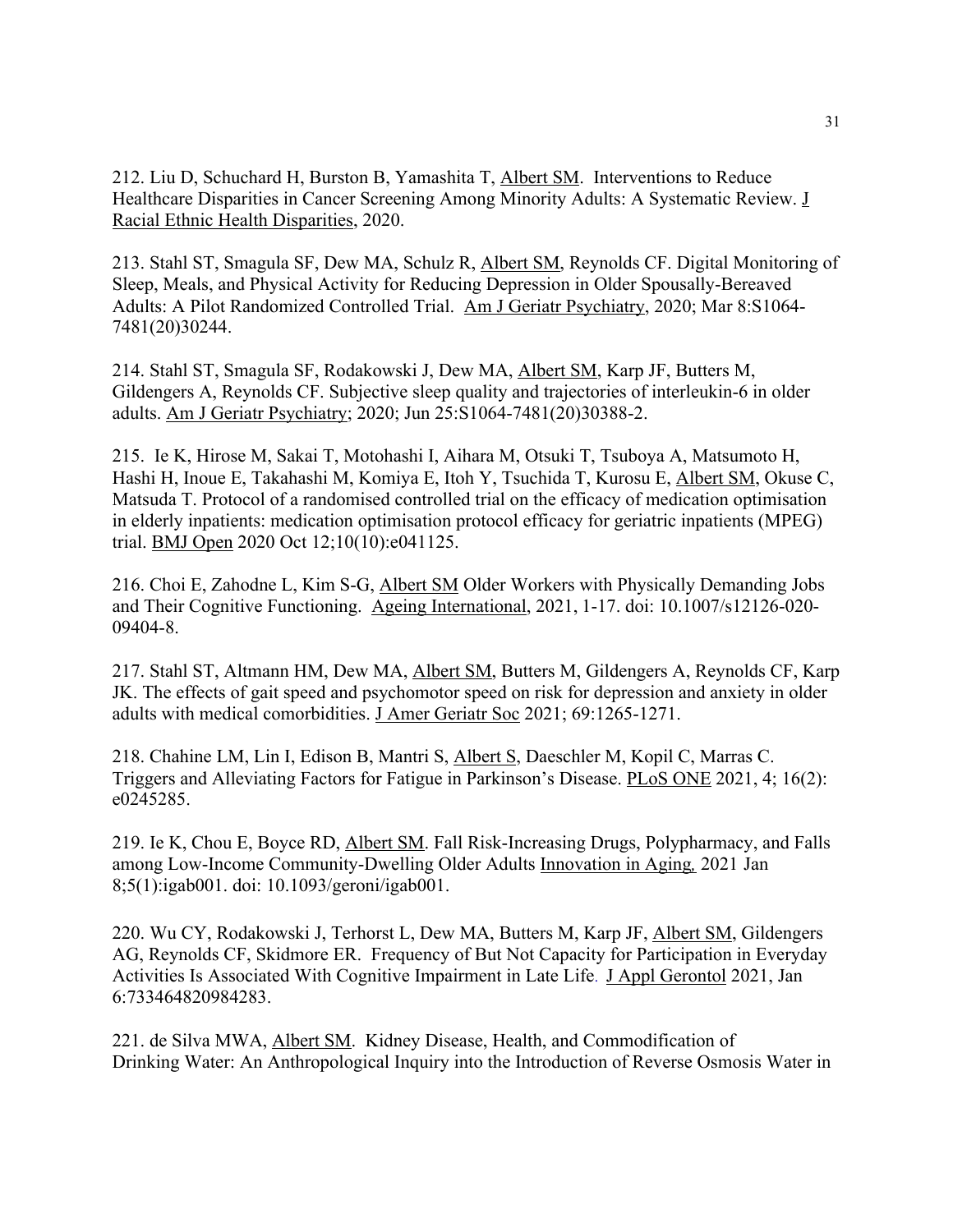212. Liu D, Schuchard H, Burston B, Yamashita T, Albert SM. Interventions to Reduce Healthcare Disparities in Cancer Screening Among Minority Adults: A Systematic Review. J Racial Ethnic Health Disparities, 2020.

213. Stahl ST, Smagula SF, Dew MA, Schulz R, Albert SM, Reynolds CF. Digital Monitoring of Sleep, Meals, and Physical Activity for Reducing Depression in Older Spousally-Bereaved Adults: A Pilot Randomized Controlled Trial. Am J Geriatr Psychiatry, 2020; Mar 8:S1064- 7481(20)30244.

214. Stahl ST, Smagula SF, Rodakowski J, Dew MA, Albert SM, Karp JF, Butters M, Gildengers A, Reynolds CF. Subjective sleep quality and trajectories of interleukin-6 in older adults. Am J Geriatr Psychiatry; 2020; Jun 25:S1064-7481(20)30388-2.

215. Ie K, Hirose M, Sakai T, Motohashi I, Aihara M, Otsuki T, Tsuboya A, Matsumoto H, Hashi H, Inoue E, Takahashi M, Komiya E, Itoh Y, Tsuchida T, Kurosu E, Albert SM, Okuse C, Matsuda T. Protocol of a randomised controlled trial on the efficacy of medication optimisation in elderly inpatients: medication optimisation protocol efficacy for geriatric inpatients (MPEG) trial. BMJ Open 2020 Oct 12;10(10):e041125.

216. Choi E, Zahodne L, Kim S-G, Albert SM Older Workers with Physically Demanding Jobs and Their Cognitive Functioning. Ageing International, 2021, 1-17. doi: 10.1007/s12126-020- 09404-8.

217. Stahl ST, Altmann HM, Dew MA, Albert SM, Butters M, Gildengers A, Reynolds CF, Karp JK. The effects of gait speed and psychomotor speed on risk for depression and anxiety in older adults with medical comorbidities. J Amer Geriatr Soc 2021; 69:1265-1271.

218. Chahine LM, Lin I, Edison B, Mantri S, Albert S, Daeschler M, Kopil C, Marras C. Triggers and Alleviating Factors for Fatigue in Parkinson's Disease. PLoS ONE 2021, 4; 16(2): e0245285.

219. Ie K, Chou E, Boyce RD, Albert SM. Fall Risk-Increasing Drugs, Polypharmacy, and Falls among Low-Income Community-Dwelling Older Adults Innovation in Aging*,* 2021 Jan 8;5(1):igab001. doi: 10.1093/geroni/igab001.

220. Wu CY, Rodakowski J, Terhorst L, Dew MA, Butters M, Karp JF, Albert SM, Gildengers AG, Reynolds CF, Skidmore ER. Frequency of But Not Capacity for Participation in Everyday Activities Is Associated With Cognitive Impairment in Late Life. J Appl Gerontol 2021, Jan 6:733464820984283.

221. de Silva MWA, Albert SM. Kidney Disease, Health, and Commodification of Drinking Water: An Anthropological Inquiry into the Introduction of Reverse Osmosis Water in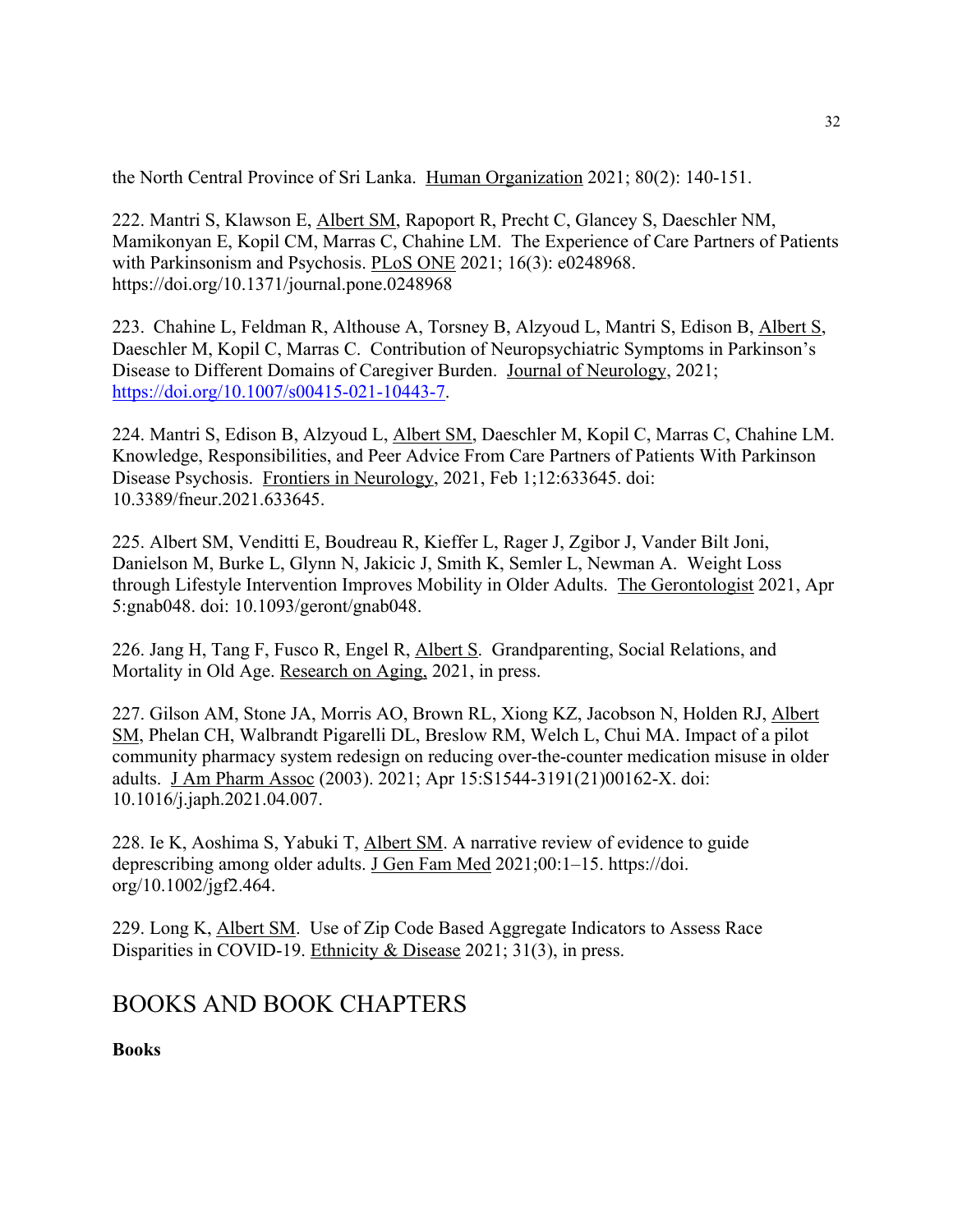the North Central Province of Sri Lanka. Human Organization 2021; 80(2): 140-151.

222. Mantri S, Klawson E, Albert SM, Rapoport R, Precht C, Glancey S, Daeschler NM, Mamikonyan E, Kopil CM, Marras C, Chahine LM. The Experience of Care Partners of Patients with Parkinsonism and Psychosis. PLoS ONE 2021; 16(3): e0248968. https://doi.org/10.1371/journal.pone.0248968

223. Chahine L, Feldman R, Althouse A, Torsney B, Alzyoud L, Mantri S, Edison B, Albert S, Daeschler M, Kopil C, Marras C. Contribution of Neuropsychiatric Symptoms in Parkinson's Disease to Different Domains of Caregiver Burden. Journal of Neurology, 2021; https://doi.org/10.1007/s00415-021-10443-7.

224. Mantri S, Edison B, Alzyoud L, Albert SM, Daeschler M, Kopil C, Marras C, Chahine LM. Knowledge, Responsibilities, and Peer Advice From Care Partners of Patients With Parkinson Disease Psychosis. Frontiers in Neurology, 2021, Feb 1;12:633645. doi: 10.3389/fneur.2021.633645.

225. Albert SM, Venditti E, Boudreau R, Kieffer L, Rager J, Zgibor J, Vander Bilt Joni, Danielson M, Burke L, Glynn N, Jakicic J, Smith K, Semler L, Newman A. Weight Loss through Lifestyle Intervention Improves Mobility in Older Adults. The Gerontologist 2021, Apr 5:gnab048. doi: 10.1093/geront/gnab048.

226. Jang H, Tang F, Fusco R, Engel R, Albert S. Grandparenting, Social Relations, and Mortality in Old Age. Research on Aging, 2021, in press.

227. Gilson AM, Stone JA, Morris AO, Brown RL, Xiong KZ, Jacobson N, Holden RJ, Albert SM, Phelan CH, Walbrandt Pigarelli DL, Breslow RM, Welch L, Chui MA. Impact of a pilot community pharmacy system redesign on reducing over-the-counter medication misuse in older adults. J Am Pharm Assoc (2003). 2021; Apr 15:S1544-3191(21)00162-X. doi: 10.1016/j.japh.2021.04.007.

228. Ie K, Aoshima S, Yabuki T, Albert SM. A narrative review of evidence to guide deprescribing among older adults. J Gen Fam Med 2021;00:1-15. https://doi. org/10.1002/jgf2.464.

229. Long K, Albert SM. Use of Zip Code Based Aggregate Indicators to Assess Race Disparities in COVID-19. Ethnicity & Disease 2021; 31(3), in press.

## BOOKS AND BOOK CHAPTERS

**Books**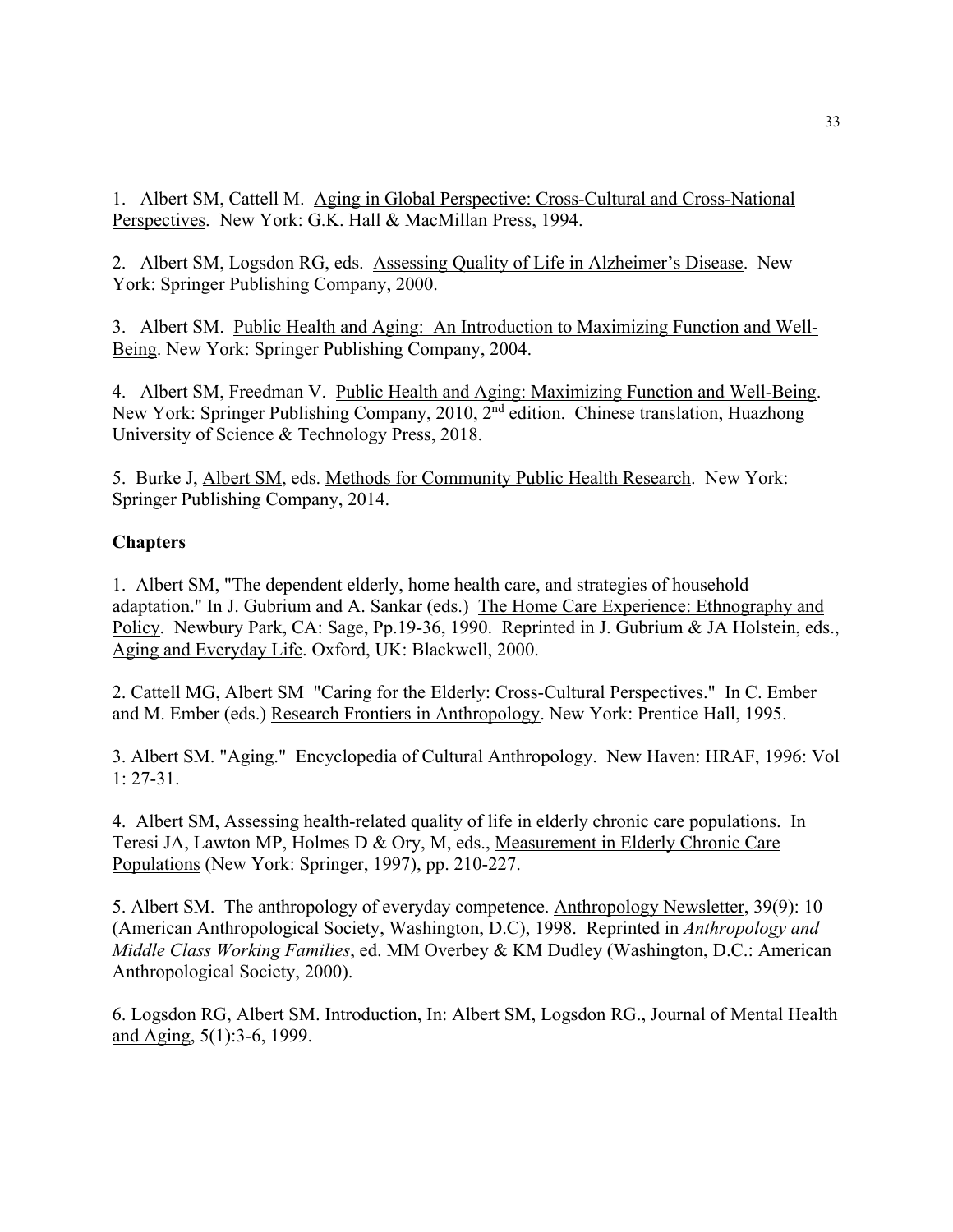1. Albert SM, Cattell M. Aging in Global Perspective: Cross-Cultural and Cross-National Perspectives. New York: G.K. Hall & MacMillan Press, 1994.

2. Albert SM, Logsdon RG, eds. Assessing Quality of Life in Alzheimer's Disease. New York: Springer Publishing Company, 2000.

3. Albert SM. Public Health and Aging: An Introduction to Maximizing Function and Well-Being. New York: Springer Publishing Company, 2004.

4. Albert SM, Freedman V. Public Health and Aging: Maximizing Function and Well-Being. New York: Springer Publishing Company, 2010, 2<sup>nd</sup> edition. Chinese translation, Huazhong University of Science & Technology Press, 2018.

5. Burke J, Albert SM, eds. Methods for Community Public Health Research. New York: Springer Publishing Company, 2014.

### **Chapters**

1. Albert SM, "The dependent elderly, home health care, and strategies of household adaptation." In J. Gubrium and A. Sankar (eds.) The Home Care Experience: Ethnography and Policy. Newbury Park, CA: Sage, Pp.19-36, 1990. Reprinted in J. Gubrium & JA Holstein, eds., Aging and Everyday Life. Oxford, UK: Blackwell, 2000.

2. Cattell MG, Albert SM "Caring for the Elderly: Cross-Cultural Perspectives." In C. Ember and M. Ember (eds.) Research Frontiers in Anthropology. New York: Prentice Hall, 1995.

3. Albert SM. "Aging." Encyclopedia of Cultural Anthropology. New Haven: HRAF, 1996: Vol 1: 27-31.

4. Albert SM, Assessing health-related quality of life in elderly chronic care populations. In Teresi JA, Lawton MP, Holmes D & Ory, M, eds., Measurement in Elderly Chronic Care Populations (New York: Springer, 1997), pp. 210-227.

5. Albert SM. The anthropology of everyday competence. Anthropology Newsletter, 39(9): 10 (American Anthropological Society, Washington, D.C), 1998. Reprinted in *Anthropology and Middle Class Working Families*, ed. MM Overbey & KM Dudley (Washington, D.C.: American Anthropological Society, 2000).

6. Logsdon RG, Albert SM. Introduction, In: Albert SM, Logsdon RG., Journal of Mental Health and Aging, 5(1):3-6, 1999.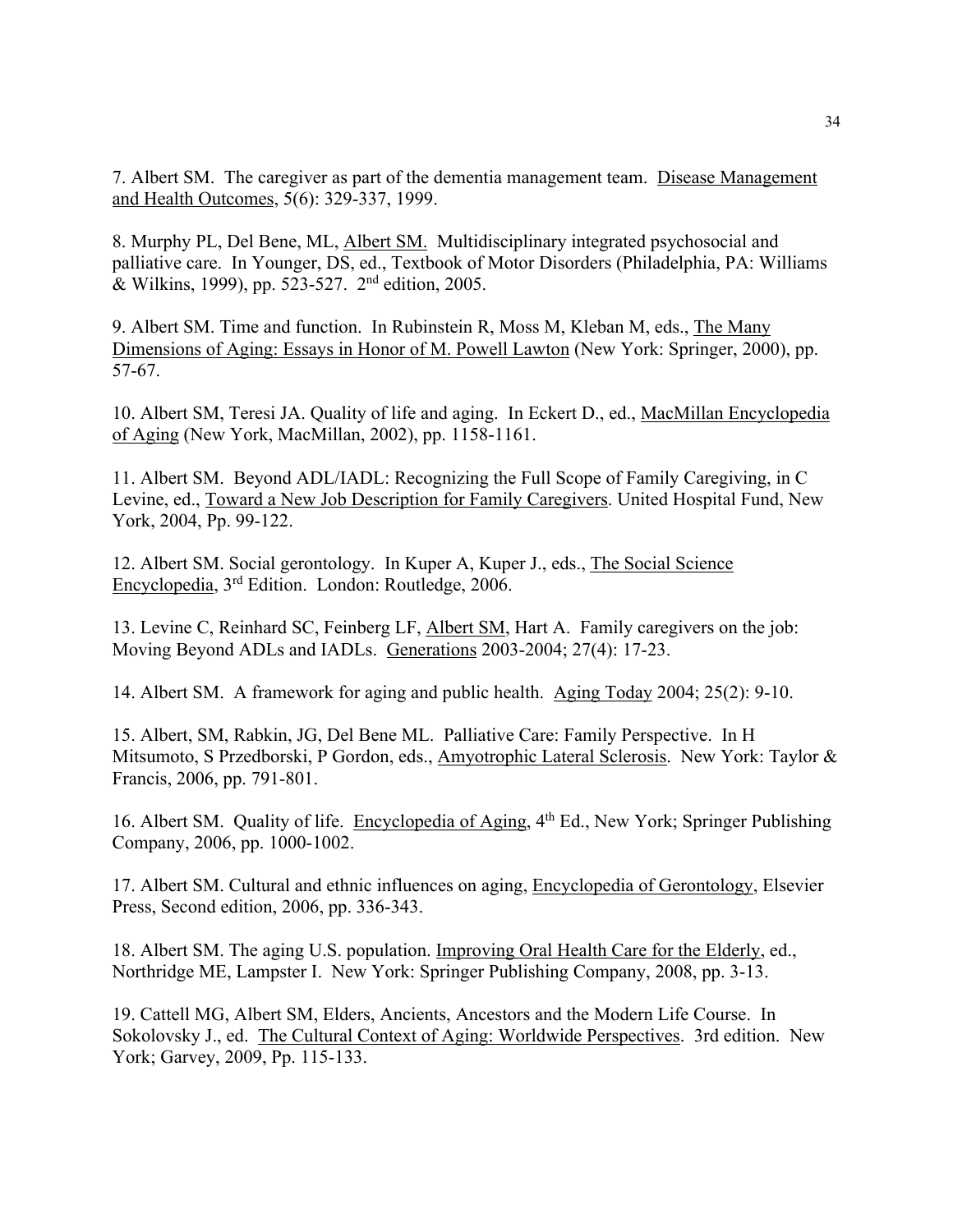7. Albert SM. The caregiver as part of the dementia management team. Disease Management and Health Outcomes, 5(6): 329-337, 1999.

8. Murphy PL, Del Bene, ML, Albert SM. Multidisciplinary integrated psychosocial and palliative care. In Younger, DS, ed., Textbook of Motor Disorders (Philadelphia, PA: Williams & Wilkins, 1999), pp. 523-527. 2nd edition, 2005.

9. Albert SM. Time and function. In Rubinstein R, Moss M, Kleban M, eds., The Many Dimensions of Aging: Essays in Honor of M. Powell Lawton (New York: Springer, 2000), pp. 57-67.

10. Albert SM, Teresi JA. Quality of life and aging. In Eckert D., ed., MacMillan Encyclopedia of Aging (New York, MacMillan, 2002), pp. 1158-1161.

11. Albert SM. Beyond ADL/IADL: Recognizing the Full Scope of Family Caregiving, in C Levine, ed., Toward a New Job Description for Family Caregivers. United Hospital Fund, New York, 2004, Pp. 99-122.

12. Albert SM. Social gerontology. In Kuper A, Kuper J., eds., The Social Science Encyclopedia, 3rd Edition. London: Routledge, 2006.

13. Levine C, Reinhard SC, Feinberg LF, Albert SM, Hart A. Family caregivers on the job: Moving Beyond ADLs and IADLs. Generations 2003-2004; 27(4): 17-23.

14. Albert SM. A framework for aging and public health. Aging Today 2004; 25(2): 9-10.

15. Albert, SM, Rabkin, JG, Del Bene ML. Palliative Care: Family Perspective. In H Mitsumoto, S Przedborski, P Gordon, eds., Amyotrophic Lateral Sclerosis. New York: Taylor & Francis, 2006, pp. 791-801.

16. Albert SM. Quality of life. Encyclopedia of Aging, 4<sup>th</sup> Ed., New York; Springer Publishing Company, 2006, pp. 1000-1002.

17. Albert SM. Cultural and ethnic influences on aging, Encyclopedia of Gerontology, Elsevier Press, Second edition, 2006, pp. 336-343.

18. Albert SM. The aging U.S. population. Improving Oral Health Care for the Elderly, ed., Northridge ME, Lampster I. New York: Springer Publishing Company, 2008, pp. 3-13.

19. Cattell MG, Albert SM, Elders, Ancients, Ancestors and the Modern Life Course. In Sokolovsky J., ed. The Cultural Context of Aging: Worldwide Perspectives. 3rd edition. New York; Garvey, 2009, Pp. 115-133.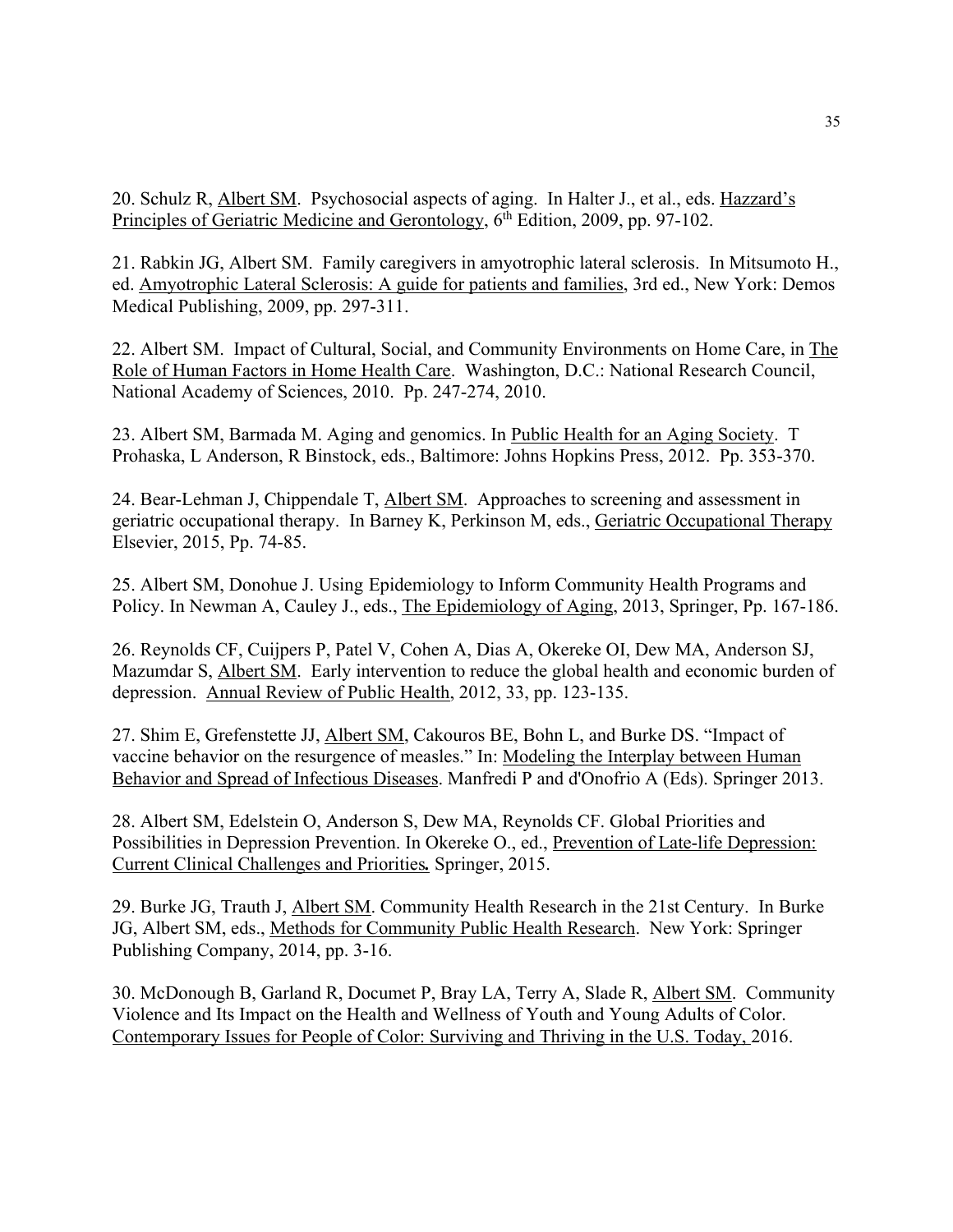20. Schulz R, Albert SM. Psychosocial aspects of aging. In Halter J., et al., eds. Hazzard's Principles of Geriatric Medicine and Gerontology, 6<sup>th</sup> Edition, 2009, pp. 97-102.

21. Rabkin JG, Albert SM. Family caregivers in amyotrophic lateral sclerosis. In Mitsumoto H., ed. Amyotrophic Lateral Sclerosis: A guide for patients and families, 3rd ed., New York: Demos Medical Publishing, 2009, pp. 297-311.

22. Albert SM. Impact of Cultural, Social, and Community Environments on Home Care, in The Role of Human Factors in Home Health Care. Washington, D.C.: National Research Council, National Academy of Sciences, 2010. Pp. 247-274, 2010.

23. Albert SM, Barmada M. Aging and genomics. In Public Health for an Aging Society. T Prohaska, L Anderson, R Binstock, eds., Baltimore: Johns Hopkins Press, 2012. Pp. 353-370.

24. Bear-Lehman J, Chippendale T, Albert SM. Approaches to screening and assessment in geriatric occupational therapy.In Barney K, Perkinson M, eds., Geriatric Occupational Therapy Elsevier, 2015, Pp. 74-85.

25. Albert SM, Donohue J. Using Epidemiology to Inform Community Health Programs and Policy. In Newman A, Cauley J., eds., The Epidemiology of Aging, 2013, Springer, Pp. 167-186.

26. Reynolds CF, Cuijpers P, Patel V, Cohen A, Dias A, Okereke OI, Dew MA, Anderson SJ, Mazumdar S, Albert SM. Early intervention to reduce the global health and economic burden of depression. Annual Review of Public Health, 2012, 33, pp. 123-135.

27. Shim E, Grefenstette JJ, Albert SM, Cakouros BE, Bohn L, and Burke DS. "Impact of vaccine behavior on the resurgence of measles." In: Modeling the Interplay between Human Behavior and Spread of Infectious Diseases. Manfredi P and d'Onofrio A (Eds). Springer 2013.

28. Albert SM, Edelstein O, Anderson S, Dew MA, Reynolds CF. Global Priorities and Possibilities in Depression Prevention. In Okereke O., ed., Prevention of Late-life Depression: Current Clinical Challenges and Priorities*.* Springer, 2015.

29. Burke JG, Trauth J, Albert SM. Community Health Research in the 21st Century. In Burke JG, Albert SM, eds., Methods for Community Public Health Research. New York: Springer Publishing Company, 2014, pp. 3-16.

30. McDonough B, Garland R, Documet P, Bray LA, Terry A, Slade R, Albert SM. Community Violence and Its Impact on the Health and Wellness of Youth and Young Adults of Color. Contemporary Issues for People of Color: Surviving and Thriving in the U.S. Today, 2016.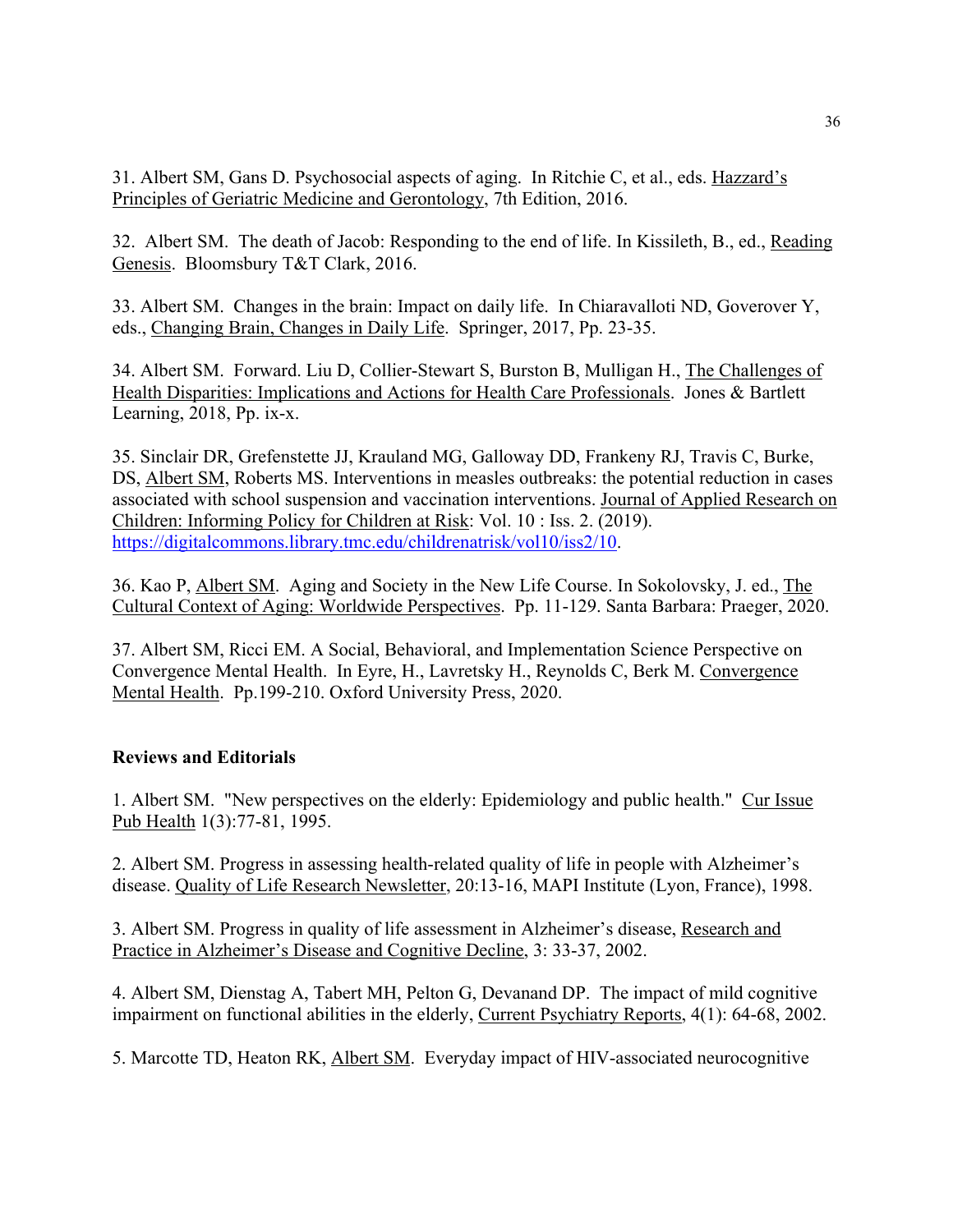31. Albert SM, Gans D. Psychosocial aspects of aging. In Ritchie C, et al., eds. Hazzard's Principles of Geriatric Medicine and Gerontology, 7th Edition, 2016.

32. Albert SM. The death of Jacob: Responding to the end of life. In Kissileth, B., ed., Reading Genesis. Bloomsbury T&T Clark, 2016.

33. Albert SM. Changes in the brain: Impact on daily life. In Chiaravalloti ND, Goverover Y, eds., Changing Brain, Changes in Daily Life. Springer, 2017, Pp. 23-35.

34. Albert SM. Forward. Liu D, Collier-Stewart S, Burston B, Mulligan H., The Challenges of Health Disparities: Implications and Actions for Health Care Professionals. Jones & Bartlett Learning, 2018, Pp. ix-x.

35. Sinclair DR, Grefenstette JJ, Krauland MG, Galloway DD, Frankeny RJ, Travis C, Burke, DS, Albert SM, Roberts MS. Interventions in measles outbreaks: the potential reduction in cases associated with school suspension and vaccination interventions. Journal of Applied Research on Children: Informing Policy for Children at Risk: Vol. 10 : Iss. 2. (2019). https://digitalcommons.library.tmc.edu/childrenatrisk/vol10/iss2/10.

36. Kao P, Albert SM. Aging and Society in the New Life Course. In Sokolovsky, J. ed., The Cultural Context of Aging: Worldwide Perspectives. Pp. 11-129. Santa Barbara: Praeger, 2020.

37. Albert SM, Ricci EM. A Social, Behavioral, and Implementation Science Perspective on Convergence Mental Health. In Eyre, H., Lavretsky H., Reynolds C, Berk M. Convergence Mental Health. Pp.199-210. Oxford University Press, 2020.

### **Reviews and Editorials**

1. Albert SM. "New perspectives on the elderly: Epidemiology and public health." Cur Issue Pub Health 1(3):77-81, 1995.

2. Albert SM. Progress in assessing health-related quality of life in people with Alzheimer's disease. Quality of Life Research Newsletter, 20:13-16, MAPI Institute (Lyon, France), 1998.

3. Albert SM. Progress in quality of life assessment in Alzheimer's disease, Research and Practice in Alzheimer's Disease and Cognitive Decline, 3: 33-37, 2002.

4. Albert SM, Dienstag A, Tabert MH, Pelton G, Devanand DP. The impact of mild cognitive impairment on functional abilities in the elderly, Current Psychiatry Reports, 4(1): 64-68, 2002.

5. Marcotte TD, Heaton RK, Albert SM. Everyday impact of HIV-associated neurocognitive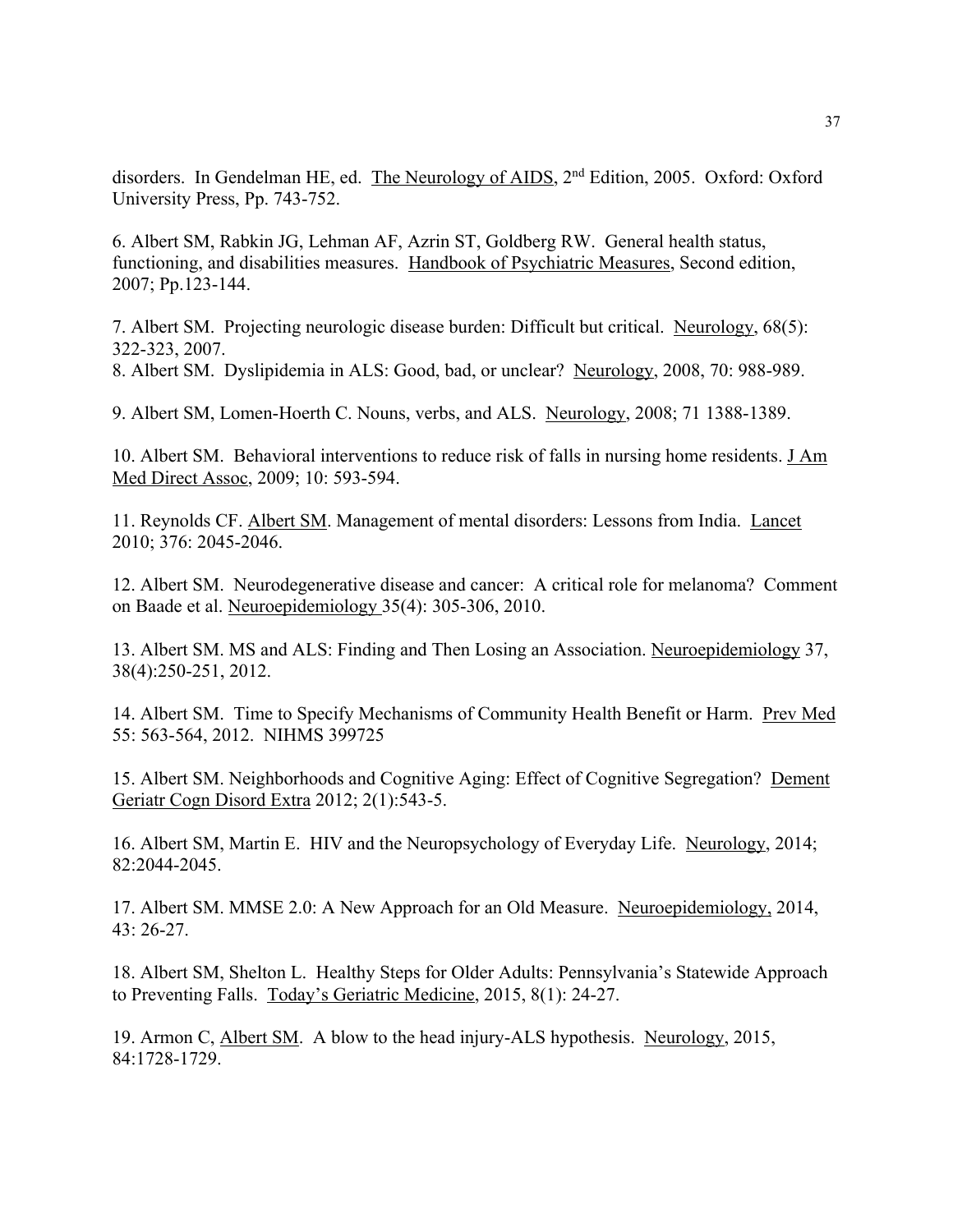disorders. In Gendelman HE, ed. The Neurology of AIDS, 2<sup>nd</sup> Edition, 2005. Oxford: Oxford University Press, Pp. 743-752.

6. Albert SM, Rabkin JG, Lehman AF, Azrin ST, Goldberg RW. General health status, functioning, and disabilities measures. Handbook of Psychiatric Measures, Second edition, 2007; Pp.123-144.

7. Albert SM. Projecting neurologic disease burden: Difficult but critical. Neurology, 68(5): 322-323, 2007.

8. Albert SM. Dyslipidemia in ALS: Good, bad, or unclear? Neurology, 2008, 70: 988-989.

9. Albert SM, Lomen-Hoerth C. Nouns, verbs, and ALS. Neurology, 2008; 71 1388-1389.

10. Albert SM. Behavioral interventions to reduce risk of falls in nursing home residents. J Am Med Direct Assoc, 2009; 10: 593-594.

11. Reynolds CF. Albert SM. Management of mental disorders: Lessons from India. Lancet 2010; 376: 2045-2046.

12. Albert SM. Neurodegenerative disease and cancer: A critical role for melanoma? Comment on Baade et al. Neuroepidemiology 35(4): 305-306, 2010.

13. Albert SM. MS and ALS: Finding and Then Losing an Association. Neuroepidemiology 37, 38(4):250-251, 2012.

14. Albert SM. Time to Specify Mechanisms of Community Health Benefit or Harm. Prev Med 55: 563-564, 2012. NIHMS 399725

15. Albert SM. Neighborhoods and Cognitive Aging: Effect of Cognitive Segregation? Dement Geriatr Cogn Disord Extra 2012; 2(1):543-5.

16. Albert SM, Martin E. HIV and the Neuropsychology of Everyday Life. Neurology, 2014; 82:2044-2045.

17. Albert SM. MMSE 2.0: A New Approach for an Old Measure. Neuroepidemiology, 2014, 43: 26-27.

18. Albert SM, Shelton L. Healthy Steps for Older Adults: Pennsylvania's Statewide Approach to Preventing Falls. Today's Geriatric Medicine, 2015, 8(1): 24-27.

19. Armon C, Albert SM. A blow to the head injury-ALS hypothesis. Neurology, 2015, 84:1728-1729.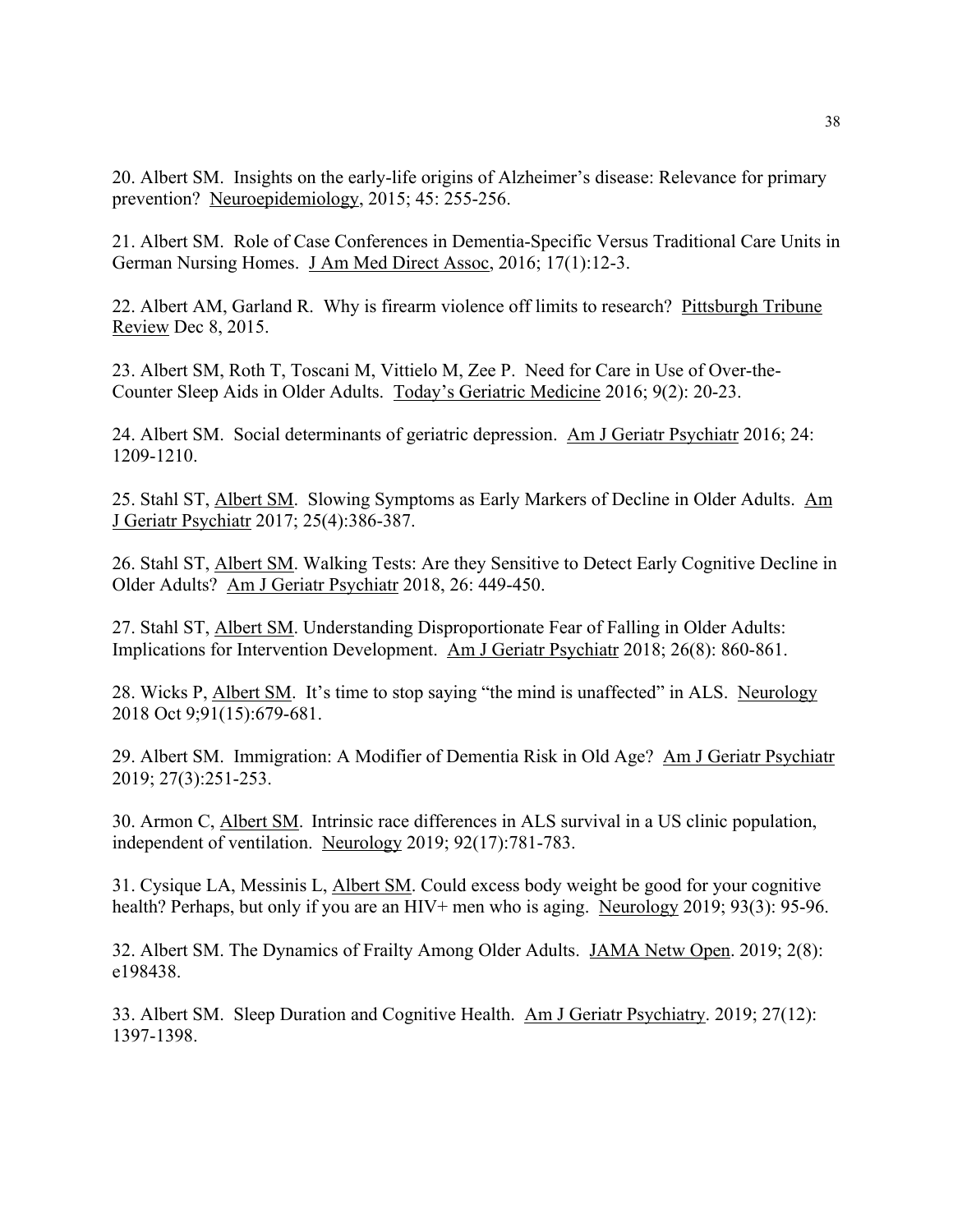20. Albert SM.Insights on the early-life origins of Alzheimer's disease: Relevance for primary prevention? Neuroepidemiology, 2015; 45: 255-256.

21. Albert SM. Role of Case Conferences in Dementia-Specific Versus Traditional Care Units in German Nursing Homes. J Am Med Direct Assoc, 2016; 17(1):12-3.

22. Albert AM, Garland R. Why is firearm violence off limits to research? Pittsburgh Tribune Review Dec 8, 2015.

23. Albert SM, Roth T, Toscani M, Vittielo M, Zee P. Need for Care in Use of Over-the-Counter Sleep Aids in Older Adults. Today's Geriatric Medicine 2016; 9(2): 20-23.

24. Albert SM. Social determinants of geriatric depression. Am J Geriatr Psychiatr 2016; 24: 1209-1210.

25. Stahl ST, Albert SM. Slowing Symptoms as Early Markers of Decline in Older Adults. Am J Geriatr Psychiatr 2017; 25(4):386-387.

26. Stahl ST, Albert SM. Walking Tests: Are they Sensitive to Detect Early Cognitive Decline in Older Adults? Am J Geriatr Psychiatr 2018, 26: 449-450.

27. Stahl ST, Albert SM. Understanding Disproportionate Fear of Falling in Older Adults: Implications for Intervention Development. Am J Geriatr Psychiatr 2018; 26(8): 860-861.

28. Wicks P, Albert SM. It's time to stop saying "the mind is unaffected" in ALS. Neurology 2018 Oct 9;91(15):679-681.

29. Albert SM. Immigration: A Modifier of Dementia Risk in Old Age? Am J Geriatr Psychiatr 2019; 27(3):251-253.

30. Armon C, Albert SM. Intrinsic race differences in ALS survival in a US clinic population, independent of ventilation. Neurology 2019; 92(17):781-783.

31. Cysique LA, Messinis L, Albert SM. Could excess body weight be good for your cognitive health? Perhaps, but only if you are an HIV+ men who is aging. Neurology 2019; 93(3): 95-96.

32. Albert SM. The Dynamics of Frailty Among Older Adults. JAMA Netw Open. 2019; 2(8): e198438.

33. Albert SM. Sleep Duration and Cognitive Health. Am J Geriatr Psychiatry. 2019; 27(12): 1397-1398.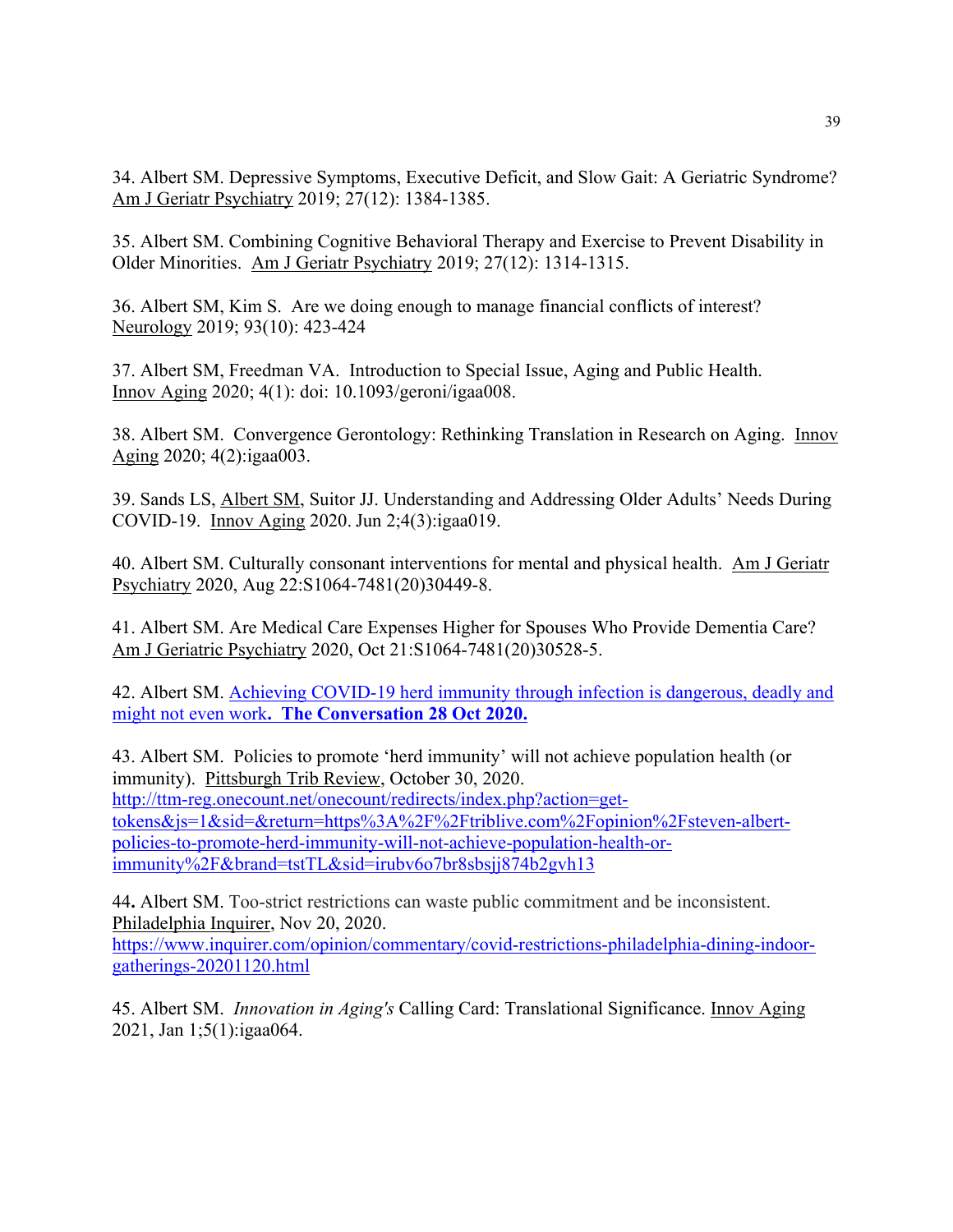34. Albert SM. Depressive Symptoms, Executive Deficit, and Slow Gait: A Geriatric Syndrome? Am J Geriatr Psychiatry 2019; 27(12): 1384-1385.

35. Albert SM. Combining Cognitive Behavioral Therapy and Exercise to Prevent Disability in Older Minorities. Am J Geriatr Psychiatry 2019; 27(12): 1314-1315.

36. Albert SM, Kim S. Are we doing enough to manage financial conflicts of interest? Neurology 2019; 93(10): 423-424

37. Albert SM, Freedman VA. Introduction to Special Issue, Aging and Public Health. Innov Aging 2020; 4(1): doi: 10.1093/geroni/igaa008.

38. Albert SM. Convergence Gerontology: Rethinking Translation in Research on Aging. Innov Aging 2020; 4(2):igaa003.

39. Sands LS, Albert SM, Suitor JJ. Understanding and Addressing Older Adults' Needs During COVID-19. Innov Aging 2020. Jun 2;4(3):igaa019.

40. Albert SM. Culturally consonant interventions for mental and physical health. Am J Geriatr Psychiatry 2020, Aug 22:S1064-7481(20)30449-8.

41. Albert SM. Are Medical Care Expenses Higher for Spouses Who Provide Dementia Care? Am J Geriatric Psychiatry 2020, Oct 21:S1064-7481(20)30528-5.

42. Albert SM. Achieving COVID-19 herd immunity through infection is dangerous, deadly and might not even work**. The Conversation 28 Oct 2020.** 

43. Albert SM. Policies to promote 'herd immunity' will not achieve population health (or immunity). Pittsburgh Trib Review, October 30, 2020. http://ttm-reg.onecount.net/onecount/redirects/index.php?action=gettokens&js=1&sid=&return=https%3A%2F%2Ftriblive.com%2Fopinion%2Fsteven-albertpolicies-to-promote-herd-immunity-will-not-achieve-population-health-orimmunity%2F&brand=tstTL&sid=irubv6o7br8sbsjj874b2gvh13

44**.** Albert SM. Too-strict restrictions can waste public commitment and be inconsistent. Philadelphia Inquirer, Nov 20, 2020.

https://www.inquirer.com/opinion/commentary/covid-restrictions-philadelphia-dining-indoorgatherings-20201120.html

45. Albert SM. *Innovation in Aging's* Calling Card: Translational Significance. Innov Aging 2021, Jan 1;5(1):igaa064.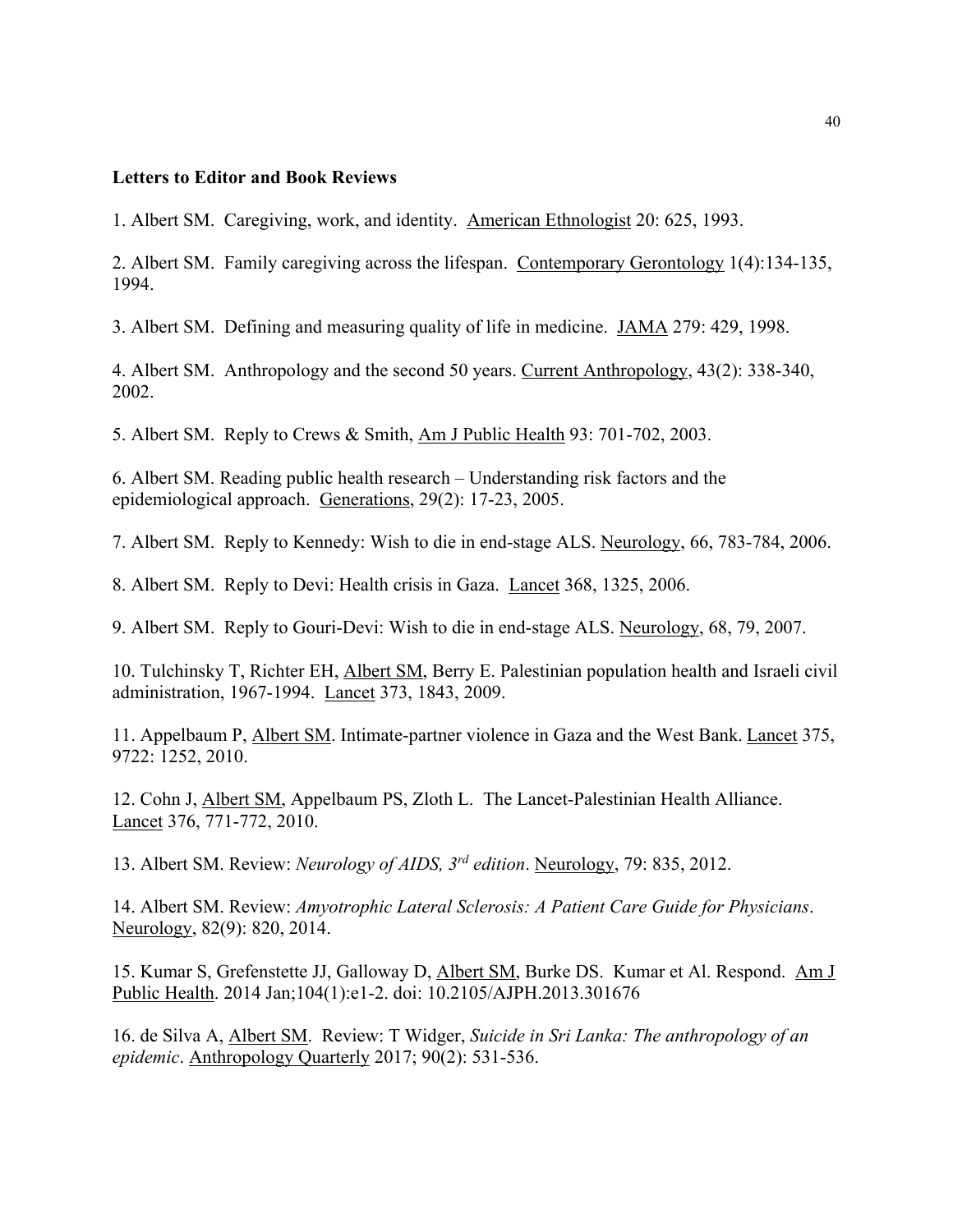#### **Letters to Editor and Book Reviews**

1. Albert SM. Caregiving, work, and identity. American Ethnologist 20: 625, 1993.

2. Albert SM. Family caregiving across the lifespan. Contemporary Gerontology 1(4):134-135, 1994.

3. Albert SM. Defining and measuring quality of life in medicine. JAMA 279: 429, 1998.

4. Albert SM. Anthropology and the second 50 years. Current Anthropology, 43(2): 338-340, 2002.

5. Albert SM. Reply to Crews & Smith, Am J Public Health 93: 701-702, 2003.

6. Albert SM. Reading public health research – Understanding risk factors and the epidemiological approach. Generations, 29(2): 17-23, 2005.

7. Albert SM. Reply to Kennedy: Wish to die in end-stage ALS. Neurology, 66, 783-784, 2006.

8. Albert SM. Reply to Devi: Health crisis in Gaza. Lancet 368, 1325, 2006.

9. Albert SM. Reply to Gouri-Devi: Wish to die in end-stage ALS. Neurology, 68, 79, 2007.

10. Tulchinsky T, Richter EH, Albert SM, Berry E. Palestinian population health and Israeli civil administration, 1967-1994. Lancet 373, 1843, 2009.

11. Appelbaum P, Albert SM. Intimate-partner violence in Gaza and the West Bank. Lancet 375, 9722: 1252, 2010.

12. Cohn J, Albert SM, Appelbaum PS, Zloth L. The Lancet-Palestinian Health Alliance. Lancet 376, 771-772, 2010.

13. Albert SM. Review: *Neurology of AIDS, 3rd edition*. Neurology, 79: 835, 2012.

14. Albert SM. Review: *Amyotrophic Lateral Sclerosis: A Patient Care Guide for Physicians*. Neurology, 82(9): 820, 2014.

15. Kumar S, Grefenstette JJ, Galloway D, Albert SM, Burke DS. Kumar et Al. Respond. Am J Public Health. 2014 Jan;104(1):e1-2. doi: 10.2105/AJPH.2013.301676

16. de Silva A, Albert SM. Review: T Widger, *Suicide in Sri Lanka: The anthropology of an epidemic*. Anthropology Quarterly 2017; 90(2): 531-536.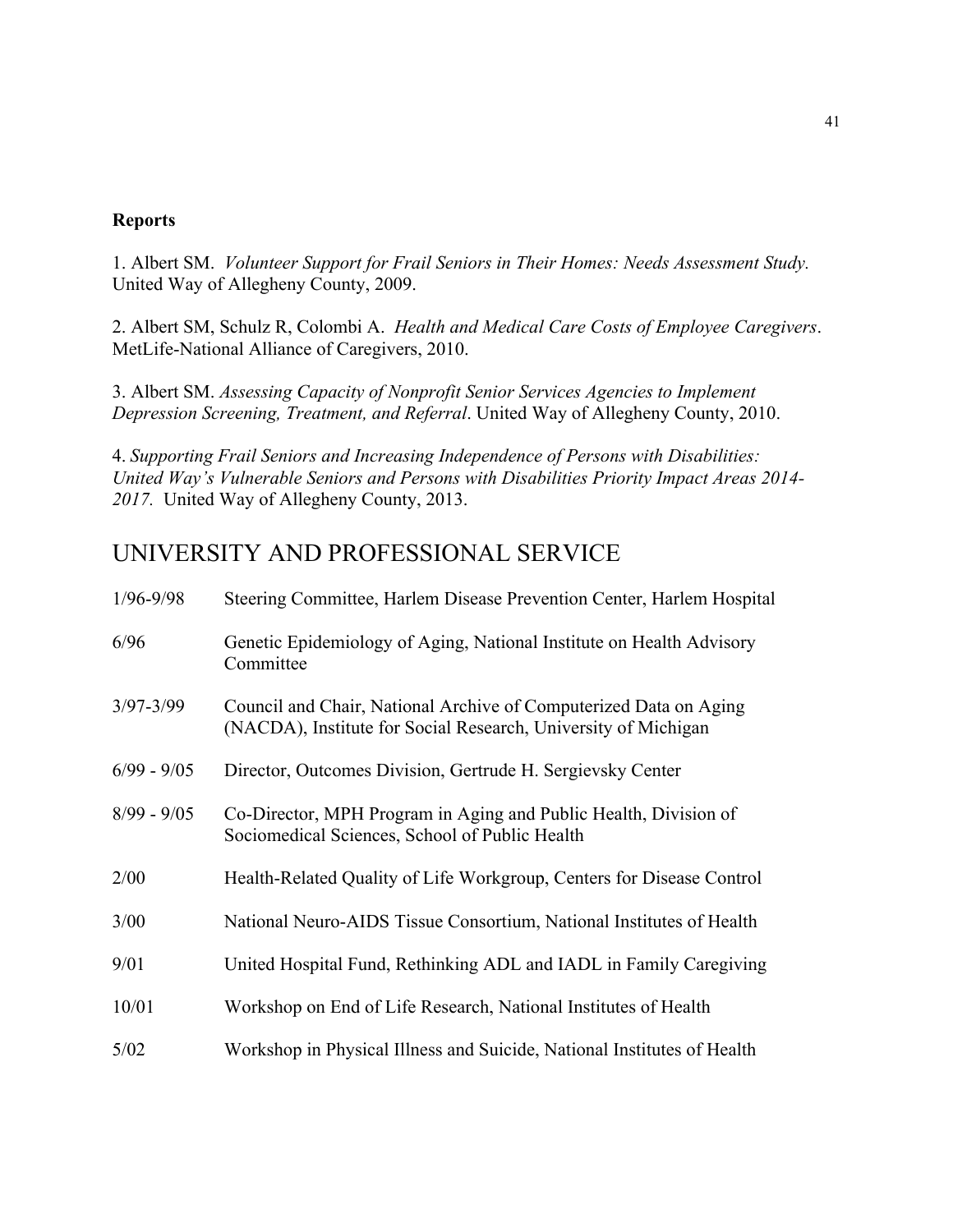#### **Reports**

1. Albert SM. *Volunteer Support for Frail Seniors in Their Homes: Needs Assessment Study.* United Way of Allegheny County, 2009.

2. Albert SM, Schulz R, Colombi A. *Health and Medical Care Costs of Employee Caregivers*. MetLife-National Alliance of Caregivers, 2010.

3. Albert SM. *Assessing Capacity of Nonprofit Senior Services Agencies to Implement Depression Screening, Treatment, and Referral*. United Way of Allegheny County, 2010.

4. *Supporting Frail Seniors and Increasing Independence of Persons with Disabilities: United Way's Vulnerable Seniors and Persons with Disabilities Priority Impact Areas 2014- 2017.* United Way of Allegheny County, 2013.

## UNIVERSITY AND PROFESSIONAL SERVICE

| $1/96 - 9/98$ | Steering Committee, Harlem Disease Prevention Center, Harlem Hospital                                                               |
|---------------|-------------------------------------------------------------------------------------------------------------------------------------|
| 6/96          | Genetic Epidemiology of Aging, National Institute on Health Advisory<br>Committee                                                   |
| $3/97 - 3/99$ | Council and Chair, National Archive of Computerized Data on Aging<br>(NACDA), Institute for Social Research, University of Michigan |
| $6/99 - 9/05$ | Director, Outcomes Division, Gertrude H. Sergievsky Center                                                                          |
| $8/99 - 9/05$ | Co-Director, MPH Program in Aging and Public Health, Division of<br>Sociomedical Sciences, School of Public Health                  |
| 2/00          | Health-Related Quality of Life Workgroup, Centers for Disease Control                                                               |
| 3/00          | National Neuro-AIDS Tissue Consortium, National Institutes of Health                                                                |
| 9/01          | United Hospital Fund, Rethinking ADL and IADL in Family Caregiving                                                                  |
| 10/01         | Workshop on End of Life Research, National Institutes of Health                                                                     |
| 5/02          | Workshop in Physical Illness and Suicide, National Institutes of Health                                                             |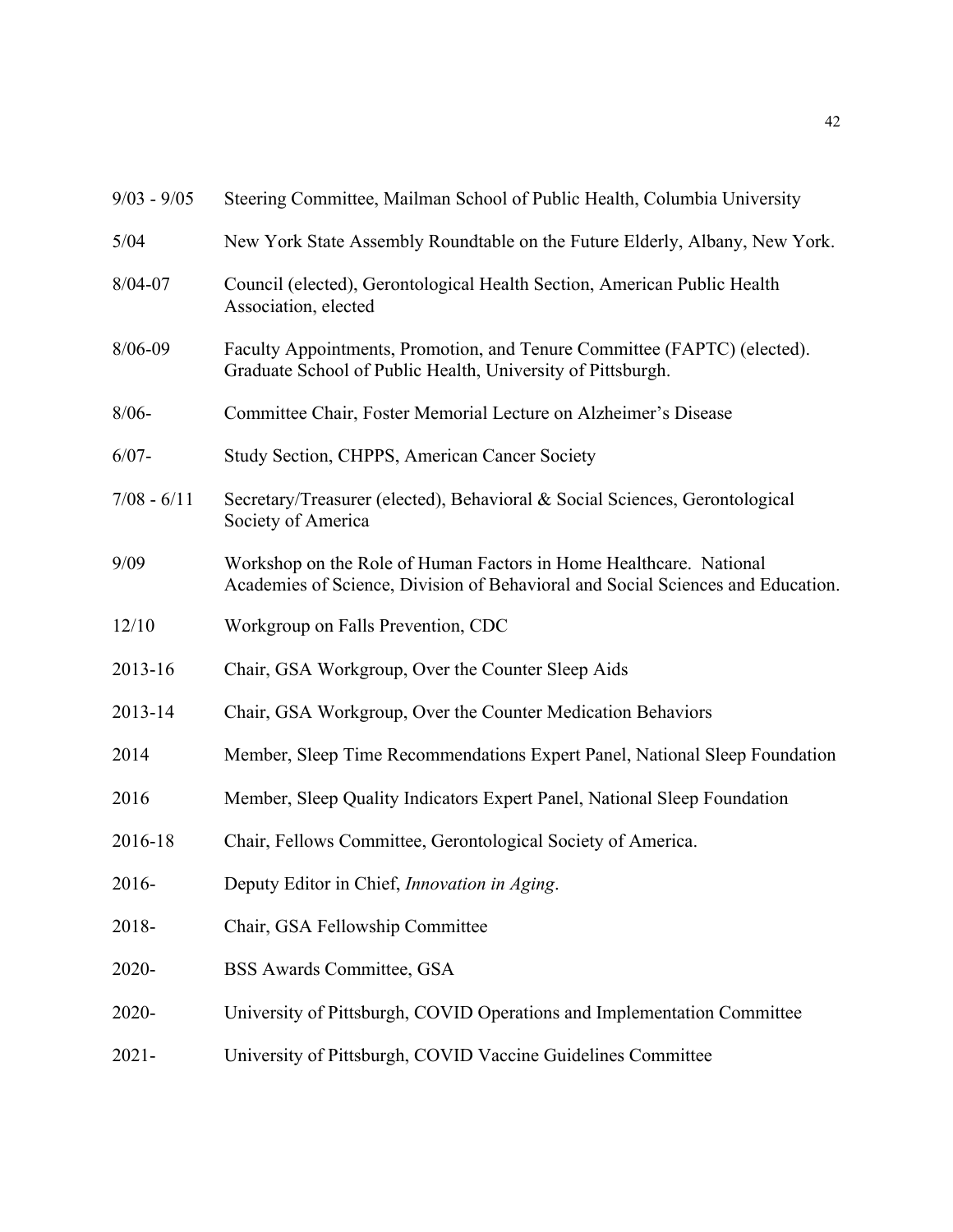| $9/03 - 9/05$ | Steering Committee, Mailman School of Public Health, Columbia University                                                                              |
|---------------|-------------------------------------------------------------------------------------------------------------------------------------------------------|
| 5/04          | New York State Assembly Roundtable on the Future Elderly, Albany, New York.                                                                           |
| $8/04 - 07$   | Council (elected), Gerontological Health Section, American Public Health<br>Association, elected                                                      |
| $8/06 - 09$   | Faculty Appointments, Promotion, and Tenure Committee (FAPTC) (elected).<br>Graduate School of Public Health, University of Pittsburgh.               |
| $8/06 -$      | Committee Chair, Foster Memorial Lecture on Alzheimer's Disease                                                                                       |
| $6/07 -$      | Study Section, CHPPS, American Cancer Society                                                                                                         |
| $7/08 - 6/11$ | Secretary/Treasurer (elected), Behavioral & Social Sciences, Gerontological<br>Society of America                                                     |
| 9/09          | Workshop on the Role of Human Factors in Home Healthcare. National<br>Academies of Science, Division of Behavioral and Social Sciences and Education. |
| 12/10         | Workgroup on Falls Prevention, CDC                                                                                                                    |
| 2013-16       | Chair, GSA Workgroup, Over the Counter Sleep Aids                                                                                                     |
| 2013-14       | Chair, GSA Workgroup, Over the Counter Medication Behaviors                                                                                           |
| 2014          | Member, Sleep Time Recommendations Expert Panel, National Sleep Foundation                                                                            |
| 2016          | Member, Sleep Quality Indicators Expert Panel, National Sleep Foundation                                                                              |
| 2016-18       | Chair, Fellows Committee, Gerontological Society of America.                                                                                          |
| 2016-         | Deputy Editor in Chief, Innovation in Aging.                                                                                                          |
| 2018-         | Chair, GSA Fellowship Committee                                                                                                                       |
| 2020-         | <b>BSS Awards Committee, GSA</b>                                                                                                                      |
| 2020-         | University of Pittsburgh, COVID Operations and Implementation Committee                                                                               |
| $2021 -$      | University of Pittsburgh, COVID Vaccine Guidelines Committee                                                                                          |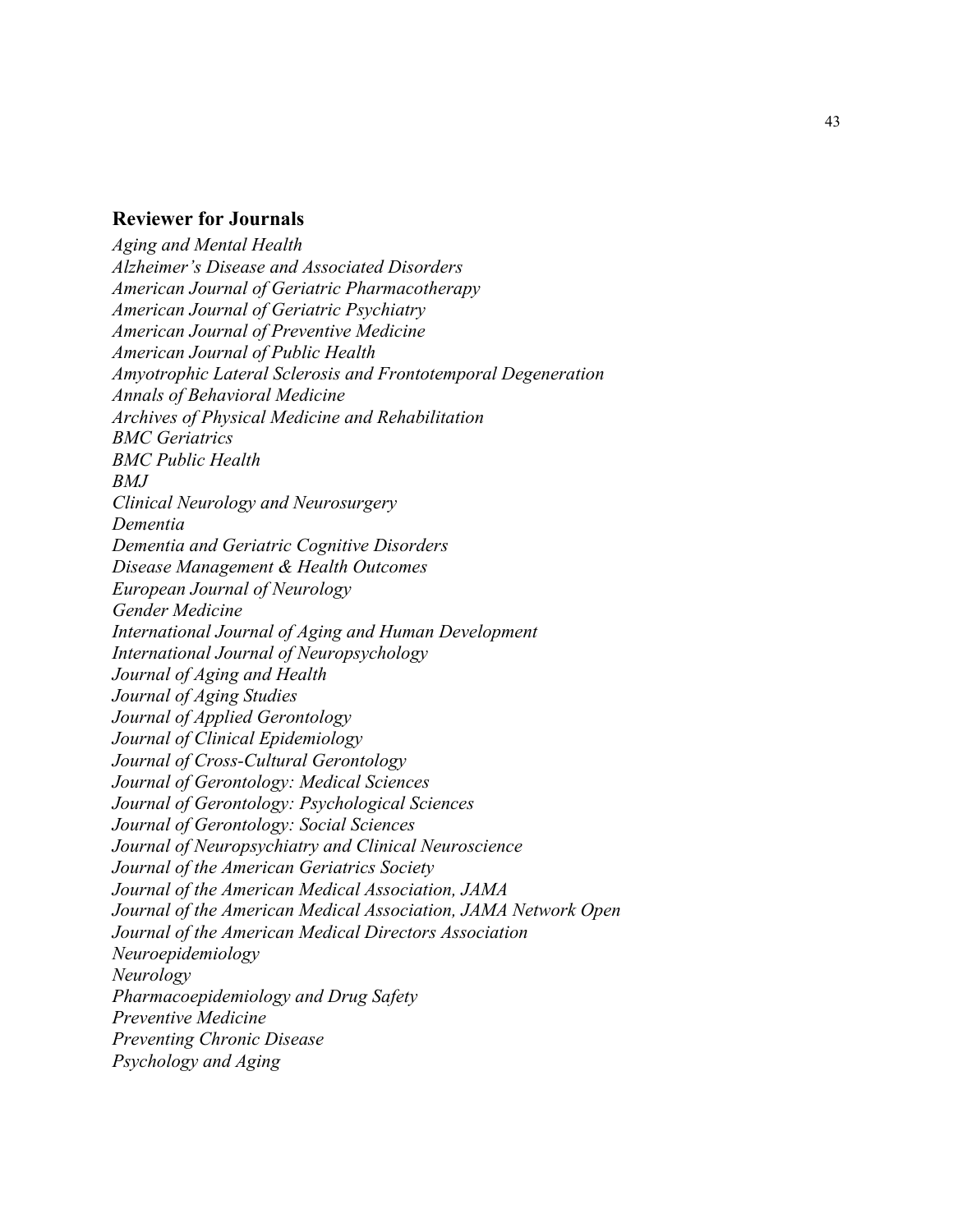#### **Reviewer for Journals**

*Aging and Mental Health Alzheimer's Disease and Associated Disorders American Journal of Geriatric Pharmacotherapy American Journal of Geriatric Psychiatry American Journal of Preventive Medicine American Journal of Public Health Amyotrophic Lateral Sclerosis and Frontotemporal Degeneration Annals of Behavioral Medicine Archives of Physical Medicine and Rehabilitation BMC Geriatrics BMC Public Health BMJ Clinical Neurology and Neurosurgery Dementia Dementia and Geriatric Cognitive Disorders Disease Management & Health Outcomes European Journal of Neurology Gender Medicine International Journal of Aging and Human Development International Journal of Neuropsychology Journal of Aging and Health Journal of Aging Studies Journal of Applied Gerontology Journal of Clinical Epidemiology Journal of Cross-Cultural Gerontology Journal of Gerontology: Medical Sciences Journal of Gerontology: Psychological Sciences Journal of Gerontology: Social Sciences Journal of Neuropsychiatry and Clinical Neuroscience Journal of the American Geriatrics Society Journal of the American Medical Association, JAMA Journal of the American Medical Association, JAMA Network Open Journal of the American Medical Directors Association Neuroepidemiology Neurology Pharmacoepidemiology and Drug Safety Preventive Medicine Preventing Chronic Disease Psychology and Aging*